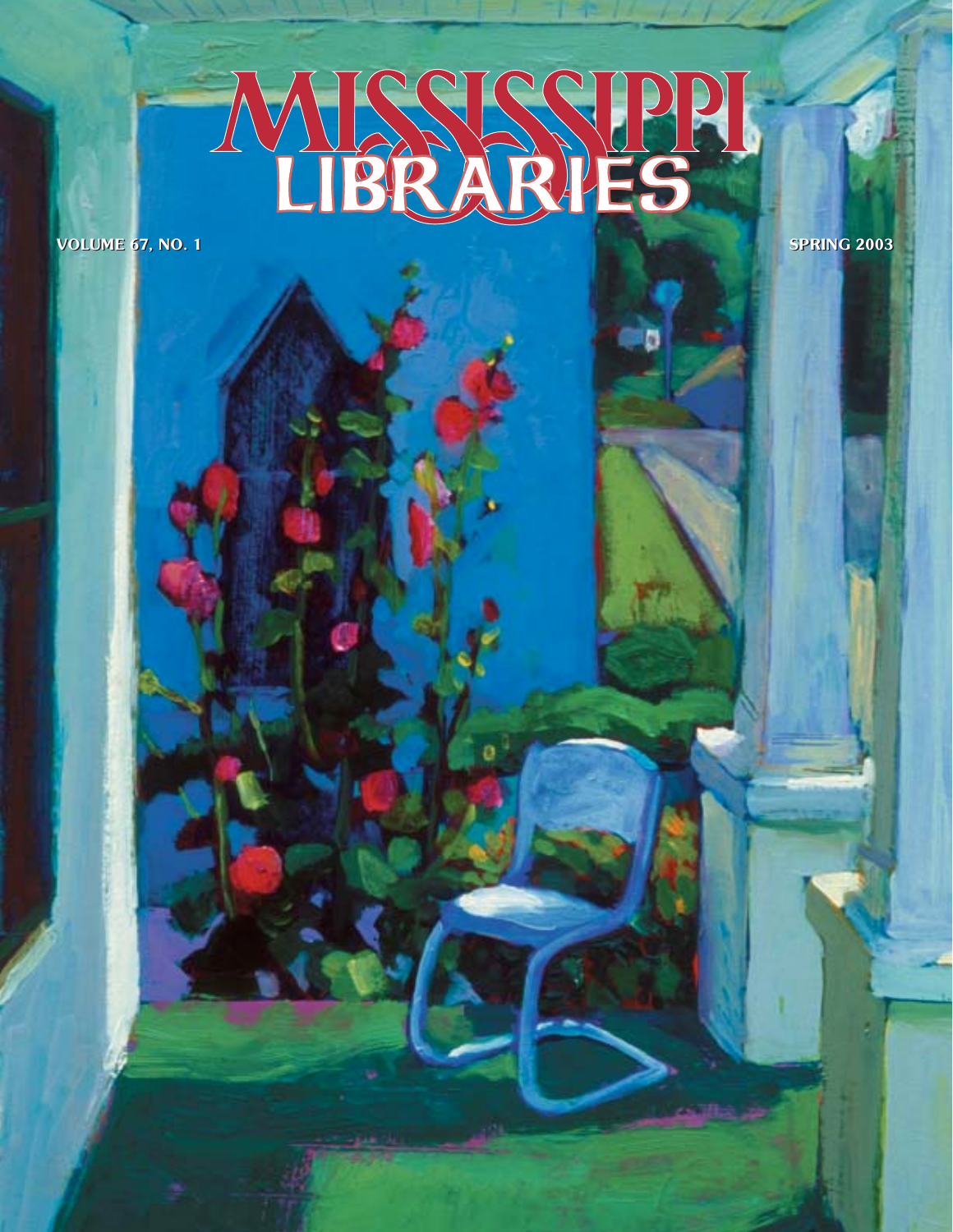# RRA **TB** D.

**VOLUME 67, NO. 1** NO. 1 SPRING 2003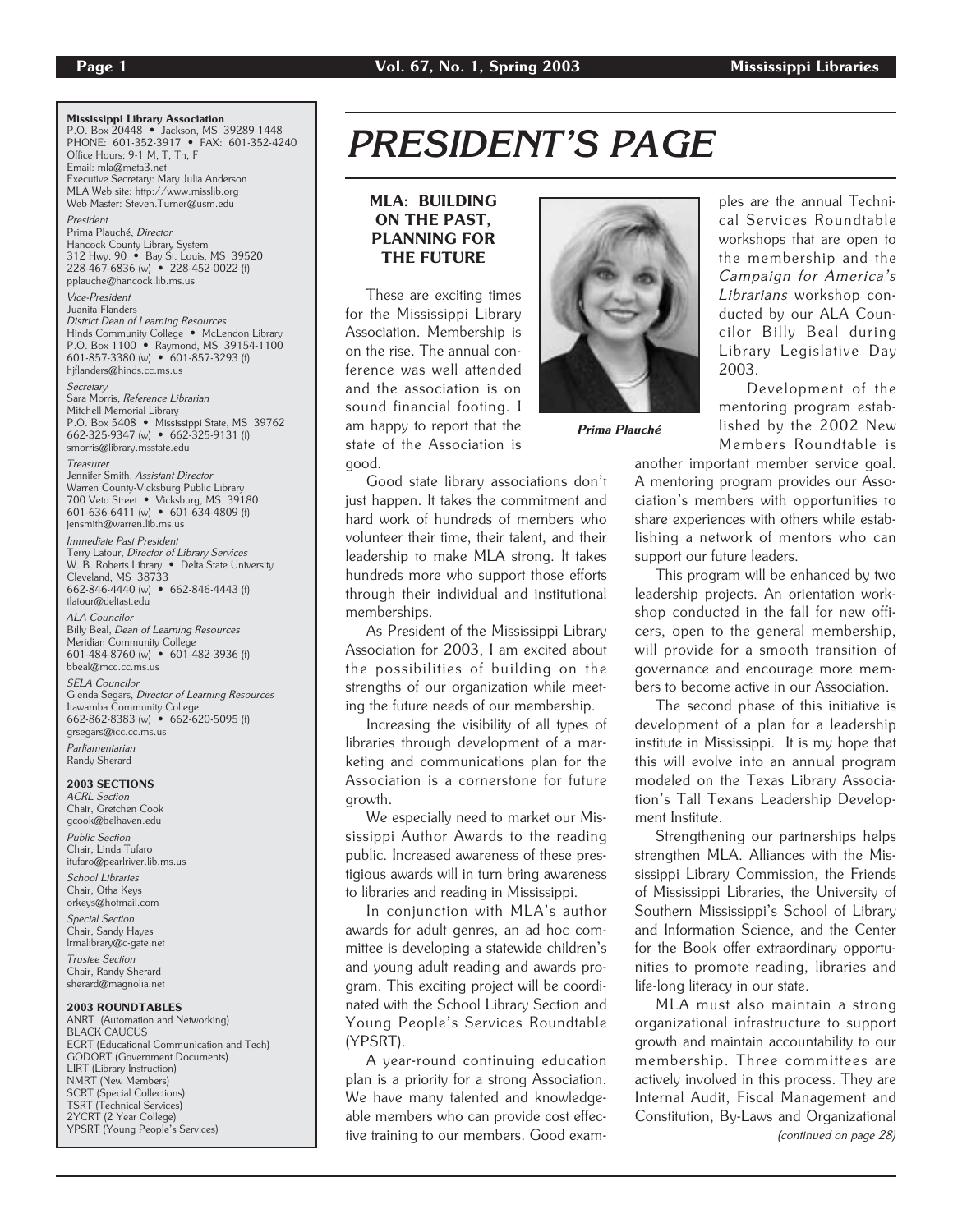Mississippi Library Association P.O. Box 20448 • Jackson, MS 39289-1448 PHONE: 601-352-3917 • FAX: 601-352-4240 Office Hours: 9-1 M, T, Th, F Email: mla@meta3.net Executive Secretary: Mary Julia Anderson MLA Web site: http://www.misslib.org Web Master: Steven.Turner@usm.edu President Prima Plauché, Director Hancock County Library System 312 Hwy. 90 • Bay St. Louis, MS 39520 228-467-6836 (w) • 228-452-0022 (f) pplauche@hancock.lib.ms.us Vice-President Juanita Flanders District Dean of Learning Resources Hinds Community College • McLendon Library P.O. Box 1100 • Raymond, MS 39154-1100 601-857-3380 (w) • 601-857-3293 (f) hjflanders@hinds.cc.ms.us **Secretary** Sara Morris, Reference Librarian Mitchell Memorial Library P.O. Box 5408 • Mississippi State, MS 39762 662-325-9347 (w) • 662-325-9131 (f) smorris@library.msstate.edu **Treasurer** Jennifer Smith, Assistant Director Warren County-Vicksburg Public Library 700 Veto Street • Vicksburg, MS 39180 601-636-6411 (w) • 601-634-4809 (f) jensmith@warren.lib.ms.us Immediate Past President Terry Latour, Director of Library Services W. B. Roberts Library . Delta State University Cleveland, MS 38733 662-846-4440 (w) • 662-846-4443 (f) tlatour@deltast.edu ALA Councilor Billy Beal, Dean of Learning Resources Meridian Community College 601-484-8760 (w) • 601-482-3936 (f) bbeal@mcc.cc.ms.us SELA Councilor Glenda Segars, Director of Learning Resources Itawamba Community College 662-862-8383 (w) • 662-620-5095 (f) grsegars@icc.cc.ms.us Parliamentarian Randy Sherard 2003 SECTIONS ACRL Section Chair, Gretchen Cook gcook@belhaven.edu Public Section Chair, Linda Tufaro itufaro@pearlriver.lib.ms.us School Libraries Chair, Otha Keys orkeys@hotmail.com Special Section Chair, Sandy Hayes lrmalibrary@c-gate.net Trustee Section Chair, Randy Sherard sherard@magnolia.net 2003 ROUNDTABLES ANRT (Automation and Networking) BLACK CAUCUS ECRT (Educational Communication and Tech) GODORT (Government Documents) LIRT (Library Instruction) NMRT (New Members) SCRT (Special Collections) TSRT (Technical Services) 2YCRT (2 Year College) YPSRT (Young People's Services)

## *PRESIDENT'S PAGE*

## MLA: BUILDING ON THE PAST, PLANNING FOR THE FUTURE

These are exciting times for the Mississippi Library Association. Membership is on the rise. The annual conference was well attended and the association is on sound financial footing. I am happy to report that the state of the Association is good.



Prima Plauché

ples are the annual Technical Services Roundtable workshops that are open to the membership and the Campaign for America's Librarians workshop conducted by our ALA Councilor Billy Beal during Library Legislative Day 2003.

Development of the mentoring program established by the 2002 New Members Roundtable is

another important member service goal. A mentoring program provides our Association's members with opportunities to share experiences with others while establishing a network of mentors who can support our future leaders.

This program will be enhanced by two leadership projects. An orientation workshop conducted in the fall for new officers, open to the general membership, will provide for a smooth transition of governance and encourage more members to become active in our Association.

The second phase of this initiative is development of a plan for a leadership institute in Mississippi. It is my hope that this will evolve into an annual program modeled on the Texas Library Association's Tall Texans Leadership Development Institute.

Strengthening our partnerships helps strengthen MLA. Alliances with the Mississippi Library Commission, the Friends of Mississippi Libraries, the University of Southern Mississippi's School of Library and Information Science, and the Center for the Book offer extraordinary opportunities to promote reading, libraries and life-long literacy in our state.

MLA must also maintain a strong organizational infrastructure to support growth and maintain accountability to our membership. Three committees are actively involved in this process. They are Internal Audit, Fiscal Management and Constitution, By-Laws and Organizational (continued on page 28)

Good state library associations don't just happen. It takes the commitment and hard work of hundreds of members who volunteer their time, their talent, and their leadership to make MLA strong. It takes hundreds more who support those efforts through their individual and institutional memberships.

As President of the Mississippi Library Association for 2003, I am excited about the possibilities of building on the strengths of our organization while meeting the future needs of our membership.

Increasing the visibility of all types of libraries through development of a marketing and communications plan for the Association is a cornerstone for future growth.

We especially need to market our Mississippi Author Awards to the reading public. Increased awareness of these prestigious awards will in turn bring awareness to libraries and reading in Mississippi.

In conjunction with MLA's author awards for adult genres, an ad hoc committee is developing a statewide children's and young adult reading and awards program. This exciting project will be coordinated with the School Library Section and Young People's Services Roundtable (YPSRT).

A year-round continuing education plan is a priority for a strong Association. We have many talented and knowledgeable members who can provide cost effective training to our members. Good exam-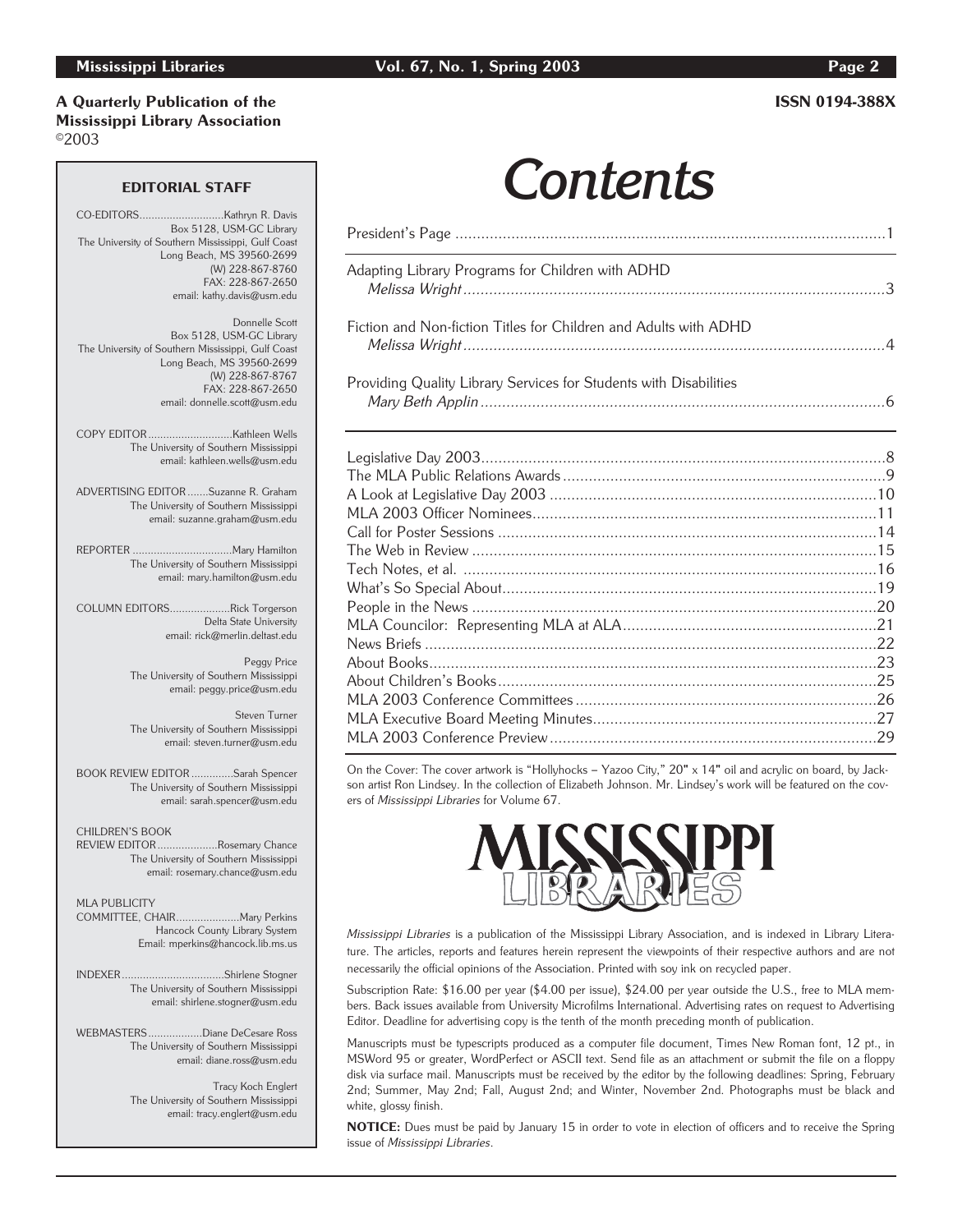## A Quarterly Publication of the ISSN 0194-388X Mississippi Library Association ©2003

# EDITORIAL STAFF **Contents**

| Adapting Library Programs for Children with ADHD                  |  |
|-------------------------------------------------------------------|--|
| Fiction and Non-fiction Titles for Children and Adults with ADHD  |  |
| Providing Quality Library Services for Students with Disabilities |  |
|                                                                   |  |
|                                                                   |  |
|                                                                   |  |
|                                                                   |  |
|                                                                   |  |
|                                                                   |  |
|                                                                   |  |
|                                                                   |  |
|                                                                   |  |
|                                                                   |  |
|                                                                   |  |
|                                                                   |  |
|                                                                   |  |
|                                                                   |  |
|                                                                   |  |
|                                                                   |  |

On the Cover: The cover artwork is "Hollyhocks - Yazoo City," 20" x 14" oil and acrylic on board, by Jackson artist Ron Lindsey. In the collection of Elizabeth Johnson. Mr. Lindsey's work will be featured on the covers of Mississippi Libraries for Volume 67.



Mississippi Libraries is a publication of the Mississippi Library Association, and is indexed in Library Literature. The articles, reports and features herein represent the viewpoints of their respective authors and are not necessarily the official opinions of the Association. Printed with soy ink on recycled paper.

Subscription Rate: \$16.00 per year (\$4.00 per issue), \$24.00 per year outside the U.S., free to MLA members. Back issues available from University Microfilms International. Advertising rates on request to Advertising Editor. Deadline for advertising copy is the tenth of the month preceding month of publication.

Manuscripts must be typescripts produced as a computer file document, Times New Roman font, 12 pt., in MSWord 95 or greater, WordPerfect or ASCII text. Send file as an attachment or submit the file on a floppy disk via surface mail. Manuscripts must be received by the editor by the following deadlines: Spring, February 2nd; Summer, May 2nd; Fall, August 2nd; and Winter, November 2nd. Photographs must be black and white, glossy finish.

NOTICE: Dues must be paid by January 15 in order to vote in election of officers and to receive the Spring issue of Mississippi Libraries.

....Kathryn R. Davis Box 5128, USM-GC Library The University of Southern Mississippi, Gulf Coast Long Beach, MS 39560-2699 (W) 228-867-8760 FAX: 228-867-2650 email: kathy.davis@usm.edu

Donnelle Scott Box 5128, USM-GC Library The University of Southern Mississippi, Gulf Coast Long Beach, MS 39560-2699 (W) 228-867-8767 FAX: 228-867-2650 email: donnelle.scott@usm.edu

COPY EDITOR............................Kathleen Wells The University of Southern Mississippi email: kathleen.wells@usm.edu

ADVERTISING EDITOR .......Suzanne R. Graham The University of Southern Mississippi email: suzanne.graham@usm.edu

REPORTER .................................Mary Hamilton The University of Southern Mississippi email: mary.hamilton@usm.edu

COLUMN EDITORS....................Rick Torgerson Delta State University email: rick@merlin.deltast.edu

> Peggy Price The University of Southern Mississippi email: peggy.price@usm.edu

> Steven Turner The University of Southern Mississippi email: steven.turner@usm.edu

BOOK REVIEW EDITOR ..............Sarah Spencer The University of Southern Mississippi email: sarah.spencer@usm.edu

CHILDREN'S BOOK REVIEW EDITOR....................Rosemary Chance

The University of Southern Mississippi email: rosemary.chance@usm.edu

MLA PUBLICITY COMMITTEE, CHAIR.....................Mary Perkins Hancock County Library System Email: mperkins@hancock.lib.ms.us

INDEXER..................................Shirlene Stogner The University of Southern Mississippi email: shirlene.stogner@usm.edu

WEBMASTERS..................Diane DeCesare Ross The University of Southern Mississippi email: diane.ross@usm.edu

> Tracy Koch Englert The University of Southern Mississippi email: tracy.englert@usm.edu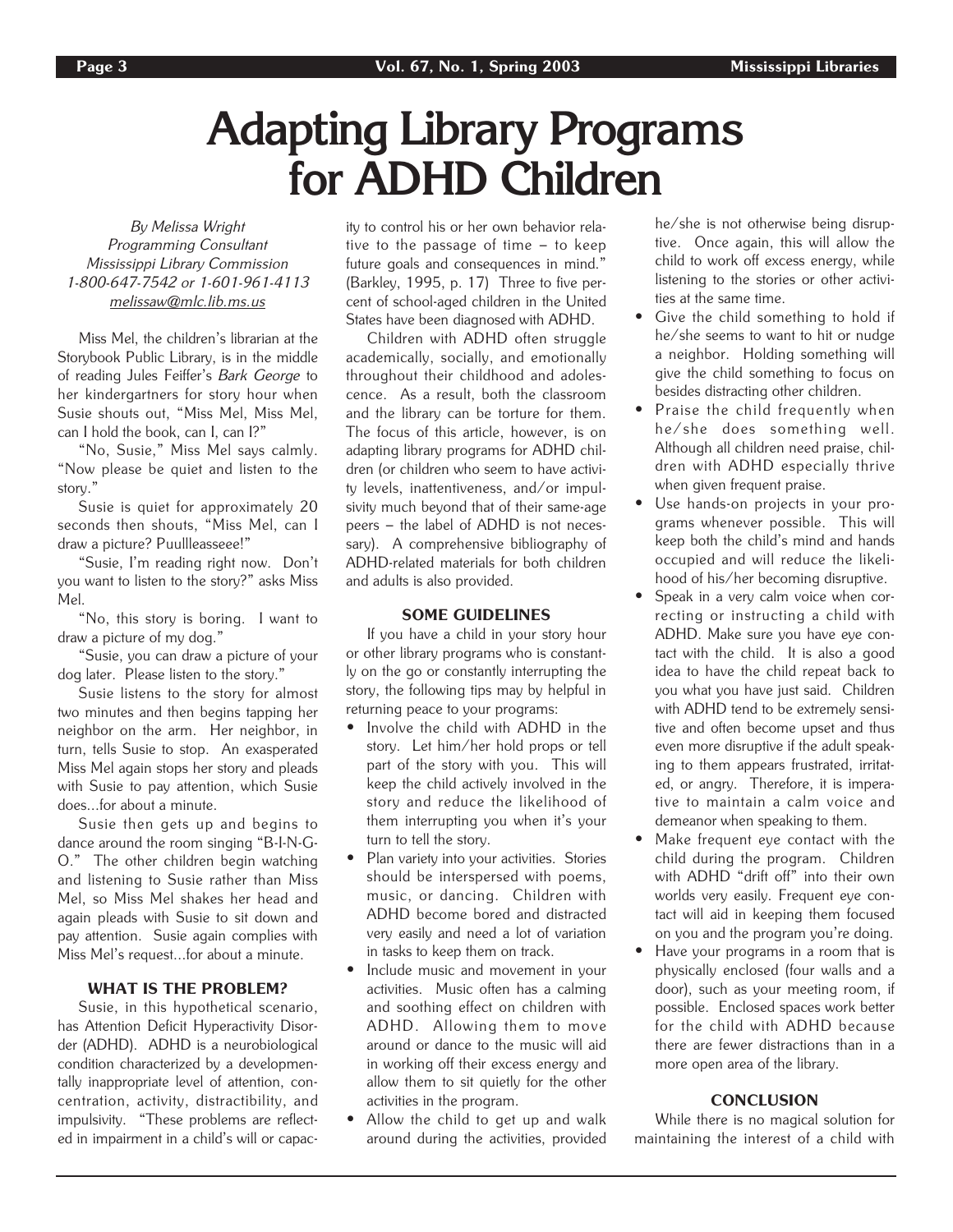## **Adapting Library Programs for ADHD Children**

By Melissa Wright Programming Consultant Mississippi Library Commission 1-800-647-7542 or 1-601-961-4113 melissaw@mlc.lib.ms.us

Miss Mel, the children's librarian at the Storybook Public Library, is in the middle of reading Jules Feiffer's Bark George to her kindergartners for story hour when Susie shouts out, "Miss Mel, Miss Mel, can I hold the book, can I, can I?"

"No, Susie," Miss Mel says calmly. "Now please be quiet and listen to the story."

Susie is quiet for approximately 20 seconds then shouts, "Miss Mel, can I draw a picture? Puullleasseee!"

"Susie, I'm reading right now. Don't you want to listen to the story?" asks Miss Mel.

"No, this story is boring. I want to draw a picture of my dog."

"Susie, you can draw a picture of your dog later. Please listen to the story."

Susie listens to the story for almost two minutes and then begins tapping her neighbor on the arm. Her neighbor, in turn, tells Susie to stop. An exasperated Miss Mel again stops her story and pleads with Susie to pay attention, which Susie does...for about a minute.

Susie then gets up and begins to dance around the room singing "B-I-N-G-O." The other children begin watching and listening to Susie rather than Miss Mel, so Miss Mel shakes her head and again pleads with Susie to sit down and pay attention. Susie again complies with Miss Mel's request...for about a minute.

## WHAT IS THE PROBLEM?

Susie, in this hypothetical scenario, has Attention Deficit Hyperactivity Disorder (ADHD). ADHD is a neurobiological condition characterized by a developmentally inappropriate level of attention, concentration, activity, distractibility, and impulsivity. "These problems are reflected in impairment in a child's will or capacity to control his or her own behavior relative to the passage of time – to keep future goals and consequences in mind." (Barkley, 1995, p. 17) Three to five percent of school-aged children in the United States have been diagnosed with ADHD.

Children with ADHD often struggle academically, socially, and emotionally throughout their childhood and adolescence. As a result, both the classroom and the library can be torture for them. The focus of this article, however, is on adapting library programs for ADHD children (or children who seem to have activity levels, inattentiveness, and/or impulsivity much beyond that of their same-age peers – the label of ADHD is not necessary). A comprehensive bibliography of ADHD-related materials for both children and adults is also provided.

### SOME GUIDELINES

If you have a child in your story hour or other library programs who is constantly on the go or constantly interrupting the story, the following tips may by helpful in returning peace to your programs:

- Involve the child with ADHD in the story. Let him/her hold props or tell part of the story with you. This will keep the child actively involved in the story and reduce the likelihood of them interrupting you when it's your turn to tell the story.
- Plan variety into your activities. Stories should be interspersed with poems, music, or dancing. Children with ADHD become bored and distracted very easily and need a lot of variation in tasks to keep them on track.
- Include music and movement in your activities. Music often has a calming and soothing effect on children with ADHD. Allowing them to move around or dance to the music will aid in working off their excess energy and allow them to sit quietly for the other activities in the program.
- Allow the child to get up and walk around during the activities, provided

he/she is not otherwise being disruptive. Once again, this will allow the child to work off excess energy, while listening to the stories or other activities at the same time.

- Give the child something to hold if he/she seems to want to hit or nudge a neighbor. Holding something will give the child something to focus on besides distracting other children.
- Praise the child frequently when he/she does something well. Although all children need praise, children with ADHD especially thrive when given frequent praise.
- Use hands-on projects in your programs whenever possible. This will keep both the child's mind and hands occupied and will reduce the likelihood of his/her becoming disruptive.
- Speak in a very calm voice when correcting or instructing a child with ADHD. Make sure you have eye contact with the child. It is also a good idea to have the child repeat back to you what you have just said. Children with ADHD tend to be extremely sensitive and often become upset and thus even more disruptive if the adult speaking to them appears frustrated, irritated, or angry. Therefore, it is imperative to maintain a calm voice and demeanor when speaking to them.
- Make frequent eye contact with the child during the program. Children with ADHD "drift off" into their own worlds very easily. Frequent eye contact will aid in keeping them focused on you and the program you're doing.
- Have your programs in a room that is physically enclosed (four walls and a door), such as your meeting room, if possible. Enclosed spaces work better for the child with ADHD because there are fewer distractions than in a more open area of the library.

### **CONCLUSION**

While there is no magical solution for maintaining the interest of a child with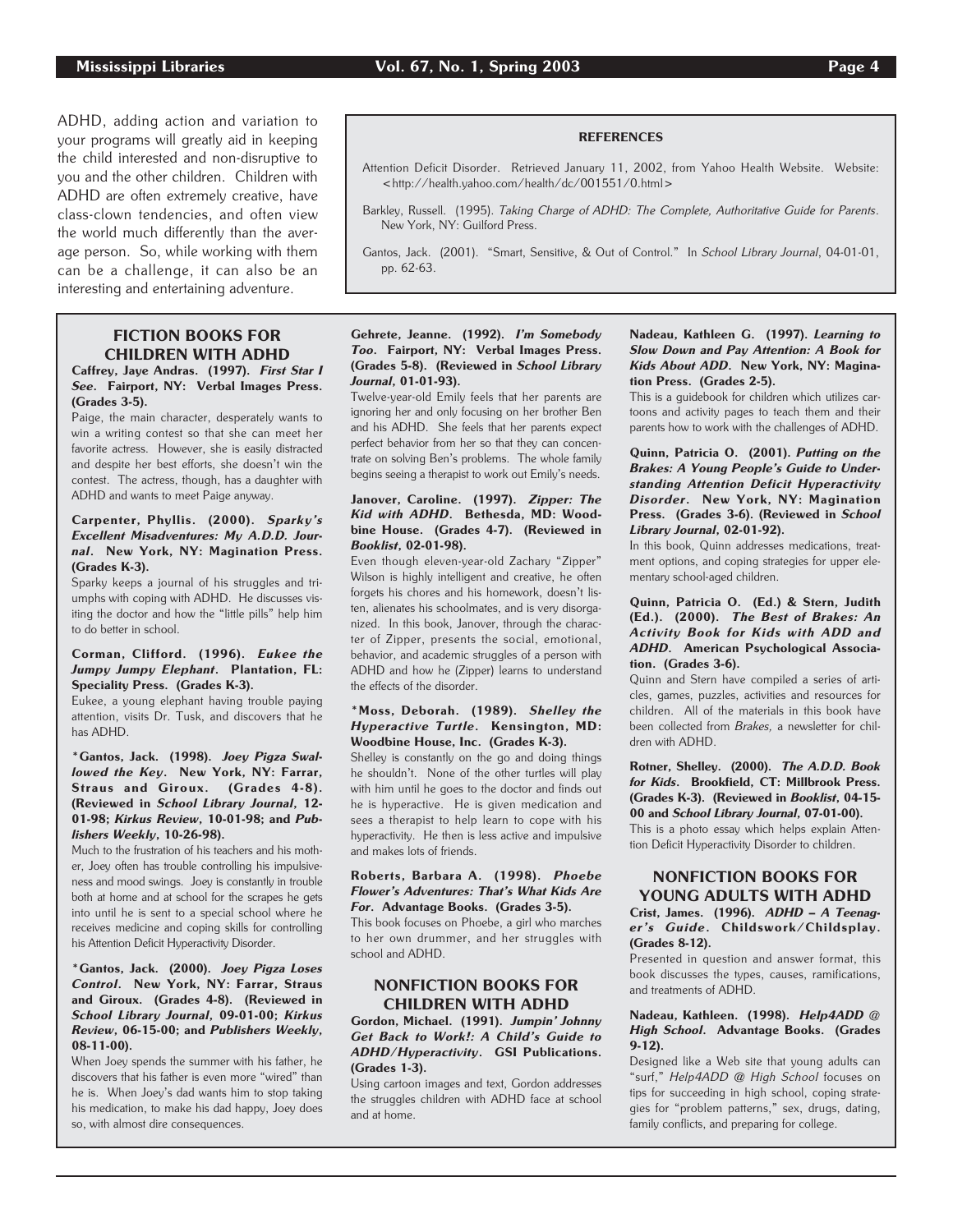ADHD, adding action and variation to your programs will greatly aid in keeping the child interested and non-disruptive to you and the other children. Children with ADHD are often extremely creative, have class-clown tendencies, and often view the world much differently than the average person. So, while working with them can be a challenge, it can also be an interesting and entertaining adventure.

## FICTION BOOKS FOR CHILDREN WITH ADHD

### Caffrey, Jaye Andras. (1997). First Star I See. Fairport, NY: Verbal Images Press. (Grades 3-5).

Paige, the main character, desperately wants to win a writing contest so that she can meet her favorite actress. However, she is easily distracted and despite her best efforts, she doesn't win the contest. The actress, though, has a daughter with ADHD and wants to meet Paige anyway.

### Carpenter, Phyllis. (2000). Sparky's Excellent Misadventures: My A.D.D. Journal. New York, NY: Magination Press. (Grades K-3).

Sparky keeps a journal of his struggles and triumphs with coping with ADHD. He discusses visiting the doctor and how the "little pills" help him to do better in school.

### Corman, Clifford. (1996). Eukee the Jumpy Jumpy Elephant. Plantation, FL: Speciality Press. (Grades K-3).

Eukee, a young elephant having trouble paying attention, visits Dr. Tusk, and discovers that he has ADHD.

### \*Gantos, Jack. (1998). Joey Pigza Swallowed the Key. New York, NY: Farrar, Straus and Giroux. (Grades 4-8). (Reviewed in School Library Journal, 12- 01-98; Kirkus Review, 10-01-98; and Publishers Weekly, 10-26-98).

Much to the frustration of his teachers and his mother, Joey often has trouble controlling his impulsiveness and mood swings. Joey is constantly in trouble both at home and at school for the scrapes he gets into until he is sent to a special school where he receives medicine and coping skills for controlling his Attention Deficit Hyperactivity Disorder.

#### \*Gantos, Jack. (2000). Joey Pigza Loses Control. New York, NY: Farrar, Straus and Giroux. (Grades 4-8). (Reviewed in School Library Journal, 09-01-00; Kirkus Review, 06-15-00; and Publishers Weekly, 08-11-00).

When Joey spends the summer with his father, he discovers that his father is even more "wired" than he is. When Joey's dad wants him to stop taking his medication, to make his dad happy, Joey does so, with almost dire consequences.

## **REFERENCES**

- Attention Deficit Disorder. Retrieved January 11, 2002, from Yahoo Health Website. Website: <http://health.yahoo.com/health/dc/001551/0.html>
- Barkley, Russell. (1995). Taking Charge of ADHD: The Complete, Authoritative Guide for Parents. New York, NY: Guilford Press.

### Gehrete, Jeanne. (1992). I'm Somebody Too. Fairport, NY: Verbal Images Press. (Grades 5-8). (Reviewed in School Library Journal, 01-01-93).

Twelve-year-old Emily feels that her parents are ignoring her and only focusing on her brother Ben and his ADHD. She feels that her parents expect perfect behavior from her so that they can concentrate on solving Ben's problems. The whole family begins seeing a therapist to work out Emily's needs.

#### Janover, Caroline. (1997). Zipper: The Kid with ADHD. Bethesda, MD: Woodbine House. (Grades 4-7). (Reviewed in Booklist, 02-01-98).

Even though eleven-year-old Zachary "Zipper" Wilson is highly intelligent and creative, he often forgets his chores and his homework, doesn't listen, alienates his schoolmates, and is very disorganized. In this book, Janover, through the character of Zipper, presents the social, emotional, behavior, and academic struggles of a person with ADHD and how he (Zipper) learns to understand the effects of the disorder.

### \*Moss, Deborah. (1989). Shelley the Hyperactive Turtle. Kensington, MD: Woodbine House, Inc. (Grades K-3).

Shelley is constantly on the go and doing things he shouldn't. None of the other turtles will play with him until he goes to the doctor and finds out he is hyperactive. He is given medication and sees a therapist to help learn to cope with his hyperactivity. He then is less active and impulsive and makes lots of friends.

#### Roberts, Barbara A. (1998). Phoebe Flower's Adventures: That's What Kids Are For. Advantage Books. (Grades 3-5).

This book focuses on Phoebe, a girl who marches to her own drummer, and her struggles with school and ADHD.

## NONFICTION BOOKS FOR CHILDREN WITH ADHD

Gordon, Michael. (1991). Jumpin' Johnny Get Back to Work!: A Child's Guide to ADHD/Hyperactivity. GSI Publications. (Grades 1-3).

Using cartoon images and text, Gordon addresses the struggles children with ADHD face at school and at home.

### Nadeau, Kathleen G. (1997). Learning to Slow Down and Pay Attention: A Book for Kids About ADD. New York, NY: Magination Press. (Grades 2-5).

This is a guidebook for children which utilizes cartoons and activity pages to teach them and their parents how to work with the challenges of ADHD.

### Quinn, Patricia O. (2001). Putting on the Brakes: A Young People's Guide to Understanding Attention Deficit Hyperactivity Disorder. New York, NY: Magination Press. (Grades 3-6). (Reviewed in School Library Journal, 02-01-92).

In this book, Quinn addresses medications, treatment options, and coping strategies for upper elementary school-aged children.

#### Quinn, Patricia O. (Ed.) & Stern, Judith (Ed.). (2000). The Best of Brakes: An Activity Book for Kids with ADD and ADHD. American Psychological Association. (Grades 3-6).

Quinn and Stern have compiled a series of articles, games, puzzles, activities and resources for children. All of the materials in this book have been collected from Brakes, a newsletter for children with ADHD.

Rotner, Shelley. (2000). The A.D.D. Book for Kids. Brookfield, CT: Millbrook Press. (Grades K-3). (Reviewed in Booklist, 04-15- 00 and School Library Journal, 07-01-00).

This is a photo essay which helps explain Attention Deficit Hyperactivity Disorder to children.

## NONFICTION BOOKS FOR YOUNG ADULTS WITH ADHD

Crist, James. (1996). ADHD – A Teenager's Guide. Childswork/Childsplay. (Grades 8-12).

Presented in question and answer format, this book discusses the types, causes, ramifications, and treatments of ADHD.

#### Nadeau, Kathleen. (1998). Help4ADD @ High School. Advantage Books. (Grades 9-12).

Designed like a Web site that young adults can "surf," Help4ADD @ High School focuses on tips for succeeding in high school, coping strategies for "problem patterns," sex, drugs, dating, family conflicts, and preparing for college.

Gantos, Jack. (2001). "Smart, Sensitive, & Out of Control." In School Library Journal, 04-01-01, pp. 62-63.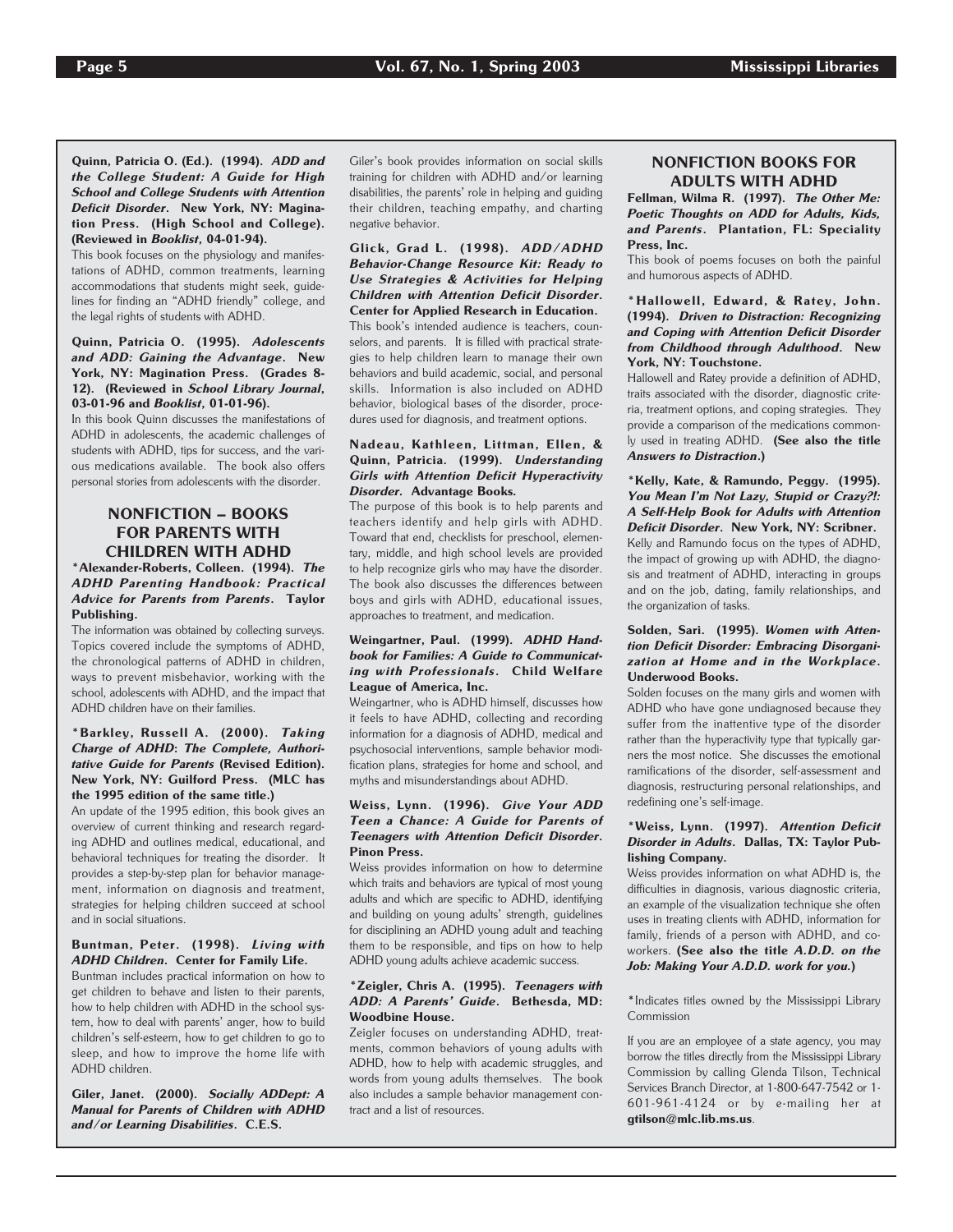Quinn, Patricia O. (Ed.). (1994). ADD and the College Student: A Guide for High School and College Students with Attention Deficit Disorder. New York, NY: Magination Press. (High School and College). (Reviewed in Booklist, 04-01-94).

This book focuses on the physiology and manifestations of ADHD, common treatments, learning accommodations that students might seek, guidelines for finding an "ADHD friendly" college, and the legal rights of students with ADHD.

### Quinn, Patricia O. (1995). Adolescents and ADD: Gaining the Advantage. New York, NY: Magination Press. (Grades 8- 12). (Reviewed in School Library Journal, 03-01-96 and Booklist, 01-01-96).

In this book Quinn discusses the manifestations of ADHD in adolescents, the academic challenges of students with ADHD, tips for success, and the various medications available. The book also offers personal stories from adolescents with the disorder.

## NONFICTION – BOOKS FOR PARENTS WITH CHILDREN WITH ADHD

### \*Alexander-Roberts, Colleen. (1994). The ADHD Parenting Handbook: Practical Advice for Parents from Parents. Taylor Publishing.

The information was obtained by collecting surveys. Topics covered include the symptoms of ADHD, the chronological patterns of ADHD in children, ways to prevent misbehavior, working with the school, adolescents with ADHD, and the impact that ADHD children have on their families.

### \*Barkley, Russell A. (2000). Taking Charge of ADHD: The Complete, Authoritative Guide for Parents (Revised Edition). New York, NY: Guilford Press. (MLC has the 1995 edition of the same title.)

An update of the 1995 edition, this book gives an overview of current thinking and research regarding ADHD and outlines medical, educational, and behavioral techniques for treating the disorder. It provides a step-by-step plan for behavior management, information on diagnosis and treatment, strategies for helping children succeed at school and in social situations.

### Buntman, Peter. (1998). Living with ADHD Children. Center for Family Life.

Buntman includes practical information on how to get children to behave and listen to their parents, how to help children with ADHD in the school system, how to deal with parents' anger, how to build children's self-esteem, how to get children to go to sleep, and how to improve the home life with ADHD children.

Giler, Janet. (2000). Socially ADDept: A Manual for Parents of Children with ADHD and/or Learning Disabilities. C.E.S.

Giler's book provides information on social skills training for children with ADHD and/or learning disabilities, the parents' role in helping and guiding their children, teaching empathy, and charting negative behavior.

Glick, Grad L. (1998). ADD/ADHD Behavior-Change Resource Kit: Ready to Use Strategies & Activities for Helping Children with Attention Deficit Disorder. Center for Applied Research in Education. This book's intended audience is teachers, counselors, and parents. It is filled with practical strategies to help children learn to manage their own behaviors and build academic, social, and personal skills. Information is also included on ADHD behavior, biological bases of the disorder, procedures used for diagnosis, and treatment options.

### Nadeau, Kathleen, Littman, Ellen, & Quinn, Patricia. (1999). Understanding Girls with Attention Deficit Hyperactivity Disorder. Advantage Books.

The purpose of this book is to help parents and teachers identify and help girls with ADHD. Toward that end, checklists for preschool, elementary, middle, and high school levels are provided to help recognize girls who may have the disorder. The book also discusses the differences between boys and girls with ADHD, educational issues, approaches to treatment, and medication.

### Weingartner, Paul. (1999). ADHD Handbook for Families: A Guide to Communicating with Professionals. Child Welfare League of America, Inc.

Weingartner, who is ADHD himself, discusses how it feels to have ADHD, collecting and recording information for a diagnosis of ADHD, medical and psychosocial interventions, sample behavior modification plans, strategies for home and school, and myths and misunderstandings about ADHD.

### Weiss, Lynn. (1996). Give Your ADD Teen a Chance: A Guide for Parents of Teenagers with Attention Deficit Disorder. Pinon Press.

Weiss provides information on how to determine which traits and behaviors are typical of most young adults and which are specific to ADHD, identifying and building on young adults' strength, guidelines for disciplining an ADHD young adult and teaching them to be responsible, and tips on how to help ADHD young adults achieve academic success.

#### \*Zeigler, Chris A. (1995). Teenagers with ADD: A Parents' Guide. Bethesda, MD: Woodbine House.

Zeigler focuses on understanding ADHD, treatments, common behaviors of young adults with ADHD, how to help with academic struggles, and words from young adults themselves. The book also includes a sample behavior management contract and a list of resources.

## NONFICTION BOOKS FOR ADULTS WITH ADHD

Fellman, Wilma R. (1997). The Other Me: Poetic Thoughts on ADD for Adults, Kids, and Parents. Plantation, FL: Speciality Press, Inc.

This book of poems focuses on both the painful and humorous aspects of ADHD.

### \*Hallowell, Edward, & Ratey, John. (1994). Driven to Distraction: Recognizing and Coping with Attention Deficit Disorder from Childhood through Adulthood. New York, NY: Touchstone.

Hallowell and Ratey provide a definition of ADHD, traits associated with the disorder, diagnostic criteria, treatment options, and coping strategies. They provide a comparison of the medications commonly used in treating ADHD. (See also the title Answers to Distraction.)

\*Kelly, Kate, & Ramundo, Peggy. (1995). You Mean I'm Not Lazy, Stupid or Crazy?!: A Self-Help Book for Adults with Attention Deficit Disorder. New York, NY: Scribner. Kelly and Ramundo focus on the types of ADHD, the impact of growing up with ADHD, the diagnosis and treatment of ADHD, interacting in groups and on the job, dating, family relationships, and the organization of tasks.

#### Solden, Sari. (1995). Women with Attention Deficit Disorder: Embracing Disorganization at Home and in the Workplace. Underwood Books.

Solden focuses on the many girls and women with ADHD who have gone undiagnosed because they suffer from the inattentive type of the disorder rather than the hyperactivity type that typically garners the most notice. She discusses the emotional ramifications of the disorder, self-assessment and diagnosis, restructuring personal relationships, and redefining one's self-image.

#### \*Weiss, Lynn. (1997). Attention Deficit Disorder in Adults. Dallas, TX: Taylor Publishing Company.

Weiss provides information on what ADHD is, the difficulties in diagnosis, various diagnostic criteria, an example of the visualization technique she often uses in treating clients with ADHD, information for family, friends of a person with ADHD, and coworkers. (See also the title A.D.D. on the Job: Making Your A.D.D. work for you.)

\*Indicates titles owned by the Mississippi Library Commission

If you are an employee of a state agency, you may borrow the titles directly from the Mississippi Library Commission by calling Glenda Tilson, Technical Services Branch Director, at 1-800-647-7542 or 1- 601-961-4124 or by e-mailing her at gtilson@mlc.lib.ms.us.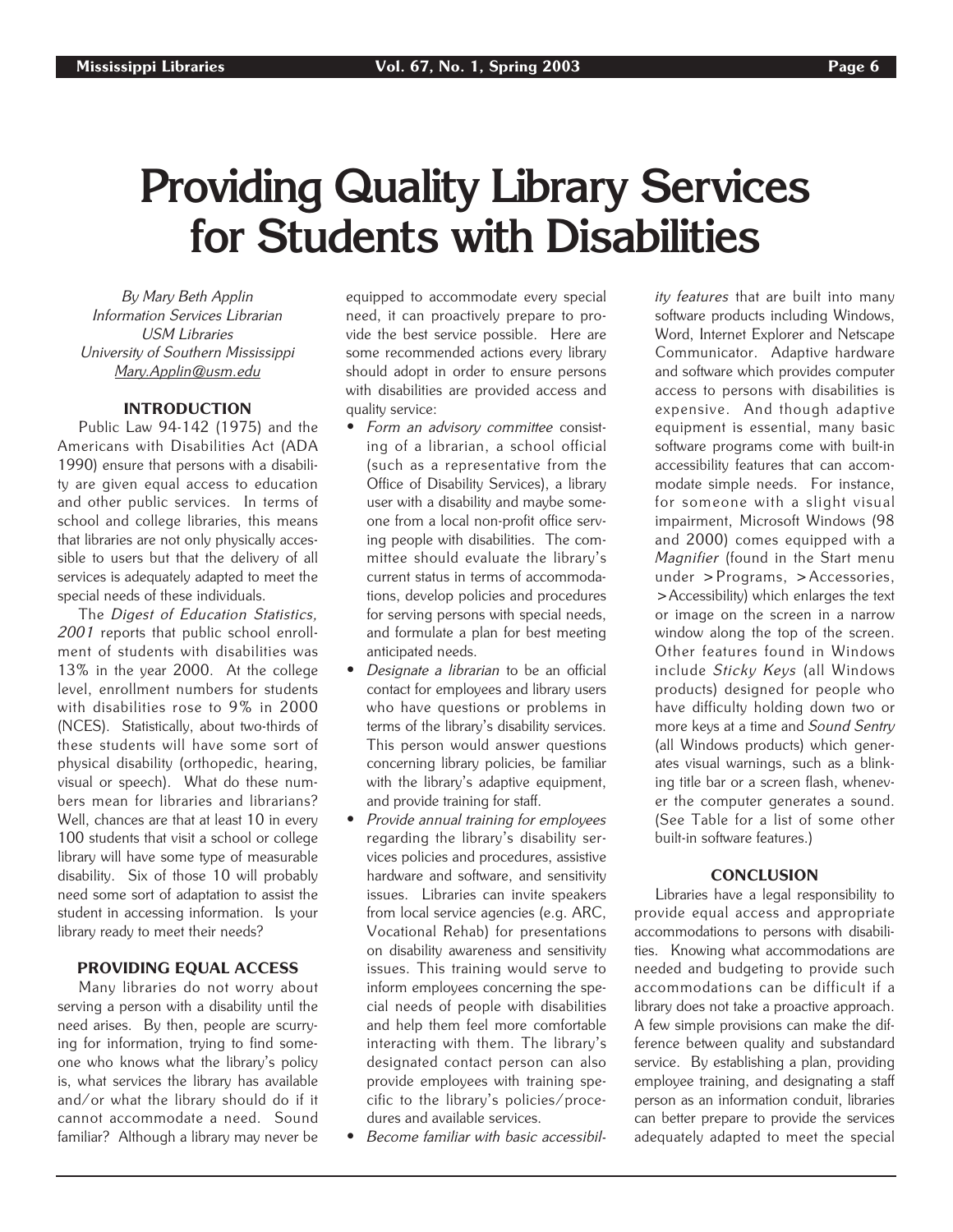## **Providing Quality Library Services for Students with Disabilities**

By Mary Beth Applin Information Services Librarian USM Libraries University of Southern Mississippi Mary.Applin@usm.edu

## INTRODUCTION

Public Law 94-142 (1975) and the Americans with Disabilities Act (ADA 1990) ensure that persons with a disability are given equal access to education and other public services. In terms of school and college libraries, this means that libraries are not only physically accessible to users but that the delivery of all services is adequately adapted to meet the special needs of these individuals.

The Digest of Education Statistics, 2001 reports that public school enrollment of students with disabilities was 13% in the year 2000. At the college level, enrollment numbers for students with disabilities rose to 9% in 2000 (NCES). Statistically, about two-thirds of these students will have some sort of physical disability (orthopedic, hearing, visual or speech). What do these numbers mean for libraries and librarians? Well, chances are that at least 10 in every 100 students that visit a school or college library will have some type of measurable disability. Six of those 10 will probably need some sort of adaptation to assist the student in accessing information. Is your library ready to meet their needs?

## PROVIDING EQUAL ACCESS

Many libraries do not worry about serving a person with a disability until the need arises. By then, people are scurrying for information, trying to find someone who knows what the library's policy is, what services the library has available and/or what the library should do if it cannot accommodate a need. Sound familiar? Although a library may never be equipped to accommodate every special need, it can proactively prepare to provide the best service possible. Here are some recommended actions every library should adopt in order to ensure persons with disabilities are provided access and quality service:

- Form an advisory committee consisting of a librarian, a school official (such as a representative from the Office of Disability Services), a library user with a disability and maybe someone from a local non-profit office serving people with disabilities. The committee should evaluate the library's current status in terms of accommodations, develop policies and procedures for serving persons with special needs, and formulate a plan for best meeting anticipated needs.
- *Designate a librarian* to be an official contact for employees and library users who have questions or problems in terms of the library's disability services. This person would answer questions concerning library policies, be familiar with the library's adaptive equipment, and provide training for staff.
- Provide annual training for employees regarding the library's disability services policies and procedures, assistive hardware and software, and sensitivity issues. Libraries can invite speakers from local service agencies (e.g. ARC, Vocational Rehab) for presentations on disability awareness and sensitivity issues. This training would serve to inform employees concerning the special needs of people with disabilities and help them feel more comfortable interacting with them. The library's designated contact person can also provide employees with training specific to the library's policies/procedures and available services.
- Become familiar with basic accessibil-

ity features that are built into many software products including Windows, Word, Internet Explorer and Netscape Communicator. Adaptive hardware and software which provides computer access to persons with disabilities is expensive. And though adaptive equipment is essential, many basic software programs come with built-in accessibility features that can accommodate simple needs. For instance, for someone with a slight visual impairment, Microsoft Windows (98 and 2000) comes equipped with a Magnifier (found in the Start menu under >Programs, >Accessories, >Accessibility) which enlarges the text or image on the screen in a narrow window along the top of the screen. Other features found in Windows include Sticky Keys (all Windows products) designed for people who have difficulty holding down two or more keys at a time and Sound Sentry (all Windows products) which generates visual warnings, such as a blinking title bar or a screen flash, whenever the computer generates a sound. (See Table for a list of some other built-in software features.)

### **CONCLUSION**

Libraries have a legal responsibility to provide equal access and appropriate accommodations to persons with disabilities. Knowing what accommodations are needed and budgeting to provide such accommodations can be difficult if a library does not take a proactive approach. A few simple provisions can make the difference between quality and substandard service. By establishing a plan, providing employee training, and designating a staff person as an information conduit, libraries can better prepare to provide the services adequately adapted to meet the special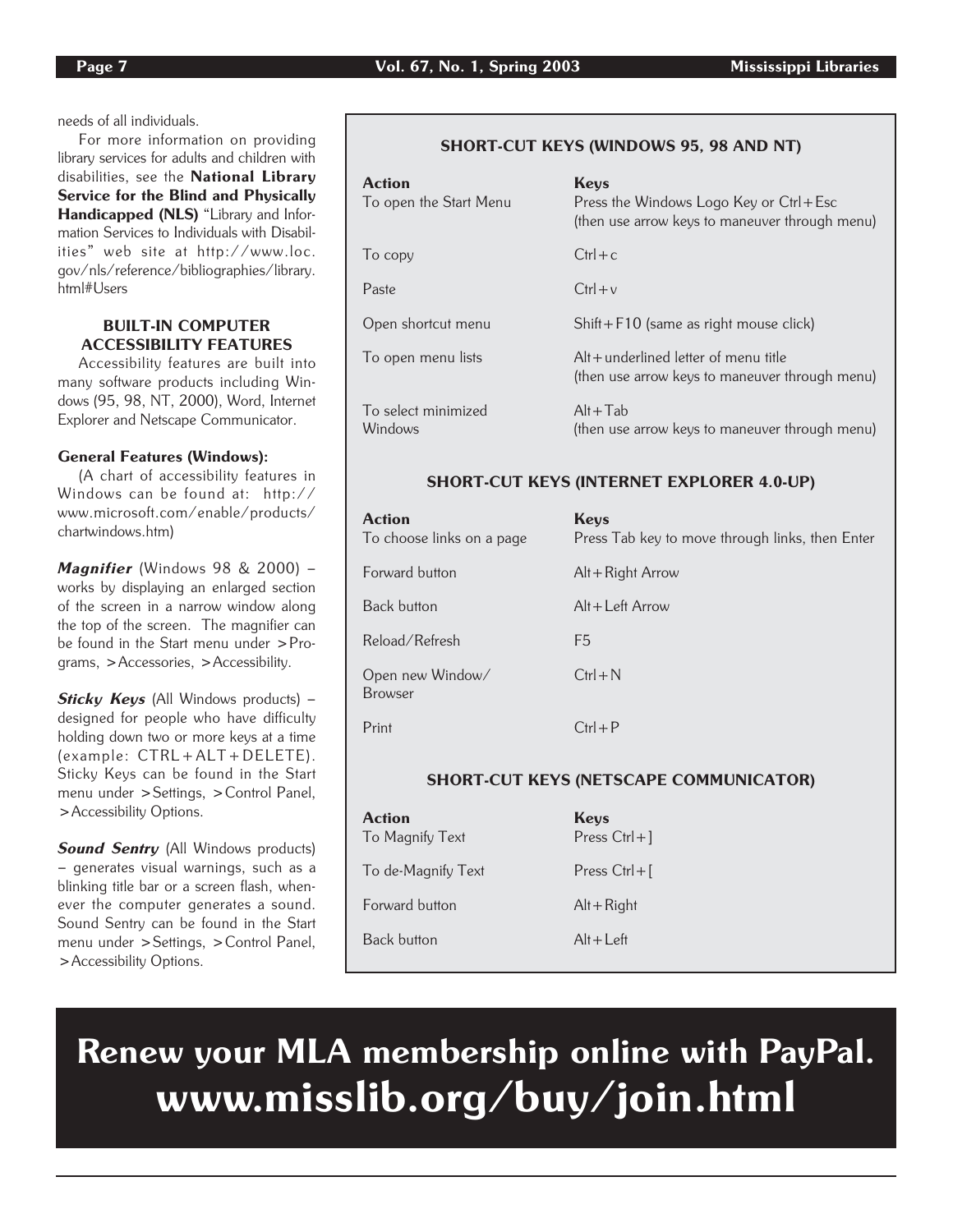needs of all individuals.

For more information on providing library services for adults and children with disabilities, see the National Library Service for the Blind and Physically Handicapped (NLS) "Library and Information Services to Individuals with Disabilities" web site at http://www.loc. gov/nls/reference/bibliographies/library. html#Users

## BUILT-IN COMPUTER ACCESSIBILITY FEATURES

Accessibility features are built into many software products including Windows (95, 98, NT, 2000), Word, Internet Explorer and Netscape Communicator.

## General Features (Windows):

(A chart of accessibility features in Windows can be found at: http:// www.microsoft.com/enable/products/ chartwindows.htm)

Magnifier (Windows 98 & 2000) works by displaying an enlarged section of the screen in a narrow window along the top of the screen. The magnifier can be found in the Start menu under >Programs, >Accessories, >Accessibility.

Sticky Keys (All Windows products) designed for people who have difficulty holding down two or more keys at a time (example: CTRL+ALT+DELETE). Sticky Keys can be found in the Start menu under >Settings, >Control Panel, >Accessibility Options.

**Sound Sentry** (All Windows products) – generates visual warnings, such as a blinking title bar or a screen flash, whenever the computer generates a sound. Sound Sentry can be found in the Start menu under >Settings, >Control Panel, >Accessibility Options.

## SHORT-CUT KEYS (WINDOWS 95, 98 AND NT)

| <b>Action</b><br>To open the Start Menu | <b>Keys</b><br>Press the Windows Logo Key or Ctrl + Esc<br>(then use arrow keys to maneuver through menu) |
|-----------------------------------------|-----------------------------------------------------------------------------------------------------------|
| To copy                                 | $Ctrl + c$                                                                                                |
| Paste                                   | $Ctrl + v$                                                                                                |
| Open shortcut menu                      | $Shift + F10$ (same as right mouse click)                                                                 |
| To open menu lists                      | $Alt + underlined letter of menu title$<br>(then use arrow keys to maneuver through menu)                 |
| To select minimized<br>Windows          | $Alt+Tab$<br>(then use arrow keys to maneuver through menu)                                               |

## SHORT-CUT KEYS (INTERNET EXPLORER 4.0-UP)

| <b>Action</b><br>To choose links on a page | <b>Keys</b><br>Press Tab key to move through links, then Enter |
|--------------------------------------------|----------------------------------------------------------------|
| Forward button                             | $Alt + Right Arrow$                                            |
| <b>Back button</b>                         | $Alt + Left Arrow$                                             |
| Reload/Refresh                             | F5                                                             |
| Open new Window/<br><b>Browser</b>         | $Ctrl + N$                                                     |
| Print                                      | $Ctrl + P$                                                     |

## SHORT-CUT KEYS (NETSCAPE COMMUNICATOR)

| <b>Action</b><br>To Magnify Text | Keys<br>Press $Ctrl + ]$ |
|----------------------------------|--------------------------|
| To de-Magnify Text               | Press $Ctrl + \lceil$    |
| Forward button                   | $Alt + Right$            |
| <b>Back button</b>               | $Alt+Left$               |

Renew your MLA membership online with PayPal. www.misslib.org/buy/join.html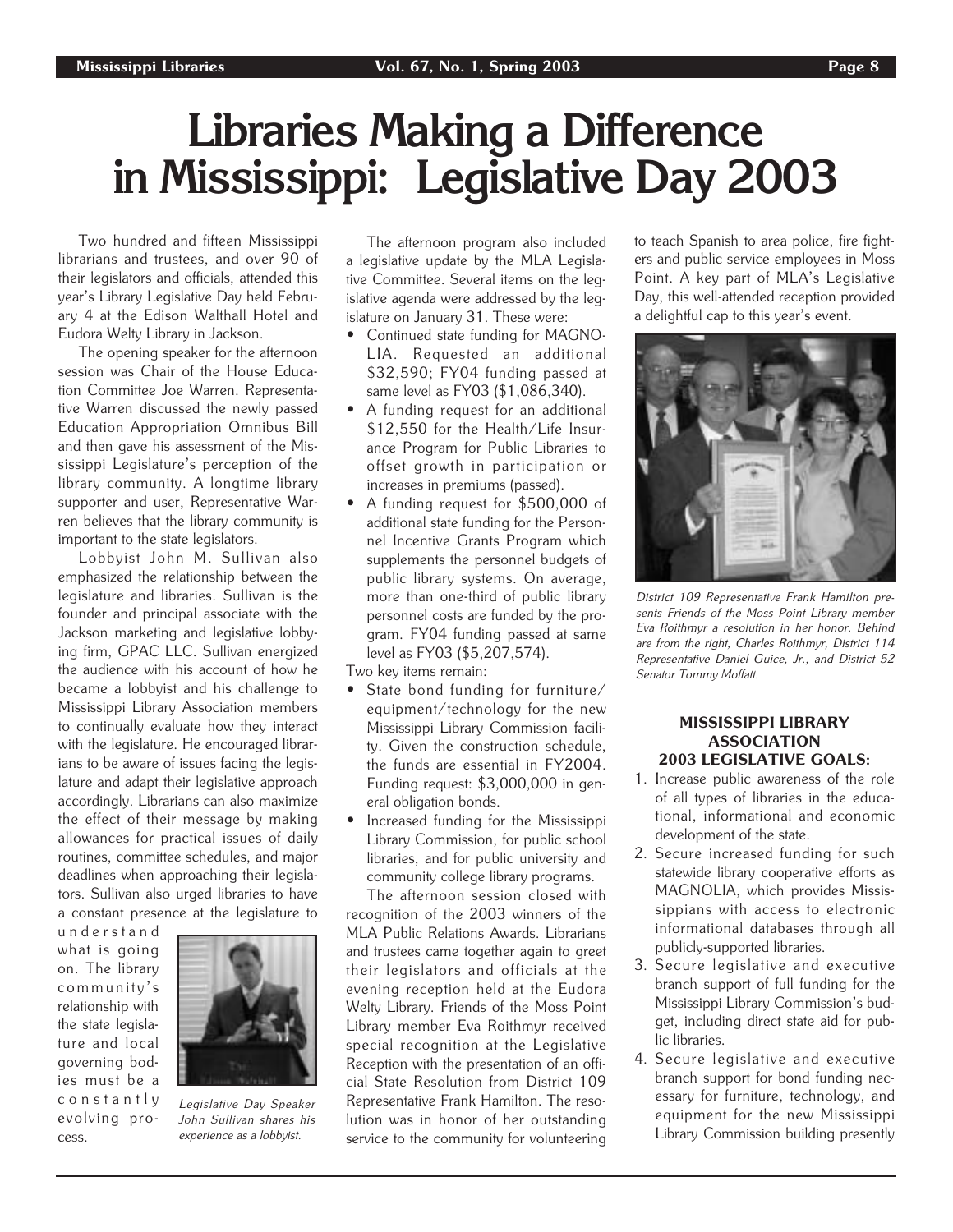## **Libraries Making a Difference in Mississippi: Legislative Day 2003**

Two hundred and fifteen Mississippi librarians and trustees, and over 90 of their legislators and officials, attended this year's Library Legislative Day held February 4 at the Edison Walthall Hotel and Eudora Welty Library in Jackson.

The opening speaker for the afternoon session was Chair of the House Education Committee Joe Warren. Representative Warren discussed the newly passed Education Appropriation Omnibus Bill and then gave his assessment of the Mississippi Legislature's perception of the library community. A longtime library supporter and user, Representative Warren believes that the library community is important to the state legislators.

Lobbyist John M. Sullivan also emphasized the relationship between the legislature and libraries. Sullivan is the founder and principal associate with the Jackson marketing and legislative lobbying firm, GPAC LLC. Sullivan energized the audience with his account of how he became a lobbyist and his challenge to Mississippi Library Association members to continually evaluate how they interact with the legislature. He encouraged librarians to be aware of issues facing the legislature and adapt their legislative approach accordingly. Librarians can also maximize the effect of their message by making allowances for practical issues of daily routines, committee schedules, and major deadlines when approaching their legislators. Sullivan also urged libraries to have a constant presence at the legislature to

understand what is going on. The library community's relationship with the state legislature and local governing bodies must be a constantly evolving process.



Legislative Day Speaker John Sullivan shares his experience as a lobbyist.

The afternoon program also included a legislative update by the MLA Legislative Committee. Several items on the legislative agenda were addressed by the legislature on January 31. These were:

- Continued state funding for MAGNO-LIA. Requested an additional \$32,590; FY04 funding passed at same level as FY03 (\$1,086,340).
- A funding request for an additional \$12,550 for the Health/Life Insurance Program for Public Libraries to offset growth in participation or increases in premiums (passed).
- A funding request for \$500,000 of additional state funding for the Personnel Incentive Grants Program which supplements the personnel budgets of public library systems. On average, more than one-third of public library personnel costs are funded by the program. FY04 funding passed at same level as FY03 (\$5,207,574).

Two key items remain:

- State bond funding for furniture/ equipment/technology for the new Mississippi Library Commission facility. Given the construction schedule, the funds are essential in FY2004. Funding request: \$3,000,000 in general obligation bonds.
- Increased funding for the Mississippi Library Commission, for public school libraries, and for public university and community college library programs.

The afternoon session closed with recognition of the 2003 winners of the MLA Public Relations Awards. Librarians and trustees came together again to greet their legislators and officials at the evening reception held at the Eudora Welty Library. Friends of the Moss Point Library member Eva Roithmyr received special recognition at the Legislative Reception with the presentation of an official State Resolution from District 109 Representative Frank Hamilton. The resolution was in honor of her outstanding service to the community for volunteering

to teach Spanish to area police, fire fighters and public service employees in Moss Point. A key part of MLA's Legislative Day, this well-attended reception provided a delightful cap to this year's event.



District 109 Representative Frank Hamilton presents Friends of the Moss Point Library member Eva Roithmyr a resolution in her honor. Behind are from the right, Charles Roithmyr, District 114 Representative Daniel Guice, Jr., and District 52 Senator Tommy Moffatt.

## MISSISSIPPI LIBRARY ASSOCIATION 2003 LEGISLATIVE GOALS:

- 1. Increase public awareness of the role of all types of libraries in the educational, informational and economic development of the state.
- 2. Secure increased funding for such statewide library cooperative efforts as MAGNOLIA, which provides Mississippians with access to electronic informational databases through all publicly-supported libraries.
- 3. Secure legislative and executive branch support of full funding for the Mississippi Library Commission's budget, including direct state aid for public libraries.
- 4. Secure legislative and executive branch support for bond funding necessary for furniture, technology, and equipment for the new Mississippi Library Commission building presently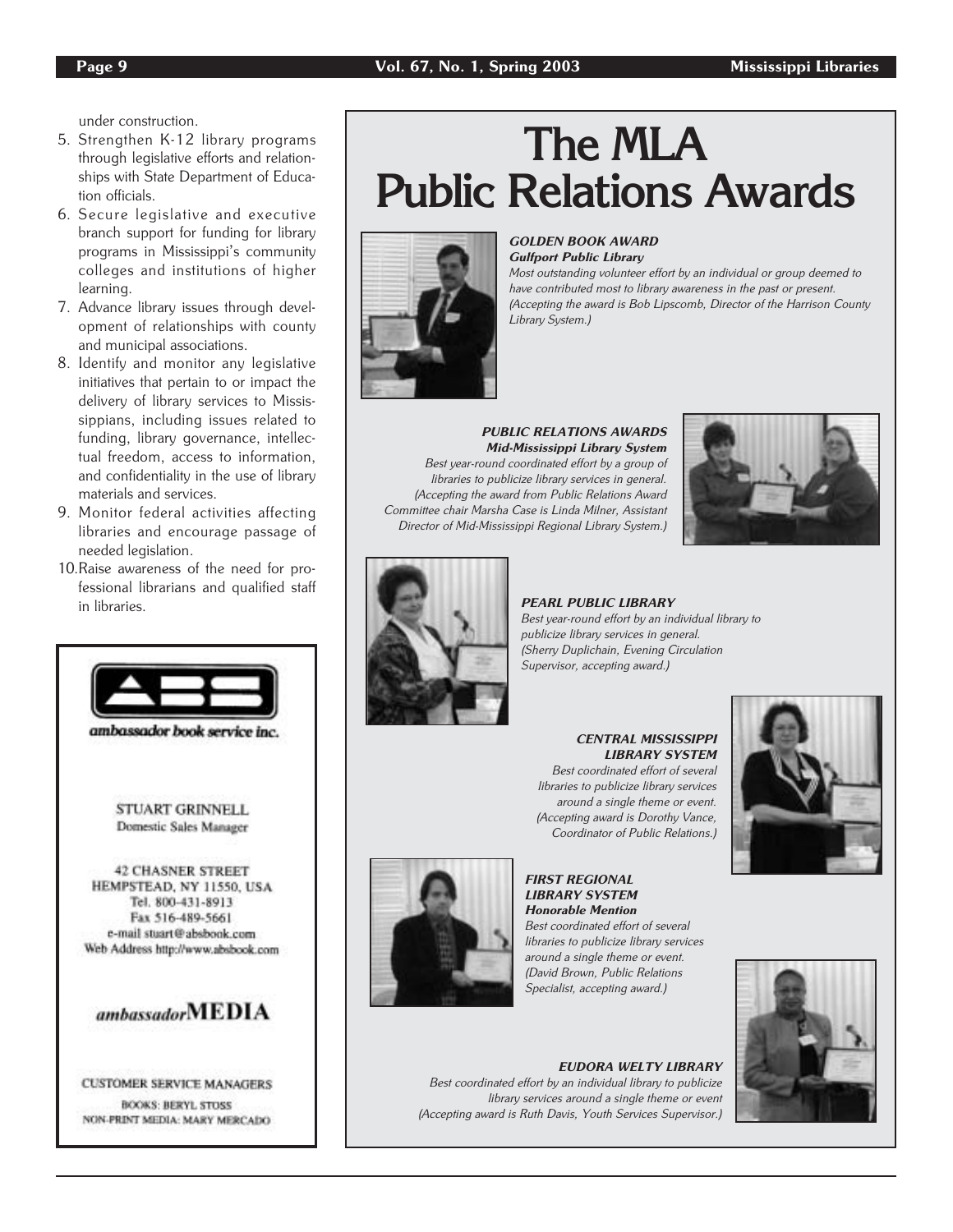under construction.

- 5. Strengthen K-12 library programs through legislative efforts and relationships with State Department of Education officials.
- 6. Secure legislative and executive branch support for funding for library programs in Mississippi's community colleges and institutions of higher learning.
- 7. Advance library issues through development of relationships with county and municipal associations.
- 8. Identify and monitor any legislative initiatives that pertain to or impact the delivery of library services to Mississippians, including issues related to funding, library governance, intellectual freedom, access to information, and confidentiality in the use of library materials and services.
- 9. Monitor federal activities affecting libraries and encourage passage of needed legislation.
- 10.Raise awareness of the need for professional librarians and qualified staff in libraries.



STUART GRINNELL Domestic Sales Manager

**42 CHASNER STREET** HEMPSTEAD, NY 11550, USA Tel. 800-431-8913 Fax 516-489-5661 e-mail stuart@absbook.com Web Address http://www.absbook.com



**CUSTOMER SERVICE MANAGERS BOOKS: BERYL STOSS** NON-PRINT MEDIA: MARY MERCADO

## **The MLA Public Relations Awards**



### GOLDEN BOOK AWARD Gulfport Public Library

Most outstanding volunteer effort by an individual or group deemed to have contributed most to library awareness in the past or present. (Accepting the award is Bob Lipscomb, Director of the Harrison County Library System.)

#### PUBLIC RELATIONS AWARDS Mid-Mississippi Library System Best year-round coordinated effort by a group of libraries to publicize library services in general. (Accepting the award from Public Relations Award Committee chair Marsha Case is Linda Milner, Assistant

Director of Mid-Mississippi Regional Library System.)





PEARL PUBLIC LIBRARY Best year-round effort by an individual library to publicize library services in general. (Sherry Duplichain, Evening Circulation Supervisor, accepting award.)

## CENTRAL MISSISSIPPI LIBRARY SYSTEM

Best coordinated effort of several libraries to publicize library services around a single theme or event. (Accepting award is Dorothy Vance, Coordinator of Public Relations.)





### FIRST REGIONAL LIBRARY SYSTEM Honorable Mention

Best coordinated effort of several libraries to publicize library services around a single theme or event. (David Brown, Public Relations Specialist, accepting award.)



## EUDORA WELTY LIBRARY

Best coordinated effort by an individual library to publicize library services around a single theme or event (Accepting award is Ruth Davis, Youth Services Supervisor.)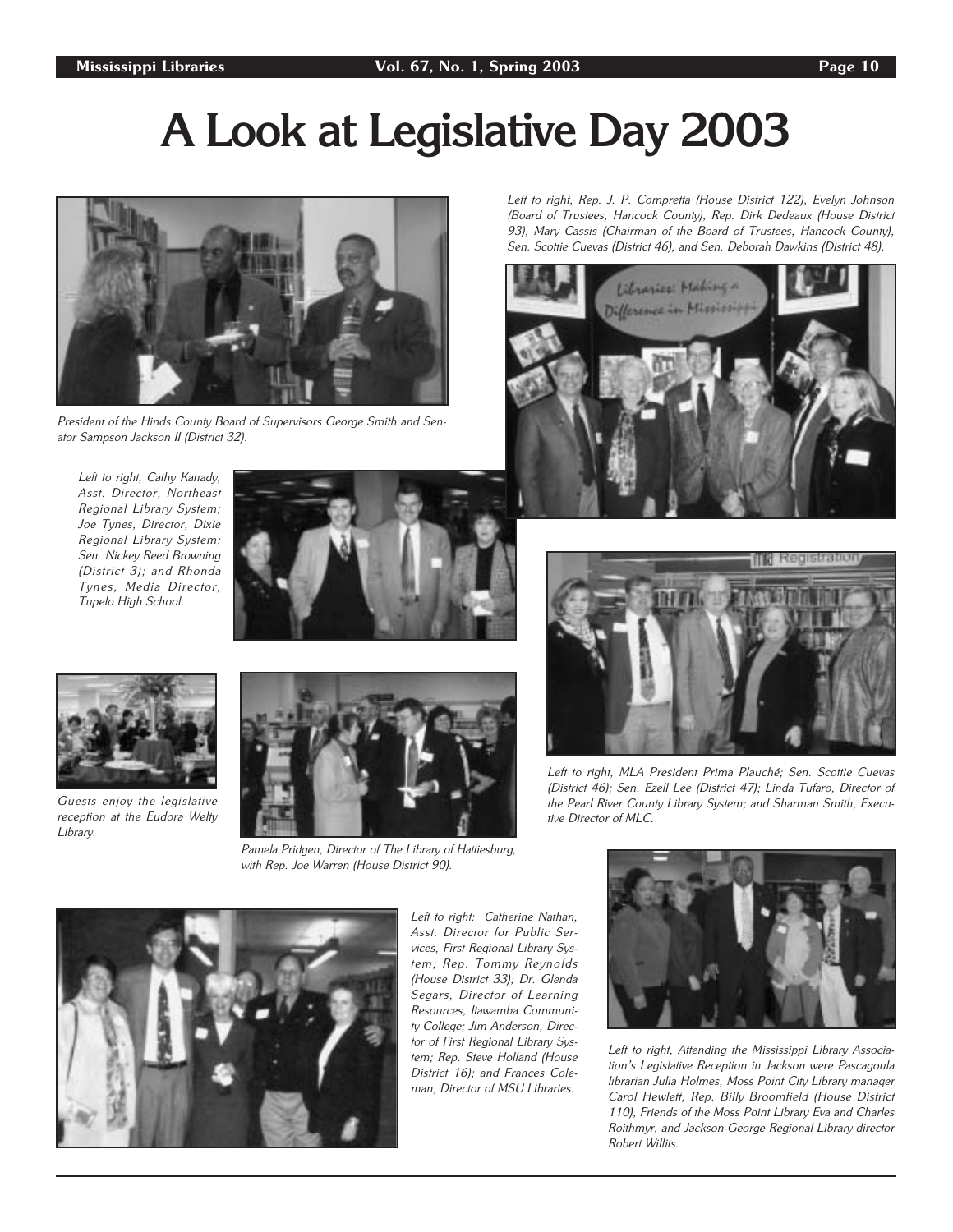## **A Look at Legislative Day 2003**



President of the Hinds County Board of Supervisors George Smith and Senator Sampson Jackson II (District 32).

Left to right, Cathy Kanady, Asst. Director, Northeast Regional Library System; Joe Tynes, Director, Dixie Regional Library System; Sen. Nickey Reed Browning (District 3); and Rhonda Tynes, Media Director, Tupelo High School.





Guests enjoy the legislative reception at the Eudora Welty Library.



Pamela Pridgen, Director of The Library of Hattiesburg, with Rep. Joe Warren (House District 90).



Left to right: Catherine Nathan, Asst. Director for Public Services, First Regional Library System; Rep. Tommy Reynolds (House District 33); Dr. Glenda Segars, Director of Learning Resources, Itawamba Community College; Jim Anderson, Director of First Regional Library System; Rep. Steve Holland (House District 16); and Frances Coleman, Director of MSU Libraries.



Left to right, Rep. J. P. Compretta (House District 122), Evelyn Johnson (Board of Trustees, Hancock County), Rep. Dirk Dedeaux (House District 93), Mary Cassis (Chairman of the Board of Trustees, Hancock County), Sen. Scottie Cuevas (District 46), and Sen. Deborah Dawkins (District 48).

Libraries: Making a



Left to right, MLA President Prima Plauché; Sen. Scottie Cuevas (District 46); Sen. Ezell Lee (District 47); Linda Tufaro, Director of the Pearl River County Library System; and Sharman Smith, Executive Director of MLC.



Left to right, Attending the Mississippi Library Association's Legislative Reception in Jackson were Pascagoula librarian Julia Holmes, Moss Point City Library manager Carol Hewlett, Rep. Billy Broomfield (House District 110), Friends of the Moss Point Library Eva and Charles Roithmyr, and Jackson-George Regional Library director Robert Willits.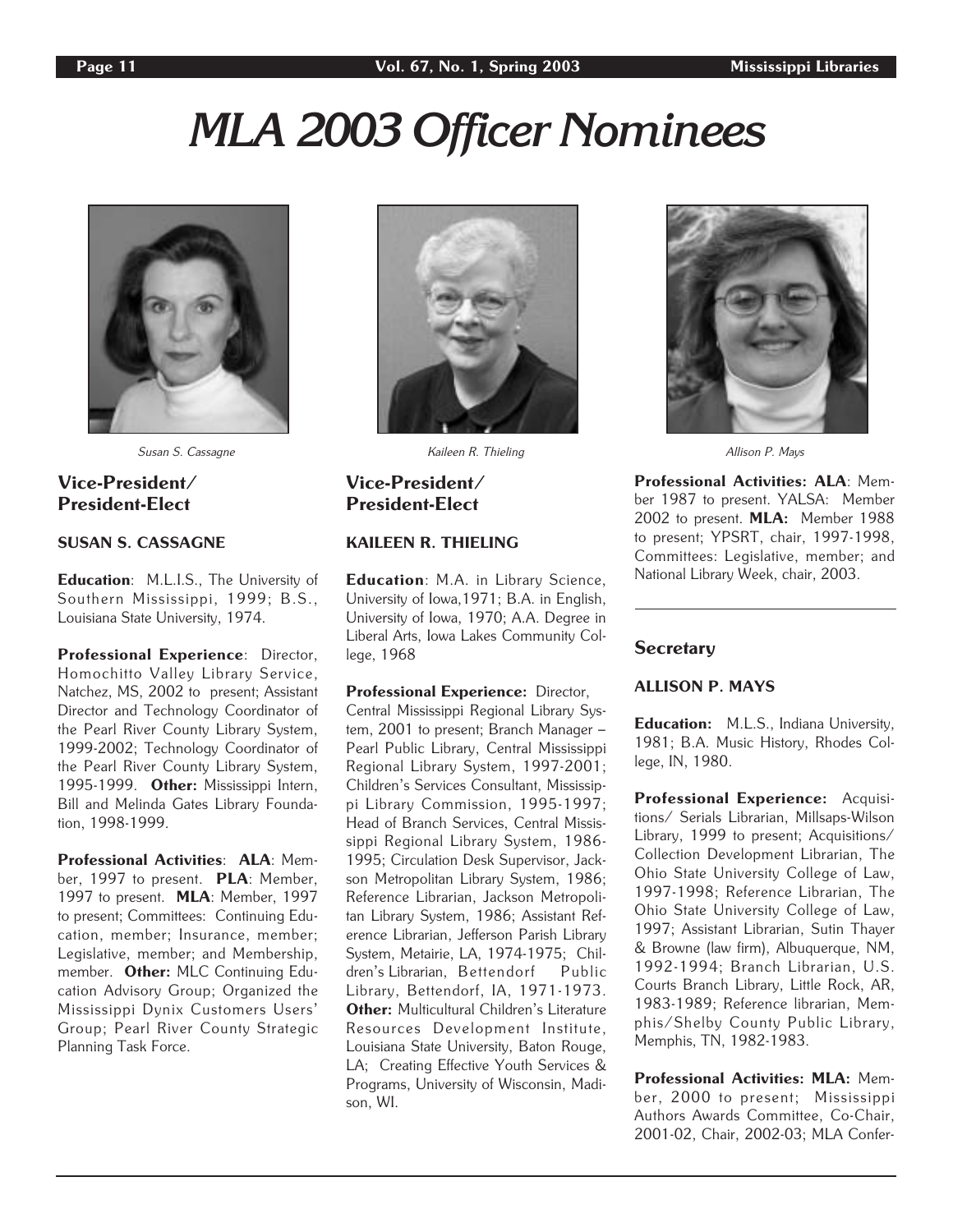# *MLA 2003 Officer Nominees*



Susan S. Cassagne Susan Allison P. Mays National Material R. Thieling Allison P. Mays National P. Mays National Media Allison P. Mays National Allison P. Mays National Allison P. Mays National Allison P. Mays National Alli

## Vice-President/ President-Elect

## SUSAN S. CASSAGNE

Education: M.L.I.S., The University of Southern Mississippi, 1999; B.S., Louisiana State University, 1974.

Professional Experience: Director, Homochitto Valley Library Service, Natchez, MS, 2002 to present; Assistant Director and Technology Coordinator of the Pearl River County Library System, 1999-2002; Technology Coordinator of the Pearl River County Library System, 1995-1999. Other: Mississippi Intern, Bill and Melinda Gates Library Foundation, 1998-1999.

Professional Activities: ALA: Member, 1997 to present. PLA: Member, 1997 to present. MLA: Member, 1997 to present; Committees: Continuing Education, member; Insurance, member; Legislative, member; and Membership, member. Other: MLC Continuing Education Advisory Group; Organized the Mississippi Dynix Customers Users' Group; Pearl River County Strategic Planning Task Force.



## Vice-President/ President-Elect

## KAILEEN R. THIELING

Education: M.A. in Library Science, University of Iowa,1971; B.A. in English, University of Iowa, 1970; A.A. Degree in Liberal Arts, Iowa Lakes Community College, 1968

Professional Experience: Director, Central Mississippi Regional Library System, 2001 to present; Branch Manager – Pearl Public Library, Central Mississippi Regional Library System, 1997-2001; Children's Services Consultant, Mississippi Library Commission, 1995-1997; Head of Branch Services, Central Mississippi Regional Library System, 1986- 1995; Circulation Desk Supervisor, Jackson Metropolitan Library System, 1986; Reference Librarian, Jackson Metropolitan Library System, 1986; Assistant Reference Librarian, Jefferson Parish Library System, Metairie, LA, 1974-1975; Children's Librarian, Bettendorf Public Library, Bettendorf, IA, 1971-1973. Other: Multicultural Children's Literature Resources Development Institute, Louisiana State University, Baton Rouge, LA; Creating Effective Youth Services & Programs, University of Wisconsin, Madison, WI.



Professional Activities: ALA: Member 1987 to present. YALSA: Member 2002 to present. MLA: Member 1988 to present; YPSRT, chair, 1997-1998, Committees: Legislative, member; and National Library Week, chair, 2003.

## **Secretary**

## ALLISON P. MAYS

Education: M.L.S., Indiana University, 1981; B.A. Music History, Rhodes College, IN, 1980.

Professional Experience: Acquisitions/ Serials Librarian, Millsaps-Wilson Library, 1999 to present; Acquisitions/ Collection Development Librarian, The Ohio State University College of Law, 1997-1998; Reference Librarian, The Ohio State University College of Law, 1997; Assistant Librarian, Sutin Thayer & Browne (law firm), Albuquerque, NM, 1992-1994; Branch Librarian, U.S. Courts Branch Library, Little Rock, AR, 1983-1989; Reference librarian, Memphis/Shelby County Public Library, Memphis, TN, 1982-1983.

Professional Activities: MLA: Member, 2000 to present; Mississippi Authors Awards Committee, Co-Chair, 2001-02, Chair, 2002-03; MLA Confer-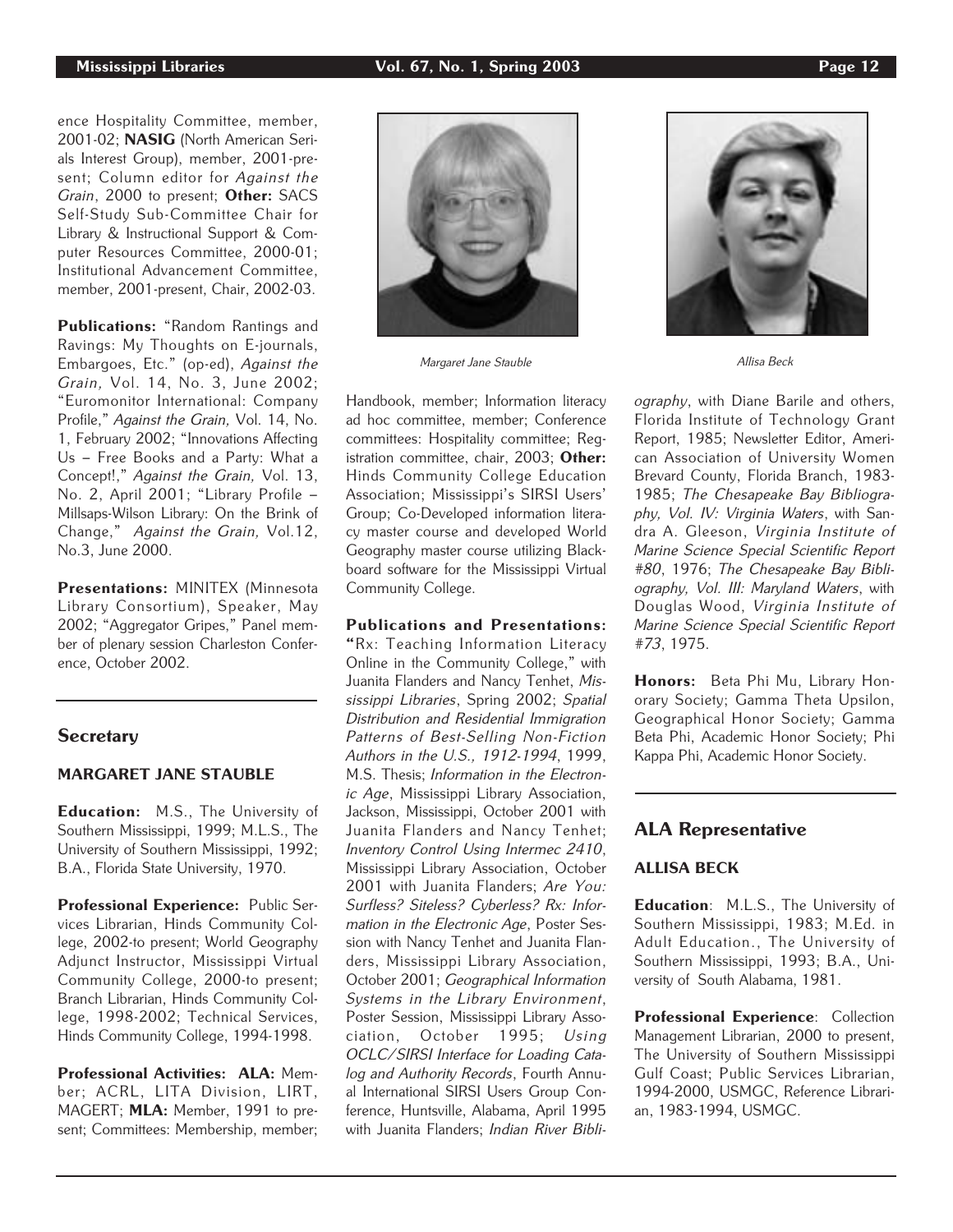ence Hospitality Committee, member, 2001-02; NASIG (North American Serials Interest Group), member, 2001-present; Column editor for Against the Grain, 2000 to present; Other: SACS Self-Study Sub-Committee Chair for Library & Instructional Support & Computer Resources Committee, 2000-01; Institutional Advancement Committee, member, 2001-present, Chair, 2002-03.

Publications: "Random Rantings and Ravings: My Thoughts on E-journals, Embargoes, Etc." (op-ed), Against the Grain, Vol. 14, No. 3, June 2002; "Euromonitor International: Company Profile," Against the Grain, Vol. 14, No. 1, February 2002; "Innovations Affecting Us – Free Books and a Party: What a Concept!," Against the Grain, Vol. 13, No. 2, April 2001; "Library Profile – Millsaps-Wilson Library: On the Brink of Change," Against the Grain, Vol.12, No.3, June 2000.

Presentations: MINITEX (Minnesota Library Consortium), Speaker, May 2002; "Aggregator Gripes," Panel member of plenary session Charleston Conference, October 2002.

## **Secretary**

## MARGARET JANE STAUBLE

Education: M.S., The University of Southern Mississippi, 1999; M.L.S., The University of Southern Mississippi, 1992; B.A., Florida State University, 1970.

Professional Experience: Public Services Librarian, Hinds Community College, 2002-to present; World Geography Adjunct Instructor, Mississippi Virtual Community College, 2000-to present; Branch Librarian, Hinds Community College, 1998-2002; Technical Services, Hinds Community College, 1994-1998.

Professional Activities: ALA: Member; ACRL, LITA Division, LIRT, MAGERT; MLA: Member, 1991 to present; Committees: Membership, member;



Handbook, member; Information literacy ad hoc committee, member; Conference committees: Hospitality committee; Registration committee, chair, 2003; Other: Hinds Community College Education Association; Mississippi's SIRSI Users' Group; Co-Developed information literacy master course and developed World Geography master course utilizing Blackboard software for the Mississippi Virtual Community College.

## Publications and Presentations:

"Rx: Teaching Information Literacy Online in the Community College," with Juanita Flanders and Nancy Tenhet, Mississippi Libraries, Spring 2002; Spatial Distribution and Residential Immigration Patterns of Best-Selling Non-Fiction Authors in the U.S., 1912-1994, 1999, M.S. Thesis; Information in the Electronic Age, Mississippi Library Association, Jackson, Mississippi, October 2001 with Juanita Flanders and Nancy Tenhet; Inventory Control Using Intermec 2410, Mississippi Library Association, October 2001 with Juanita Flanders; Are You: Surfless? Siteless? Cyberless? Rx: Information in the Electronic Age, Poster Session with Nancy Tenhet and Juanita Flanders, Mississippi Library Association, October 2001; Geographical Information Systems in the Library Environment, Poster Session, Mississippi Library Association, October 1995; Using OCLC/SIRSI Interface for Loading Catalog and Authority Records, Fourth Annual International SIRSI Users Group Conference, Huntsville, Alabama, April 1995 with Juanita Flanders; Indian River Bibli-



ography, with Diane Barile and others, Florida Institute of Technology Grant Report, 1985; Newsletter Editor, American Association of University Women Brevard County, Florida Branch, 1983- 1985; The Chesapeake Bay Bibliography, Vol. IV: Virginia Waters, with Sandra A. Gleeson, Virginia Institute of Marine Science Special Scientific Report #80, 1976; The Chesapeake Bay Bibliography, Vol. III: Maryland Waters, with Douglas Wood, Virginia Institute of Marine Science Special Scientific Report #73, 1975.

Honors: Beta Phi Mu, Library Honorary Society; Gamma Theta Upsilon, Geographical Honor Society; Gamma Beta Phi, Academic Honor Society; Phi Kappa Phi, Academic Honor Society.

## ALA Representative

## ALLISA BECK

Education: M.L.S., The University of Southern Mississippi, 1983; M.Ed. in Adult Education., The University of Southern Mississippi, 1993; B.A., University of South Alabama, 1981.

Professional Experience: Collection Management Librarian, 2000 to present, The University of Southern Mississippi Gulf Coast; Public Services Librarian, 1994-2000, USMGC, Reference Librarian, 1983-1994, USMGC.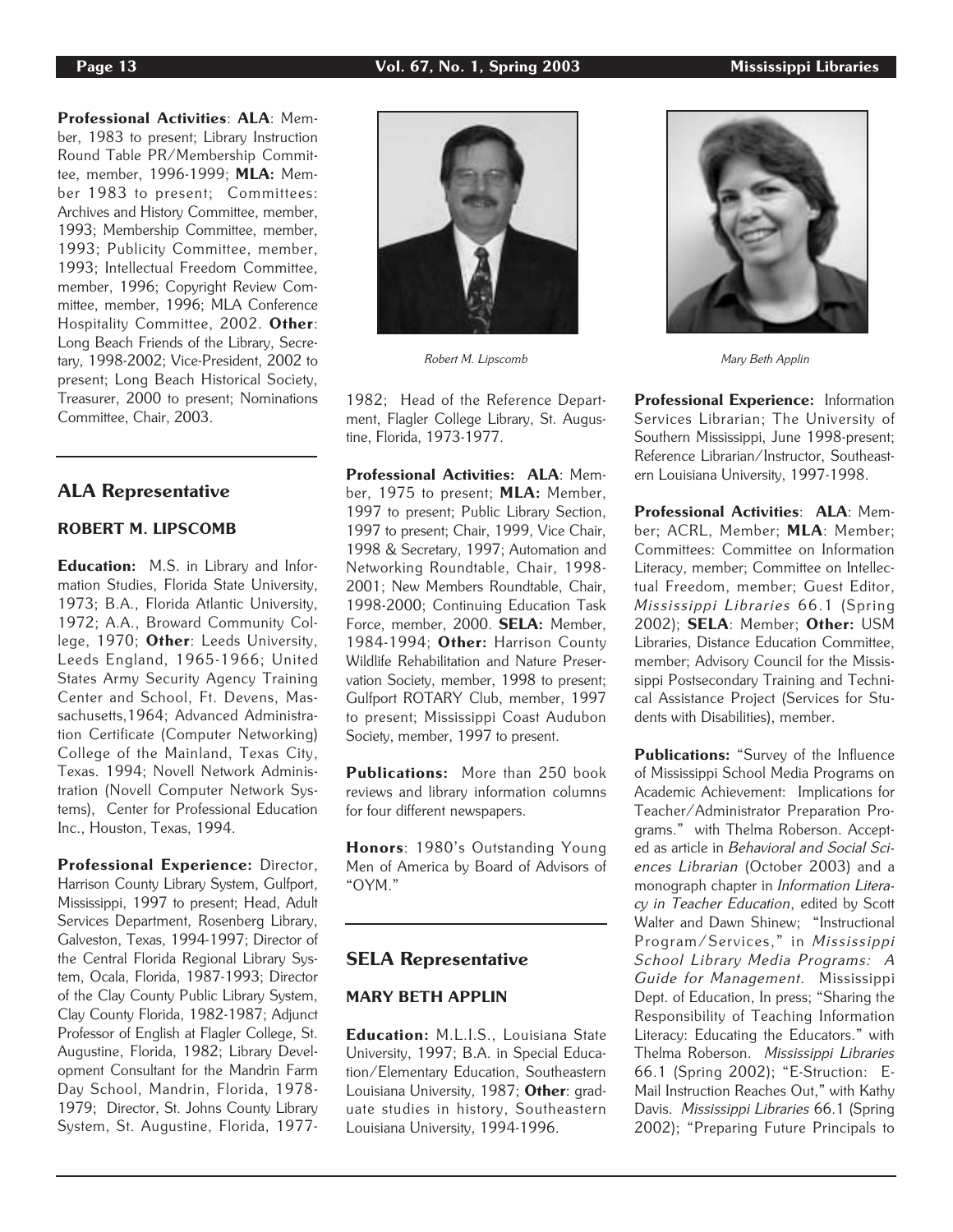Professional Activities: ALA: Member, 1983 to present; Library Instruction Round Table PR/Membership Committee, member, 1996-1999; MLA: Member 1983 to present; Committees: Archives and History Committee, member, 1993; Membership Committee, member, 1993; Publicity Committee, member, 1993; Intellectual Freedom Committee, member, 1996; Copyright Review Committee, member, 1996; MLA Conference Hospitality Committee, 2002. Other: Long Beach Friends of the Library, Secretary, 1998-2002; Vice-President, 2002 to present; Long Beach Historical Society, Treasurer, 2000 to present; Nominations Committee, Chair, 2003.

## ALA Representative

## ROBERT M. LIPSCOMB

Education: M.S. in Library and Information Studies, Florida State University, 1973; B.A., Florida Atlantic University, 1972; A.A., Broward Community College, 1970; Other: Leeds University, Leeds England, 1965-1966; United States Army Security Agency Training Center and School, Ft. Devens, Massachusetts,1964; Advanced Administration Certificate (Computer Networking) College of the Mainland, Texas City, Texas. 1994; Novell Network Administration (Novell Computer Network Systems), Center for Professional Education Inc., Houston, Texas, 1994.

Professional Experience: Director, Harrison County Library System, Gulfport, Mississippi, 1997 to present; Head, Adult Services Department, Rosenberg Library, Galveston, Texas, 1994-1997; Director of the Central Florida Regional Library System, Ocala, Florida, 1987-1993; Director of the Clay County Public Library System, Clay County Florida, 1982-1987; Adjunct Professor of English at Flagler College, St. Augustine, Florida, 1982; Library Development Consultant for the Mandrin Farm Day School, Mandrin, Florida, 1978- 1979; Director, St. Johns County Library System, St. Augustine, Florida, 1977-



Robert M. Lipscomb Mary Beth Applin

1982; Head of the Reference Department, Flagler College Library, St. Augustine, Florida, 1973-1977.

Professional Activities: ALA: Member, 1975 to present; MLA: Member, 1997 to present; Public Library Section, 1997 to present; Chair, 1999, Vice Chair, 1998 & Secretary, 1997; Automation and Networking Roundtable, Chair, 1998- 2001; New Members Roundtable, Chair, 1998-2000; Continuing Education Task Force, member, 2000. SELA: Member, 1984-1994; Other: Harrison County Wildlife Rehabilitation and Nature Preservation Society, member, 1998 to present; Gulfport ROTARY Club, member, 1997 to present; Mississippi Coast Audubon Society, member, 1997 to present.

Publications: More than 250 book reviews and library information columns for four different newspapers.

Honors: 1980's Outstanding Young Men of America by Board of Advisors of "OYM."

## SELA Representative

## MARY BETH APPLIN

Education: M.L.I.S., Louisiana State University, 1997; B.A. in Special Education/Elementary Education, Southeastern Louisiana University, 1987; Other: graduate studies in history, Southeastern Louisiana University, 1994-1996.



Professional Experience: Information Services Librarian; The University of Southern Mississippi, June 1998-present; Reference Librarian/Instructor, Southeastern Louisiana University, 1997-1998.

Professional Activities: ALA: Member; ACRL, Member; MLA: Member; Committees: Committee on Information Literacy, member; Committee on Intellectual Freedom, member; Guest Editor, Mississippi Libraries 66.1 (Spring 2002); SELA: Member; Other: USM Libraries, Distance Education Committee, member; Advisory Council for the Mississippi Postsecondary Training and Technical Assistance Project (Services for Students with Disabilities), member.

Publications: "Survey of the Influence of Mississippi School Media Programs on Academic Achievement: Implications for Teacher/Administrator Preparation Programs." with Thelma Roberson. Accepted as article in Behavioral and Social Sciences Librarian (October 2003) and a monograph chapter in Information Literacy in Teacher Education, edited by Scott Walter and Dawn Shinew; "Instructional Program/Services," in Mississippi School Library Media Programs: A Guide for Management. Mississippi Dept. of Education, In press; "Sharing the Responsibility of Teaching Information Literacy: Educating the Educators." with Thelma Roberson. Mississippi Libraries 66.1 (Spring 2002); "E-Struction: E-Mail Instruction Reaches Out," with Kathy Davis. Mississippi Libraries 66.1 (Spring 2002); "Preparing Future Principals to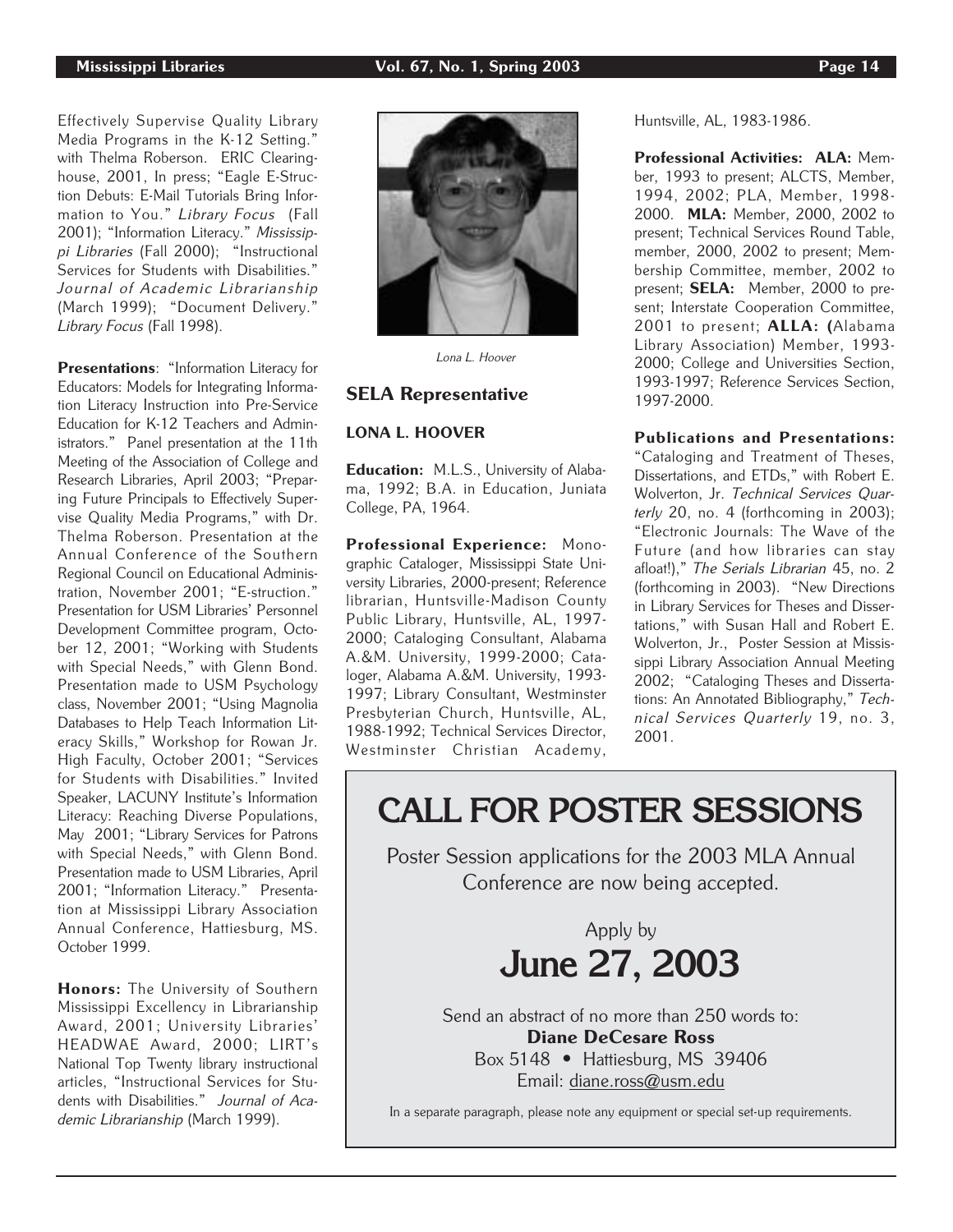## Mississippi Libraries Vol. 67, No. 1, Spring 2003 Page 14

Effectively Supervise Quality Library Media Programs in the K-12 Setting." with Thelma Roberson. ERIC Clearinghouse, 2001, In press; "Eagle E-Struction Debuts: E-Mail Tutorials Bring Infor-

mation to You." Library Focus (Fall 2001); "Information Literacy." Mississippi Libraries (Fall 2000); "Instructional Services for Students with Disabilities." Journal of Academic Librarianship (March 1999); "Document Delivery." Library Focus (Fall 1998).

Presentations: "Information Literacy for Educators: Models for Integrating Information Literacy Instruction into Pre-Service Education for K-12 Teachers and Administrators." Panel presentation at the 11th Meeting of the Association of College and Research Libraries, April 2003; "Preparing Future Principals to Effectively Supervise Quality Media Programs," with Dr. Thelma Roberson. Presentation at the Annual Conference of the Southern Regional Council on Educational Administration, November 2001; "E-struction." Presentation for USM Libraries' Personnel Development Committee program, October 12, 2001; "Working with Students with Special Needs," with Glenn Bond. Presentation made to USM Psychology class, November 2001; "Using Magnolia Databases to Help Teach Information Literacy Skills," Workshop for Rowan Jr. High Faculty, October 2001; "Services for Students with Disabilities." Invited Speaker, LACUNY Institute's Information Literacy: Reaching Diverse Populations, May 2001; "Library Services for Patrons with Special Needs," with Glenn Bond. Presentation made to USM Libraries, April 2001; "Information Literacy." Presentation at Mississippi Library Association Annual Conference, Hattiesburg, MS. October 1999.

Honors: The University of Southern Mississippi Excellency in Librarianship Award, 2001; University Libraries' HEADWAE Award, 2000; LIRT's National Top Twenty library instructional articles, "Instructional Services for Students with Disabilities." Journal of Academic Librarianship (March 1999).



Lona L. Hoover

## SELA Representative

## LONA L. HOOVER

Education: M.L.S., University of Alabama, 1992; B.A. in Education, Juniata College, PA, 1964.

Professional Experience: Monographic Cataloger, Mississippi State University Libraries, 2000-present; Reference librarian, Huntsville-Madison County Public Library, Huntsville, AL, 1997- 2000; Cataloging Consultant, Alabama A.&M. University, 1999-2000; Cataloger, Alabama A.&M. University, 1993- 1997; Library Consultant, Westminster Presbyterian Church, Huntsville, AL, 1988-1992; Technical Services Director, Westminster Christian Academy,

Huntsville, AL, 1983-1986.

Professional Activities: ALA: Member, 1993 to present; ALCTS, Member, 1994, 2002; PLA, Member, 1998- 2000. MLA: Member, 2000, 2002 to present; Technical Services Round Table, member, 2000, 2002 to present; Membership Committee, member, 2002 to present; **SELA:** Member, 2000 to present; Interstate Cooperation Committee, 2001 to present; ALLA: (Alabama Library Association) Member, 1993- 2000; College and Universities Section, 1993-1997; Reference Services Section, 1997-2000.

Publications and Presentations:

"Cataloging and Treatment of Theses, Dissertations, and ETDs," with Robert E. Wolverton, Jr. Technical Services Quarterly 20, no. 4 (forthcoming in 2003); "Electronic Journals: The Wave of the Future (and how libraries can stay afloat!)," The Serials Librarian 45, no. 2 (forthcoming in 2003). "New Directions in Library Services for Theses and Dissertations," with Susan Hall and Robert E. Wolverton, Jr., Poster Session at Mississippi Library Association Annual Meeting 2002; "Cataloging Theses and Dissertations: An Annotated Bibliography," Technical Services Quarterly 19, no. 3, 2001.

## **CALL FOR POSTER SESSIONS**

Poster Session applications for the 2003 MLA Annual Conference are now being accepted.

> Apply by **June 27, 2003**

Send an abstract of no more than 250 words to: Diane DeCesare Ross Box 5148 • Hattiesburg, MS 39406

Email: diane.ross@usm.edu

In a separate paragraph, please note any equipment or special set-up requirements.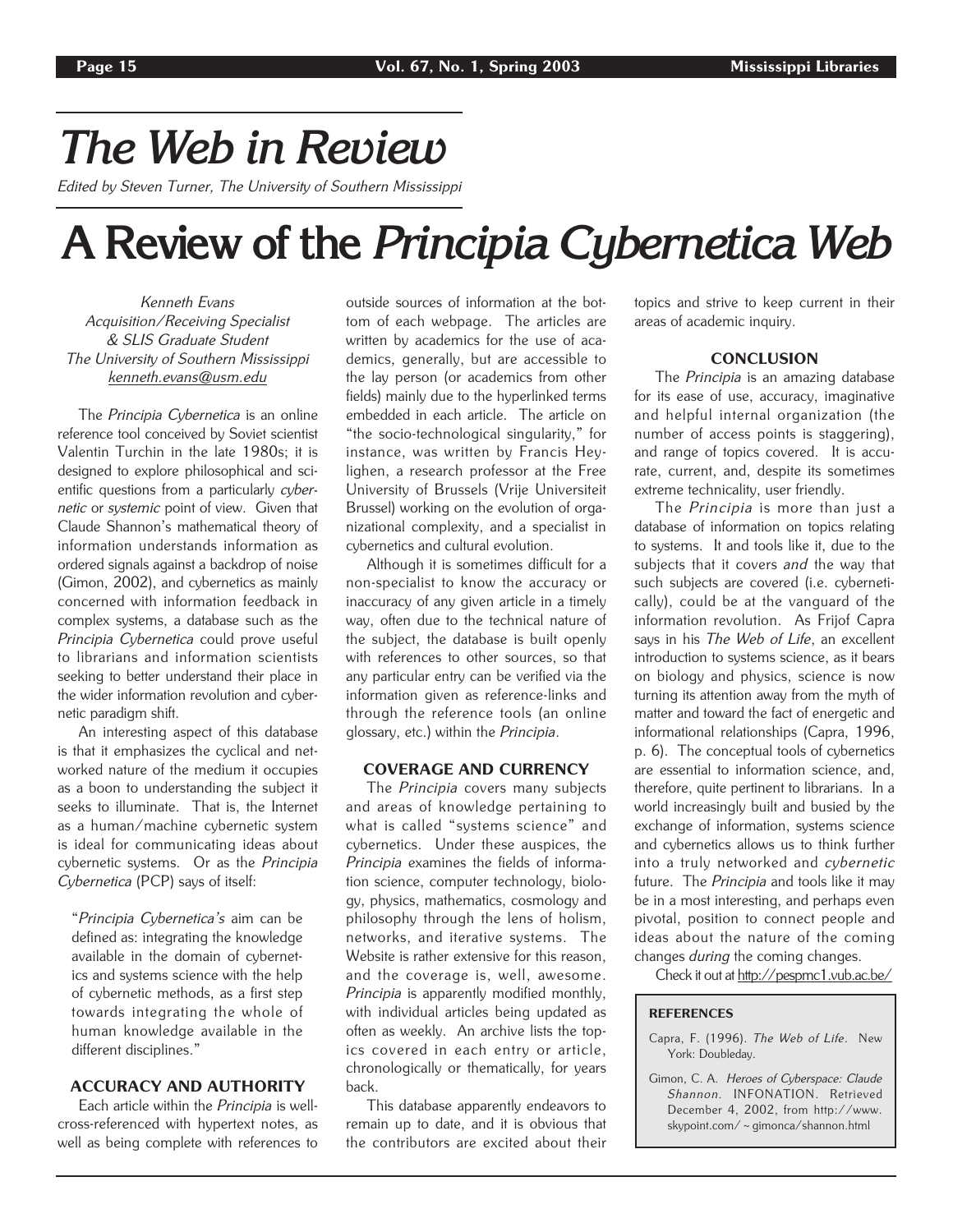## *The Web in Review*

Edited by Steven Turner, The University of Southern Mississippi

## **A Review of the** *Principia Cybernetica Web*

Kenneth Evans Acquisition/Receiving Specialist & SLIS Graduate Student The University of Southern Mississippi kenneth.evans@usm.edu

The Principia Cybernetica is an online reference tool conceived by Soviet scientist Valentin Turchin in the late 1980s; it is designed to explore philosophical and scientific questions from a particularly cybernetic or systemic point of view. Given that Claude Shannon's mathematical theory of information understands information as ordered signals against a backdrop of noise (Gimon, 2002), and cybernetics as mainly concerned with information feedback in complex systems, a database such as the Principia Cybernetica could prove useful to librarians and information scientists seeking to better understand their place in the wider information revolution and cybernetic paradigm shift.

An interesting aspect of this database is that it emphasizes the cyclical and networked nature of the medium it occupies as a boon to understanding the subject it seeks to illuminate. That is, the Internet as a human/machine cybernetic system is ideal for communicating ideas about cybernetic systems. Or as the Principia Cybernetica (PCP) says of itself:

"Principia Cybernetica's aim can be defined as: integrating the knowledge available in the domain of cybernetics and systems science with the help of cybernetic methods, as a first step towards integrating the whole of human knowledge available in the different disciplines."

## ACCURACY AND AUTHORITY

Each article within the Principia is wellcross-referenced with hypertext notes, as well as being complete with references to

outside sources of information at the bottom of each webpage. The articles are written by academics for the use of academics, generally, but are accessible to the lay person (or academics from other fields) mainly due to the hyperlinked terms embedded in each article. The article on "the socio-technological singularity," for instance, was written by Francis Heylighen, a research professor at the Free University of Brussels (Vrije Universiteit Brussel) working on the evolution of organizational complexity, and a specialist in cybernetics and cultural evolution.

Although it is sometimes difficult for a non-specialist to know the accuracy or inaccuracy of any given article in a timely way, often due to the technical nature of the subject, the database is built openly with references to other sources, so that any particular entry can be verified via the information given as reference-links and through the reference tools (an online glossary, etc.) within the Principia.

## COVERAGE AND CURRENCY

The Principia covers many subjects and areas of knowledge pertaining to what is called "systems science" and cybernetics. Under these auspices, the Principia examines the fields of information science, computer technology, biology, physics, mathematics, cosmology and philosophy through the lens of holism, networks, and iterative systems. The Website is rather extensive for this reason, and the coverage is, well, awesome. Principia is apparently modified monthly, with individual articles being updated as often as weekly. An archive lists the topics covered in each entry or article, chronologically or thematically, for years back.

This database apparently endeavors to remain up to date, and it is obvious that the contributors are excited about their

topics and strive to keep current in their areas of academic inquiry.

## **CONCLUSION**

The Principia is an amazing database for its ease of use, accuracy, imaginative and helpful internal organization (the number of access points is staggering), and range of topics covered. It is accurate, current, and, despite its sometimes extreme technicality, user friendly.

The *Principia* is more than just a database of information on topics relating to systems. It and tools like it, due to the subjects that it covers and the way that such subjects are covered (i.e. cybernetically), could be at the vanguard of the information revolution. As Frijof Capra says in his The Web of Life, an excellent introduction to systems science, as it bears on biology and physics, science is now turning its attention away from the myth of matter and toward the fact of energetic and informational relationships (Capra, 1996, p. 6). The conceptual tools of cybernetics are essential to information science, and, therefore, quite pertinent to librarians. In a world increasingly built and busied by the exchange of information, systems science and cybernetics allows us to think further into a truly networked and cybernetic future. The Principia and tools like it may be in a most interesting, and perhaps even pivotal, position to connect people and ideas about the nature of the coming changes during the coming changes.

Check it out at http://pespmc1.vub.ac.be/

#### **REFERENCES**

- Capra, F. (1996). The Web of Life. New York: Doubleday.
- Gimon, C. A. Heroes of Cyberspace: Claude Shannon. INFONATION. Retrieved December 4, 2002, from http://www. skypoint.com/~gimonca/shannon.html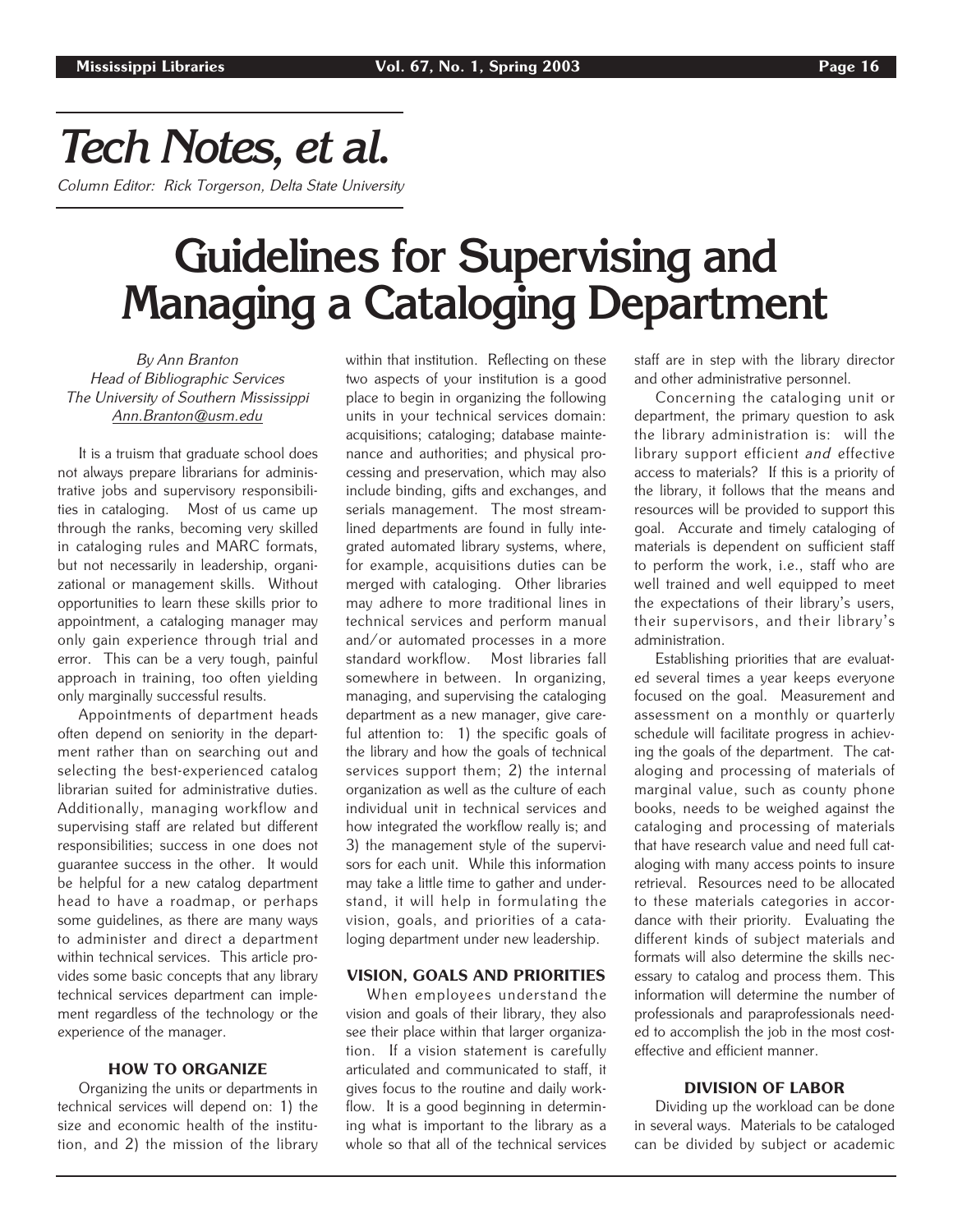# *Tech Notes, et al.*

Column Editor: Rick Torgerson, Delta State University

## **Guidelines for Supervising and Managing a Cataloging Department**

By Ann Branton Head of Bibliographic Services The University of Southern Mississippi Ann.Branton@usm.edu

It is a truism that graduate school does not always prepare librarians for administrative jobs and supervisory responsibilities in cataloging. Most of us came up through the ranks, becoming very skilled in cataloging rules and MARC formats, but not necessarily in leadership, organizational or management skills. Without opportunities to learn these skills prior to appointment, a cataloging manager may only gain experience through trial and error. This can be a very tough, painful approach in training, too often yielding only marginally successful results.

Appointments of department heads often depend on seniority in the department rather than on searching out and selecting the best-experienced catalog librarian suited for administrative duties. Additionally, managing workflow and supervising staff are related but different responsibilities; success in one does not guarantee success in the other. It would be helpful for a new catalog department head to have a roadmap, or perhaps some guidelines, as there are many ways to administer and direct a department within technical services. This article provides some basic concepts that any library technical services department can implement regardless of the technology or the experience of the manager.

## HOW TO ORGANIZE

Organizing the units or departments in technical services will depend on: 1) the size and economic health of the institution, and 2) the mission of the library within that institution. Reflecting on these two aspects of your institution is a good place to begin in organizing the following units in your technical services domain: acquisitions; cataloging; database maintenance and authorities; and physical processing and preservation, which may also include binding, gifts and exchanges, and serials management. The most streamlined departments are found in fully integrated automated library systems, where, for example, acquisitions duties can be merged with cataloging. Other libraries may adhere to more traditional lines in technical services and perform manual and/or automated processes in a more standard workflow. Most libraries fall somewhere in between. In organizing, managing, and supervising the cataloging department as a new manager, give careful attention to: 1) the specific goals of the library and how the goals of technical services support them; 2) the internal organization as well as the culture of each individual unit in technical services and how integrated the workflow really is; and 3) the management style of the supervisors for each unit. While this information may take a little time to gather and understand, it will help in formulating the vision, goals, and priorities of a cataloging department under new leadership.

## VISION, GOALS AND PRIORITIES

When employees understand the vision and goals of their library, they also see their place within that larger organization. If a vision statement is carefully articulated and communicated to staff, it gives focus to the routine and daily workflow. It is a good beginning in determining what is important to the library as a whole so that all of the technical services staff are in step with the library director and other administrative personnel.

Concerning the cataloging unit or department, the primary question to ask the library administration is: will the library support efficient and effective access to materials? If this is a priority of the library, it follows that the means and resources will be provided to support this goal. Accurate and timely cataloging of materials is dependent on sufficient staff to perform the work, i.e., staff who are well trained and well equipped to meet the expectations of their library's users, their supervisors, and their library's administration.

Establishing priorities that are evaluated several times a year keeps everyone focused on the goal. Measurement and assessment on a monthly or quarterly schedule will facilitate progress in achieving the goals of the department. The cataloging and processing of materials of marginal value, such as county phone books, needs to be weighed against the cataloging and processing of materials that have research value and need full cataloging with many access points to insure retrieval. Resources need to be allocated to these materials categories in accordance with their priority. Evaluating the different kinds of subject materials and formats will also determine the skills necessary to catalog and process them. This information will determine the number of professionals and paraprofessionals needed to accomplish the job in the most costeffective and efficient manner.

## DIVISION OF LABOR

Dividing up the workload can be done in several ways. Materials to be cataloged can be divided by subject or academic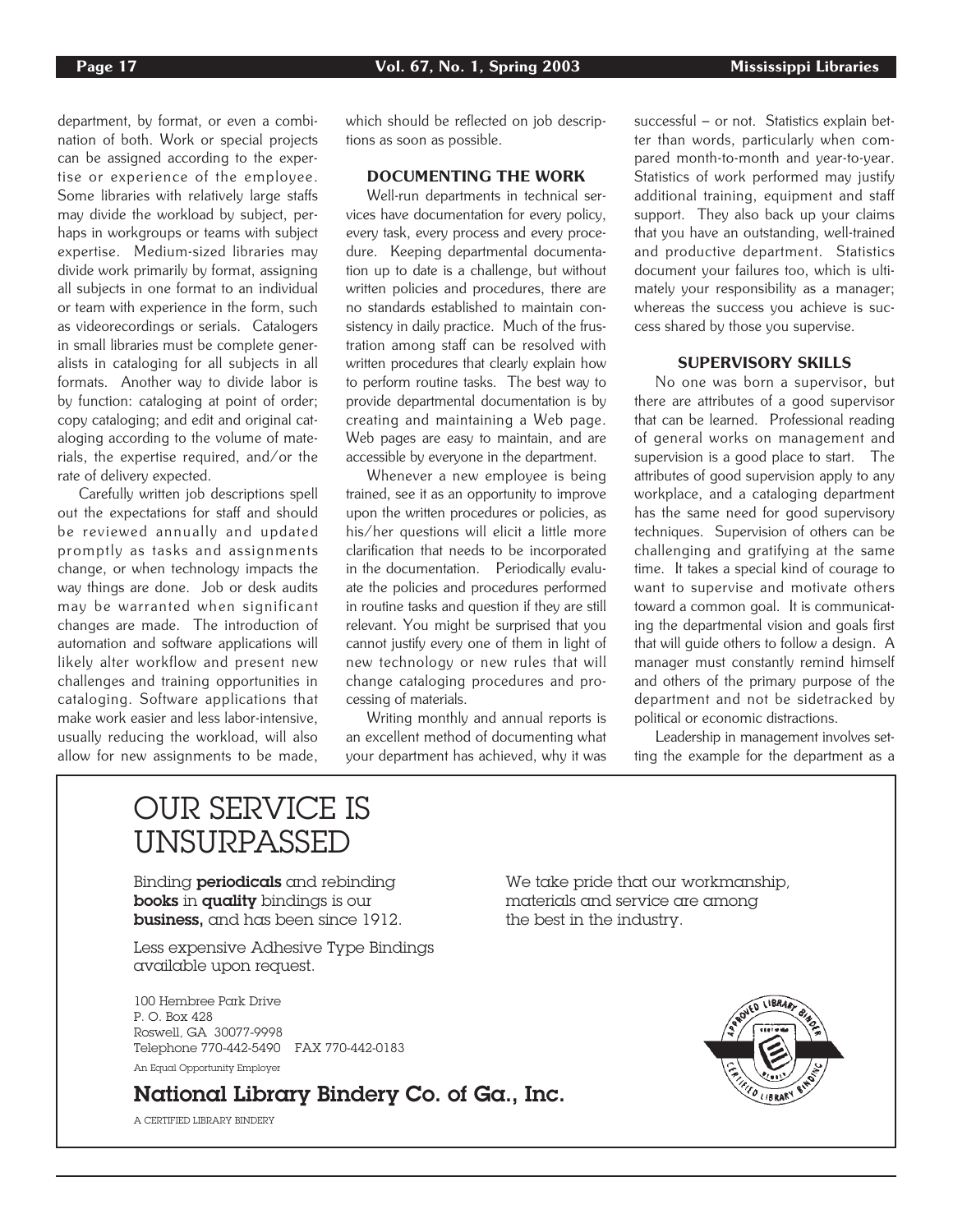department, by format, or even a combination of both. Work or special projects can be assigned according to the expertise or experience of the employee. Some libraries with relatively large staffs may divide the workload by subject, perhaps in workgroups or teams with subject expertise. Medium-sized libraries may divide work primarily by format, assigning all subjects in one format to an individual or team with experience in the form, such as videorecordings or serials. Catalogers in small libraries must be complete generalists in cataloging for all subjects in all formats. Another way to divide labor is by function: cataloging at point of order; copy cataloging; and edit and original cataloging according to the volume of materials, the expertise required, and/or the rate of delivery expected.

Carefully written job descriptions spell out the expectations for staff and should be reviewed annually and updated promptly as tasks and assignments change, or when technology impacts the way things are done. Job or desk audits may be warranted when significant changes are made. The introduction of automation and software applications will likely alter workflow and present new challenges and training opportunities in cataloging. Software applications that make work easier and less labor-intensive, usually reducing the workload, will also allow for new assignments to be made, which should be reflected on job descriptions as soon as possible.

## DOCUMENTING THE WORK

Well-run departments in technical services have documentation for every policy, every task, every process and every procedure. Keeping departmental documentation up to date is a challenge, but without written policies and procedures, there are no standards established to maintain consistency in daily practice. Much of the frustration among staff can be resolved with written procedures that clearly explain how to perform routine tasks. The best way to provide departmental documentation is by creating and maintaining a Web page. Web pages are easy to maintain, and are accessible by everyone in the department.

Whenever a new employee is being trained, see it as an opportunity to improve upon the written procedures or policies, as his/her questions will elicit a little more clarification that needs to be incorporated in the documentation. Periodically evaluate the policies and procedures performed in routine tasks and question if they are still relevant. You might be surprised that you cannot justify every one of them in light of new technology or new rules that will change cataloging procedures and processing of materials.

Writing monthly and annual reports is an excellent method of documenting what your department has achieved, why it was

successful – or not. Statistics explain better than words, particularly when compared month-to-month and year-to-year. Statistics of work performed may justify additional training, equipment and staff support. They also back up your claims that you have an outstanding, well-trained and productive department. Statistics document your failures too, which is ultimately your responsibility as a manager; whereas the success you achieve is success shared by those you supervise.

## SUPERVISORY SKILLS

No one was born a supervisor, but there are attributes of a good supervisor that can be learned. Professional reading of general works on management and supervision is a good place to start. The attributes of good supervision apply to any workplace, and a cataloging department has the same need for good supervisory techniques. Supervision of others can be challenging and gratifying at the same time. It takes a special kind of courage to want to supervise and motivate others toward a common goal. It is communicating the departmental vision and goals first that will guide others to follow a design. A manager must constantly remind himself and others of the primary purpose of the department and not be sidetracked by political or economic distractions.

Leadership in management involves setting the example for the department as a

## OUR SERVICE IS UNSURPASSED

Binding **periodicals** and rebinding **We take pride that our workmanship**, **books** in quality bindings is our materials and service are among business, and has been since 1912. the best in the industry.

Less expensive Adhesive Type Bindings available upon request.

100 Hembree Park Drive  $P$   $O$  Box 428 Roswell, GA 30077-9998 Telephone 770-442-5490 FAX 770-442-0183

An Equal Opportunity Employer

## National Library Bindery Co. of Ga., Inc.

A CERTIFIED LIBRARY BINDERY

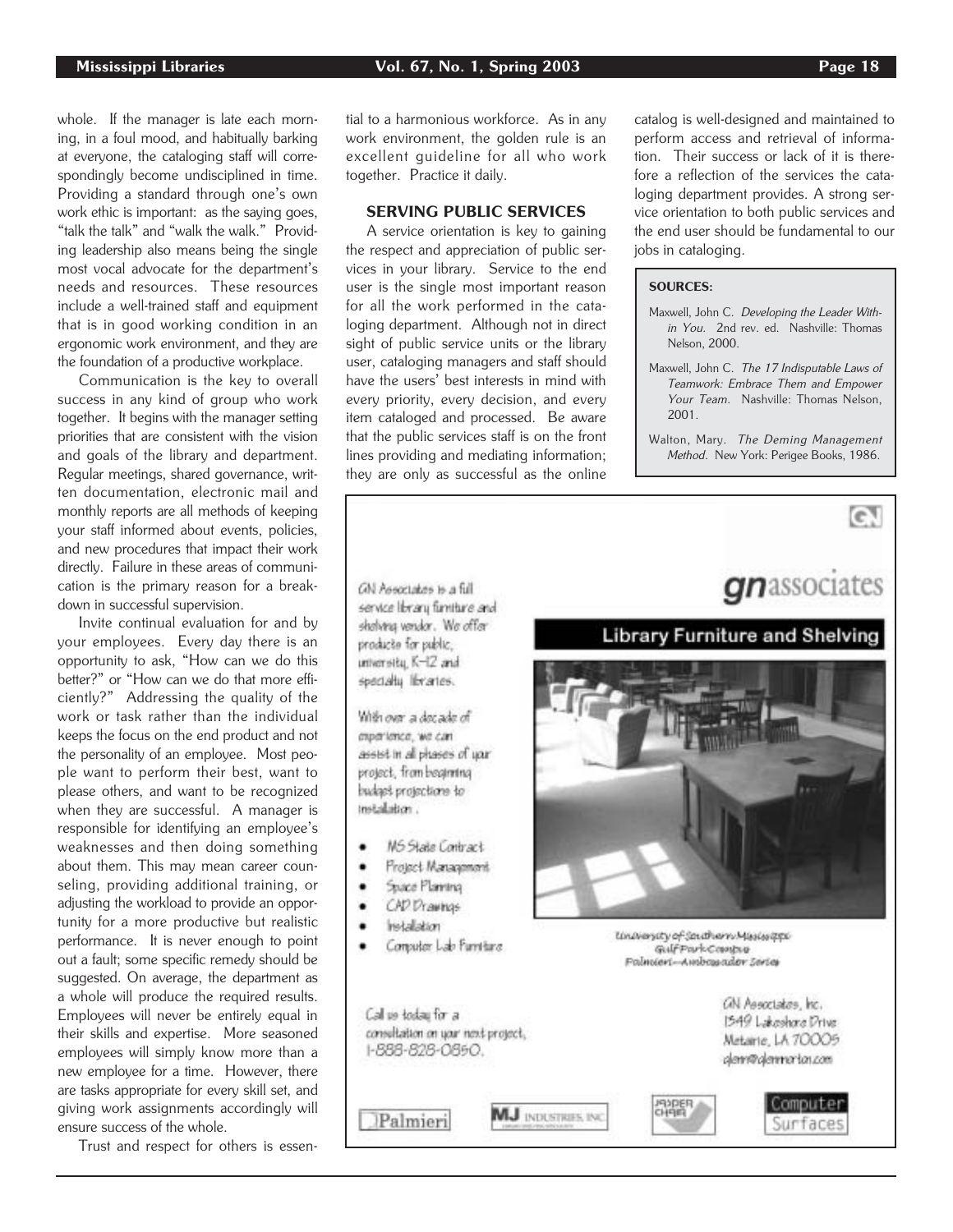whole. If the manager is late each morning, in a foul mood, and habitually barking at everyone, the cataloging staff will correspondingly become undisciplined in time. Providing a standard through one's own work ethic is important: as the saying goes, "talk the talk" and "walk the walk." Providing leadership also means being the single most vocal advocate for the department's needs and resources. These resources include a well-trained staff and equipment that is in good working condition in an ergonomic work environment, and they are the foundation of a productive workplace.

Communication is the key to overall success in any kind of group who work together. It begins with the manager setting priorities that are consistent with the vision and goals of the library and department. Regular meetings, shared governance, written documentation, electronic mail and monthly reports are all methods of keeping your staff informed about events, policies, and new procedures that impact their work directly. Failure in these areas of communication is the primary reason for a breakdown in successful supervision.

Invite continual evaluation for and by your employees. Every day there is an opportunity to ask, "How can we do this better?" or "How can we do that more efficiently?" Addressing the quality of the work or task rather than the individual keeps the focus on the end product and not the personality of an employee. Most people want to perform their best, want to please others, and want to be recognized when they are successful. A manager is responsible for identifying an employee's weaknesses and then doing something about them. This may mean career counseling, providing additional training, or adjusting the workload to provide an opportunity for a more productive but realistic performance. It is never enough to point out a fault; some specific remedy should be suggested. On average, the department as a whole will produce the required results. Employees will never be entirely equal in their skills and expertise. More seasoned employees will simply know more than a new employee for a time. However, there are tasks appropriate for every skill set, and giving work assignments accordingly will ensure success of the whole.

¥

٠

Trust and respect for others is essen-

tial to a harmonious workforce. As in any work environment, the golden rule is an excellent guideline for all who work together. Practice it daily.

## SERVING PUBLIC SERVICES

A service orientation is key to gaining the respect and appreciation of public services in your library. Service to the end user is the single most important reason for all the work performed in the cataloging department. Although not in direct sight of public service units or the library user, cataloging managers and staff should have the users' best interests in mind with every priority, every decision, and every item cataloged and processed. Be aware that the public services staff is on the front lines providing and mediating information; they are only as successful as the online

catalog is well-designed and maintained to perform access and retrieval of information. Their success or lack of it is therefore a reflection of the services the cataloging department provides. A strong service orientation to both public services and the end user should be fundamental to our jobs in cataloging.

## SOURCES:

- Maxwell, John C. Developing the Leader Within You. 2nd rev. ed. Nashville: Thomas Nelson, 2000.
- Maxwell, John C. The 17 Indisputable Laws of Teamwork: Embrace Them and Empower Your Team. Nashville: Thomas Nelson, 2001.

Walton, Mary. The Deming Management Method. New York: Perigee Books, 1986.

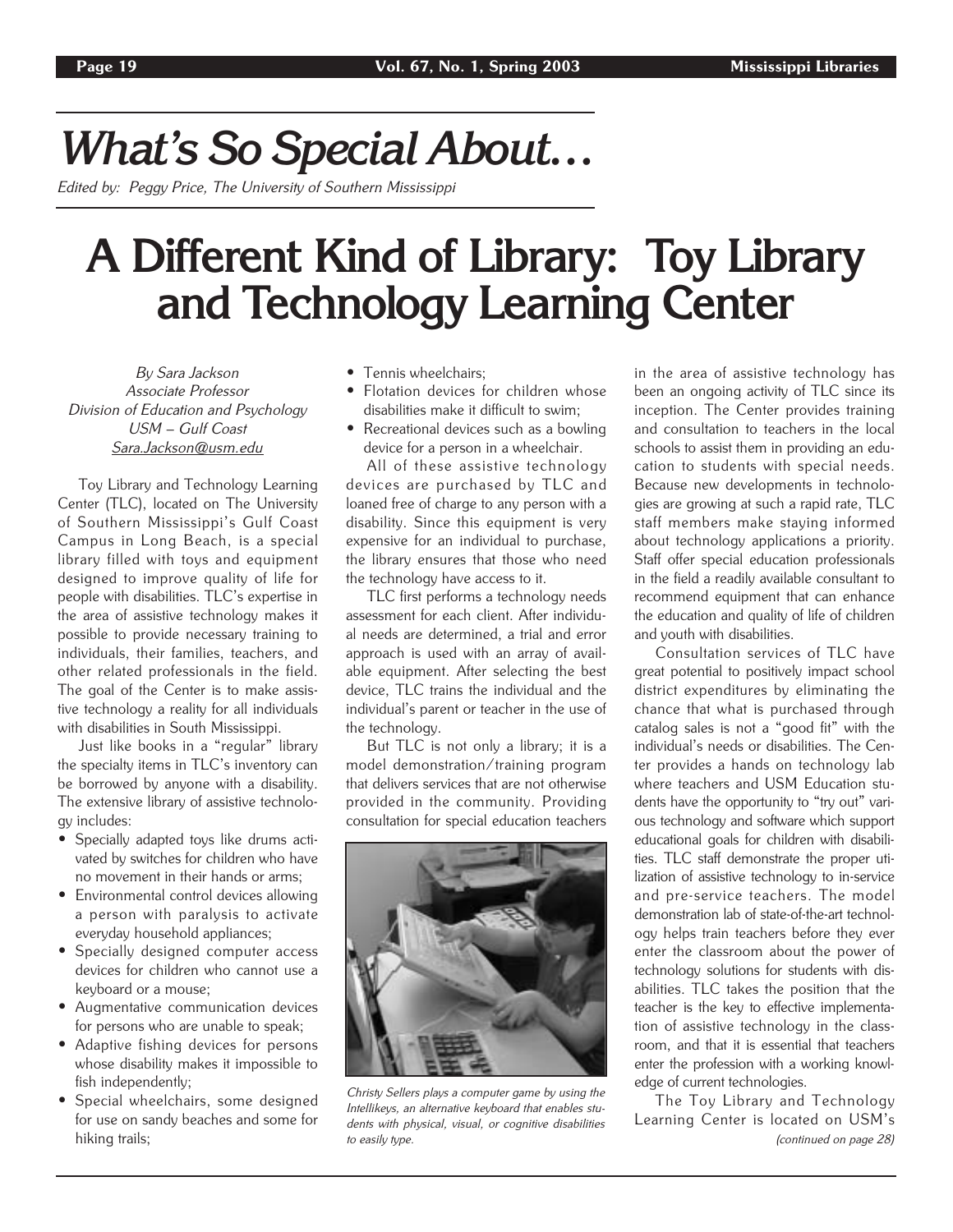## *What's So Special About…*

Edited by: Peggy Price, The University of Southern Mississippi

## **A Different Kind of Library: Toy Library and Technology Learning Center**

By Sara Jackson Associate Professor Division of Education and Psychology USM – Gulf Coast Sara.Jackson@usm.edu

Toy Library and Technology Learning Center (TLC), located on The University of Southern Mississippi's Gulf Coast Campus in Long Beach, is a special library filled with toys and equipment designed to improve quality of life for people with disabilities. TLC's expertise in the area of assistive technology makes it possible to provide necessary training to individuals, their families, teachers, and other related professionals in the field. The goal of the Center is to make assistive technology a reality for all individuals with disabilities in South Mississippi.

Just like books in a "regular" library the specialty items in TLC's inventory can be borrowed by anyone with a disability. The extensive library of assistive technology includes:

- Specially adapted toys like drums activated by switches for children who have no movement in their hands or arms;
- Environmental control devices allowing a person with paralysis to activate everyday household appliances;
- Specially designed computer access devices for children who cannot use a keyboard or a mouse;
- Augmentative communication devices for persons who are unable to speak;
- Adaptive fishing devices for persons whose disability makes it impossible to fish independently;
- Special wheelchairs, some designed for use on sandy beaches and some for hiking trails;
- Tennis wheelchairs;
- Flotation devices for children whose disabilities make it difficult to swim;
- Recreational devices such as a bowling device for a person in a wheelchair.

All of these assistive technology devices are purchased by TLC and loaned free of charge to any person with a disability. Since this equipment is very expensive for an individual to purchase, the library ensures that those who need the technology have access to it.

TLC first performs a technology needs assessment for each client. After individual needs are determined, a trial and error approach is used with an array of available equipment. After selecting the best device, TLC trains the individual and the individual's parent or teacher in the use of the technology.

But TLC is not only a library; it is a model demonstration/training program that delivers services that are not otherwise provided in the community. Providing consultation for special education teachers



Christy Sellers plays a computer game by using the Intellikeys, an alternative keyboard that enables students with physical, visual, or cognitive disabilities to easily type.

in the area of assistive technology has been an ongoing activity of TLC since its inception. The Center provides training and consultation to teachers in the local schools to assist them in providing an education to students with special needs. Because new developments in technologies are growing at such a rapid rate, TLC staff members make staying informed about technology applications a priority. Staff offer special education professionals in the field a readily available consultant to recommend equipment that can enhance the education and quality of life of children and youth with disabilities.

Consultation services of TLC have great potential to positively impact school district expenditures by eliminating the chance that what is purchased through catalog sales is not a "good fit" with the individual's needs or disabilities. The Center provides a hands on technology lab where teachers and USM Education students have the opportunity to "try out" various technology and software which support educational goals for children with disabilities. TLC staff demonstrate the proper utilization of assistive technology to in-service and pre-service teachers. The model demonstration lab of state-of-the-art technology helps train teachers before they ever enter the classroom about the power of technology solutions for students with disabilities. TLC takes the position that the teacher is the key to effective implementation of assistive technology in the classroom, and that it is essential that teachers enter the profession with a working knowledge of current technologies.

The Toy Library and Technology Learning Center is located on USM's (continued on page 28)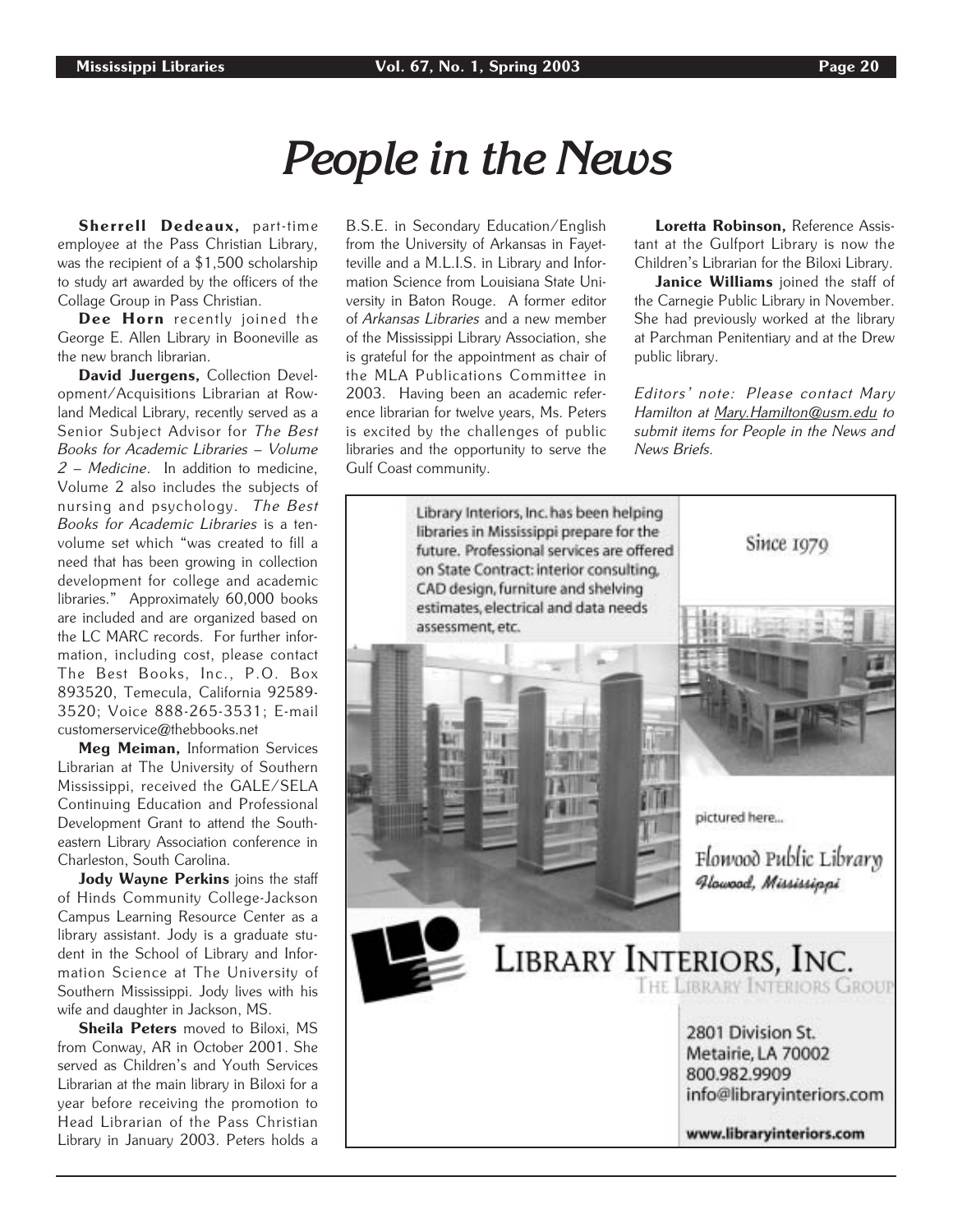## *People in the News*

Sherrell Dedeaux, part-time employee at the Pass Christian Library, was the recipient of a \$1,500 scholarship to study art awarded by the officers of the Collage Group in Pass Christian.

Dee Horn recently joined the George E. Allen Library in Booneville as the new branch librarian.

David Juergens, Collection Development/Acquisitions Librarian at Rowland Medical Library, recently served as a Senior Subject Advisor for The Best Books for Academic Libraries – Volume 2 – Medicine. In addition to medicine, Volume 2 also includes the subjects of nursing and psychology. The Best Books for Academic Libraries is a tenvolume set which "was created to fill a need that has been growing in collection development for college and academic libraries." Approximately 60,000 books are included and are organized based on the LC MARC records. For further information, including cost, please contact The Best Books, Inc., P.O. Box 893520, Temecula, California 92589- 3520; Voice 888-265-3531; E-mail customerservice@thebbooks.net

Meg Meiman, Information Services Librarian at The University of Southern Mississippi, received the GALE/SELA Continuing Education and Professional Development Grant to attend the Southeastern Library Association conference in Charleston, South Carolina.

Jody Wayne Perkins joins the staff of Hinds Community College-Jackson Campus Learning Resource Center as a library assistant. Jody is a graduate student in the School of Library and Information Science at The University of Southern Mississippi. Jody lives with his wife and daughter in Jackson, MS.

Sheila Peters moved to Biloxi, MS from Conway, AR in October 2001. She served as Children's and Youth Services Librarian at the main library in Biloxi for a year before receiving the promotion to Head Librarian of the Pass Christian Library in January 2003. Peters holds a B.S.E. in Secondary Education/English from the University of Arkansas in Fayetteville and a M.L.I.S. in Library and Information Science from Louisiana State University in Baton Rouge. A former editor of Arkansas Libraries and a new member of the Mississippi Library Association, she is grateful for the appointment as chair of the MLA Publications Committee in 2003. Having been an academic reference librarian for twelve years, Ms. Peters is excited by the challenges of public libraries and the opportunity to serve the Gulf Coast community.

Loretta Robinson, Reference Assistant at the Gulfport Library is now the Children's Librarian for the Biloxi Library.

Janice Williams joined the staff of the Carnegie Public Library in November. She had previously worked at the library at Parchman Penitentiary and at the Drew public library.

Editors' note: Please contact Mary Hamilton at Mary.Hamilton@usm.edu to submit items for People in the News and News Briefs.

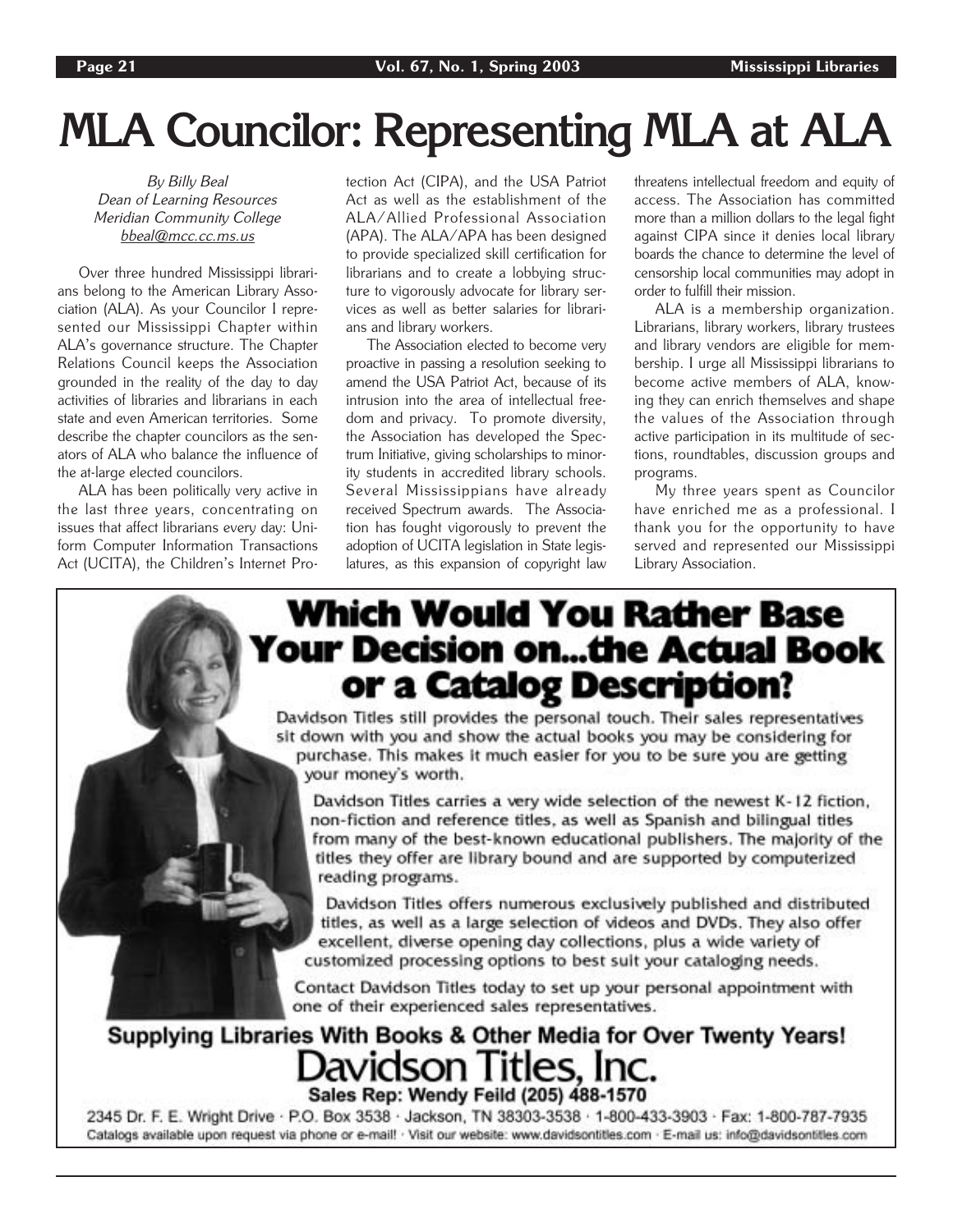# **MLA Councilor: Representing MLA at ALA**

By Billy Beal Dean of Learning Resources Meridian Community College bbeal@mcc.cc.ms.us

Over three hundred Mississippi librarians belong to the American Library Association (ALA). As your Councilor I represented our Mississippi Chapter within ALA's governance structure. The Chapter Relations Council keeps the Association grounded in the reality of the day to day activities of libraries and librarians in each state and even American territories. Some describe the chapter councilors as the senators of ALA who balance the influence of the at-large elected councilors.

ALA has been politically very active in the last three years, concentrating on issues that affect librarians every day: Uniform Computer Information Transactions Act (UCITA), the Children's Internet Protection Act (CIPA), and the USA Patriot Act as well as the establishment of the ALA/Allied Professional Association (APA). The ALA/APA has been designed to provide specialized skill certification for librarians and to create a lobbying structure to vigorously advocate for library services as well as better salaries for librarians and library workers.

The Association elected to become very proactive in passing a resolution seeking to amend the USA Patriot Act, because of its intrusion into the area of intellectual freedom and privacy. To promote diversity, the Association has developed the Spectrum Initiative, giving scholarships to minority students in accredited library schools. Several Mississippians have already received Spectrum awards. The Association has fought vigorously to prevent the adoption of UCITA legislation in State legislatures, as this expansion of copyright law threatens intellectual freedom and equity of access. The Association has committed more than a million dollars to the legal fight against CIPA since it denies local library boards the chance to determine the level of censorship local communities may adopt in order to fulfill their mission.

ALA is a membership organization. Librarians, library workers, library trustees and library vendors are eligible for membership. I urge all Mississippi librarians to become active members of ALA, knowing they can enrich themselves and shape the values of the Association through active participation in its multitude of sections, roundtables, discussion groups and programs.

My three years spent as Councilor have enriched me as a professional. I thank you for the opportunity to have served and represented our Mississippi Library Association.

## **Which Would You Rather Base Your Decision on...the Actual Book** or a Catalog Description?

Davidson Titles still provides the personal touch. Their sales representatives sit down with you and show the actual books you may be considering for purchase. This makes it much easier for you to be sure you are getting your money's worth.

Davidson Titles carries a very wide selection of the newest K-12 fiction, non-fiction and reference titles, as well as Spanish and bilingual titles from many of the best-known educational publishers. The majority of the titles they offer are library bound and are supported by computerized reading programs.

Davidson Titles offers numerous exclusively published and distributed titles, as well as a large selection of videos and DVDs. They also offer excellent, diverse opening day collections, plus a wide variety of customized processing options to best suit your cataloging needs.

Contact Davidson Titles today to set up your personal appointment with one of their experienced sales representatives.

## Supplying Libraries With Books & Other Media for Over Twenty Years! Davidson Titles, Inc. Sales Rep: Wendy Feild (205) 488-1570

2345 Dr. F. E. Wright Drive · P.O. Box 3538 · Jackson, TN 38303-3538 · 1-800-433-3903 · Fax: 1-800-787-7935 Catalogs available upon request via phone or e-mail! · Visit our website: www.davidsontitles.com · E-mail us: info@davidsontitles.com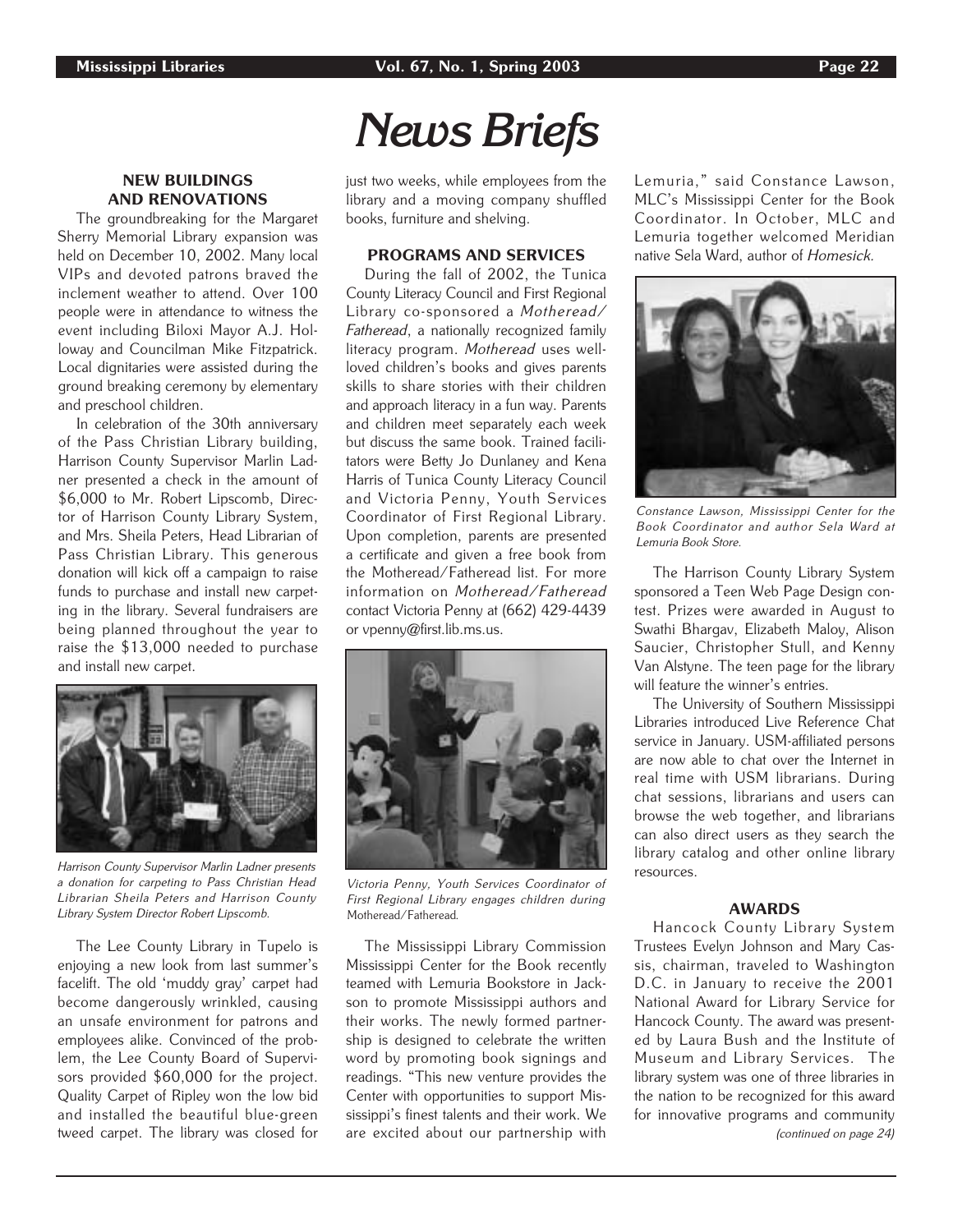and preschool children.

and install new carpet.

NEW BUILDINGS AND RENOVATIONS The groundbreaking for the Margaret Sherry Memorial Library expansion was held on December 10, 2002. Many local VIPs and devoted patrons braved the inclement weather to attend. Over 100 people were in attendance to witness the event including Biloxi Mayor A.J. Holloway and Councilman Mike Fitzpatrick. Local dignitaries were assisted during the ground breaking ceremony by elementary

In celebration of the 30th anniversary of the Pass Christian Library building, Harrison County Supervisor Marlin Ladner presented a check in the amount of \$6,000 to Mr. Robert Lipscomb, Director of Harrison County Library System, and Mrs. Sheila Peters, Head Librarian of Pass Christian Library. This generous donation will kick off a campaign to raise funds to purchase and install new carpeting in the library. Several fundraisers are being planned throughout the year to raise the \$13,000 needed to purchase

## *News Briefs*

just two weeks, while employees from the library and a moving company shuffled books, furniture and shelving.

## PROGRAMS AND SERVICES

During the fall of 2002, the Tunica County Literacy Council and First Regional Library co-sponsored a Motheread/ Fatheread, a nationally recognized family literacy program. Motheread uses wellloved children's books and gives parents skills to share stories with their children and approach literacy in a fun way. Parents and children meet separately each week but discuss the same book. Trained facilitators were Betty Jo Dunlaney and Kena Harris of Tunica County Literacy Council and Victoria Penny, Youth Services Coordinator of First Regional Library. Upon completion, parents are presented a certificate and given a free book from the Motheread/Fatheread list. For more information on Motheread/Fatheread contact Victoria Penny at (662) 429-4439 or vpenny@first.lib.ms.us.



Harrison County Supervisor Marlin Ladner presents a donation for carpeting to Pass Christian Head Librarian Sheila Peters and Harrison County Library System Director Robert Lipscomb.

The Lee County Library in Tupelo is enjoying a new look from last summer's facelift. The old 'muddy gray' carpet had become dangerously wrinkled, causing an unsafe environment for patrons and employees alike. Convinced of the problem, the Lee County Board of Supervisors provided \$60,000 for the project. Quality Carpet of Ripley won the low bid and installed the beautiful blue-green tweed carpet. The library was closed for



Victoria Penny, Youth Services Coordinator of First Regional Library engages children during Motheread/Fatheread.

The Mississippi Library Commission Mississippi Center for the Book recently teamed with Lemuria Bookstore in Jackson to promote Mississippi authors and their works. The newly formed partnership is designed to celebrate the written word by promoting book signings and readings. "This new venture provides the Center with opportunities to support Mississippi's finest talents and their work. We are excited about our partnership with

Lemuria," said Constance Lawson, MLC's Mississippi Center for the Book Coordinator. In October, MLC and Lemuria together welcomed Meridian native Sela Ward, author of Homesick.



Constance Lawson, Mississippi Center for the Book Coordinator and author Sela Ward at Lemuria Book Store.

The Harrison County Library System sponsored a Teen Web Page Design contest. Prizes were awarded in August to Swathi Bhargav, Elizabeth Maloy, Alison Saucier, Christopher Stull, and Kenny Van Alstyne. The teen page for the library will feature the winner's entries.

The University of Southern Mississippi Libraries introduced Live Reference Chat service in January. USM-affiliated persons are now able to chat over the Internet in real time with USM librarians. During chat sessions, librarians and users can browse the web together, and librarians can also direct users as they search the library catalog and other online library resources.

## AWARDS

Hancock County Library System Trustees Evelyn Johnson and Mary Cassis, chairman, traveled to Washington D.C. in January to receive the 2001 National Award for Library Service for Hancock County. The award was presented by Laura Bush and the Institute of Museum and Library Services. The library system was one of three libraries in the nation to be recognized for this award for innovative programs and community (continued on page 24)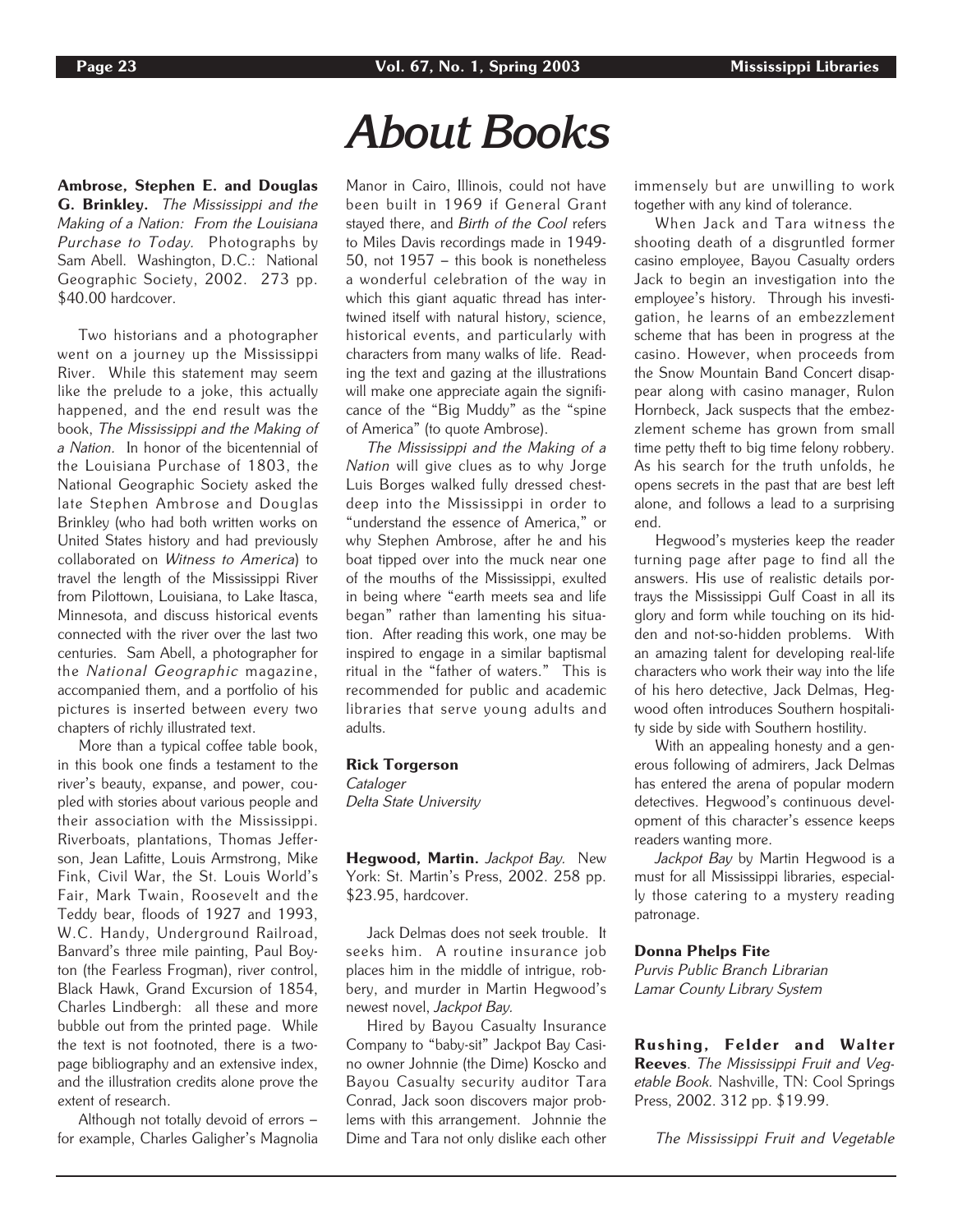Ambrose, Stephen E. and Douglas G. Brinkley. The Mississippi and the Making of a Nation: From the Louisiana Purchase to Today. Photographs by Sam Abell. Washington, D.C.: National Geographic Society, 2002. 273 pp. \$40.00 hardcover.

Two historians and a photographer went on a journey up the Mississippi River. While this statement may seem like the prelude to a joke, this actually happened, and the end result was the book, The Mississippi and the Making of a Nation. In honor of the bicentennial of the Louisiana Purchase of 1803, the National Geographic Society asked the late Stephen Ambrose and Douglas Brinkley (who had both written works on United States history and had previously collaborated on Witness to America) to travel the length of the Mississippi River from Pilottown, Louisiana, to Lake Itasca, Minnesota, and discuss historical events connected with the river over the last two centuries. Sam Abell, a photographer for the National Geographic magazine, accompanied them, and a portfolio of his pictures is inserted between every two chapters of richly illustrated text.

More than a typical coffee table book, in this book one finds a testament to the river's beauty, expanse, and power, coupled with stories about various people and their association with the Mississippi. Riverboats, plantations, Thomas Jefferson, Jean Lafitte, Louis Armstrong, Mike Fink, Civil War, the St. Louis World's Fair, Mark Twain, Roosevelt and the Teddy bear, floods of 1927 and 1993, W.C. Handy, Underground Railroad, Banvard's three mile painting, Paul Boyton (the Fearless Frogman), river control, Black Hawk, Grand Excursion of 1854, Charles Lindbergh: all these and more bubble out from the printed page. While the text is not footnoted, there is a twopage bibliography and an extensive index, and the illustration credits alone prove the extent of research.

Although not totally devoid of errors – for example, Charles Galigher's Magnolia

## *About Books*

Manor in Cairo, Illinois, could not have been built in 1969 if General Grant stayed there, and Birth of the Cool refers to Miles Davis recordings made in 1949- 50, not 1957 – this book is nonetheless a wonderful celebration of the way in which this giant aquatic thread has intertwined itself with natural history, science, historical events, and particularly with characters from many walks of life. Reading the text and gazing at the illustrations will make one appreciate again the significance of the "Big Muddy" as the "spine of America" (to quote Ambrose).

The Mississippi and the Making of a Nation will give clues as to why Jorge Luis Borges walked fully dressed chestdeep into the Mississippi in order to "understand the essence of America," or why Stephen Ambrose, after he and his boat tipped over into the muck near one of the mouths of the Mississippi, exulted in being where "earth meets sea and life began" rather than lamenting his situation. After reading this work, one may be inspired to engage in a similar baptismal ritual in the "father of waters." This is recommended for public and academic libraries that serve young adults and adults.

### Rick Torgerson

Cataloger Delta State University

Hegwood, Martin. Jackpot Bay. New York: St. Martin's Press, 2002. 258 pp. \$23.95, hardcover.

Jack Delmas does not seek trouble. It seeks him. A routine insurance job places him in the middle of intrigue, robbery, and murder in Martin Hegwood's newest novel, Jackpot Bay.

Hired by Bayou Casualty Insurance Company to "baby-sit" Jackpot Bay Casino owner Johnnie (the Dime) Koscko and Bayou Casualty security auditor Tara Conrad, Jack soon discovers major problems with this arrangement. Johnnie the Dime and Tara not only dislike each other

immensely but are unwilling to work together with any kind of tolerance.

When Jack and Tara witness the shooting death of a disgruntled former casino employee, Bayou Casualty orders Jack to begin an investigation into the employee's history. Through his investigation, he learns of an embezzlement scheme that has been in progress at the casino. However, when proceeds from the Snow Mountain Band Concert disappear along with casino manager, Rulon Hornbeck, Jack suspects that the embezzlement scheme has grown from small time petty theft to big time felony robbery. As his search for the truth unfolds, he opens secrets in the past that are best left alone, and follows a lead to a surprising end.

Hegwood's mysteries keep the reader turning page after page to find all the answers. His use of realistic details portrays the Mississippi Gulf Coast in all its glory and form while touching on its hidden and not-so-hidden problems. With an amazing talent for developing real-life characters who work their way into the life of his hero detective, Jack Delmas, Hegwood often introduces Southern hospitality side by side with Southern hostility.

With an appealing honesty and a generous following of admirers, Jack Delmas has entered the arena of popular modern detectives. Hegwood's continuous development of this character's essence keeps readers wanting more.

Jackpot Bay by Martin Heqwood is a must for all Mississippi libraries, especially those catering to a mystery reading patronage.

#### Donna Phelps Fite

Purvis Public Branch Librarian Lamar County Library System

Rushing, Felder and Walter Reeves. The Mississippi Fruit and Veqetable Book. Nashville, TN: Cool Springs Press, 2002. 312 pp. \$19.99.

The Mississippi Fruit and Vegetable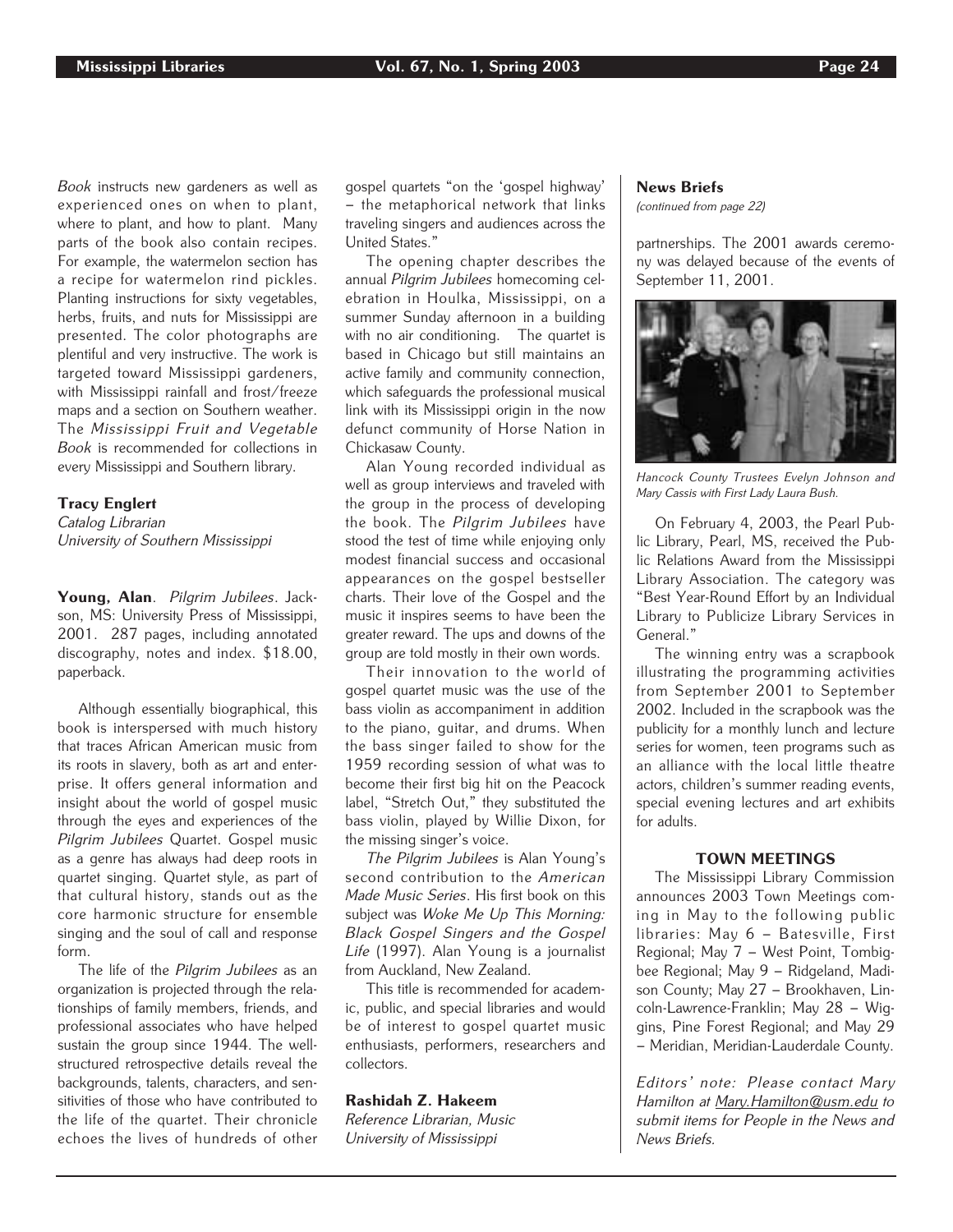Book instructs new gardeners as well as experienced ones on when to plant, where to plant, and how to plant. Many parts of the book also contain recipes. For example, the watermelon section has a recipe for watermelon rind pickles. Planting instructions for sixty vegetables, herbs, fruits, and nuts for Mississippi are presented. The color photographs are plentiful and very instructive. The work is targeted toward Mississippi gardeners, with Mississippi rainfall and frost/freeze maps and a section on Southern weather. The Mississippi Fruit and Vegetable Book is recommended for collections in every Mississippi and Southern library.

## Tracy Englert

Catalog Librarian University of Southern Mississippi

Young, Alan. Pilgrim Jubilees. Jackson, MS: University Press of Mississippi, 2001. 287 pages, including annotated discography, notes and index. \$18.00, paperback.

Although essentially biographical, this book is interspersed with much history that traces African American music from its roots in slavery, both as art and enterprise. It offers general information and insight about the world of gospel music through the eyes and experiences of the Pilgrim Jubilees Quartet. Gospel music as a genre has always had deep roots in quartet singing. Quartet style, as part of that cultural history, stands out as the core harmonic structure for ensemble singing and the soul of call and response form.

The life of the Pilgrim Jubilees as an organization is projected through the relationships of family members, friends, and professional associates who have helped sustain the group since 1944. The wellstructured retrospective details reveal the backgrounds, talents, characters, and sensitivities of those who have contributed to the life of the quartet. Their chronicle echoes the lives of hundreds of other gospel quartets "on the 'gospel highway' – the metaphorical network that links traveling singers and audiences across the United States."

The opening chapter describes the annual Pilgrim Jubilees homecoming celebration in Houlka, Mississippi, on a summer Sunday afternoon in a building with no air conditioning. The quartet is based in Chicago but still maintains an active family and community connection, which safeguards the professional musical link with its Mississippi origin in the now defunct community of Horse Nation in Chickasaw County.

Alan Young recorded individual as well as group interviews and traveled with the group in the process of developing the book. The Pilgrim Jubilees have stood the test of time while enjoying only modest financial success and occasional appearances on the gospel bestseller charts. Their love of the Gospel and the music it inspires seems to have been the greater reward. The ups and downs of the group are told mostly in their own words.

Their innovation to the world of gospel quartet music was the use of the bass violin as accompaniment in addition to the piano, guitar, and drums. When the bass singer failed to show for the 1959 recording session of what was to become their first big hit on the Peacock label, "Stretch Out," they substituted the bass violin, played by Willie Dixon, for the missing singer's voice.

The Pilgrim Jubilees is Alan Young's second contribution to the American Made Music Series. His first book on this subject was Woke Me Up This Morning: Black Gospel Singers and the Gospel Life (1997). Alan Young is a journalist from Auckland, New Zealand.

This title is recommended for academic, public, and special libraries and would be of interest to gospel quartet music enthusiasts, performers, researchers and collectors.

Rashidah Z. Hakeem Reference Librarian, Music University of Mississippi

## News Briefs

(continued from page 22)

partnerships. The 2001 awards ceremony was delayed because of the events of September 11, 2001.



Hancock County Trustees Evelyn Johnson and Mary Cassis with First Lady Laura Bush.

On February 4, 2003, the Pearl Public Library, Pearl, MS, received the Public Relations Award from the Mississippi Library Association. The category was "Best Year-Round Effort by an Individual Library to Publicize Library Services in General."

The winning entry was a scrapbook illustrating the programming activities from September 2001 to September 2002. Included in the scrapbook was the publicity for a monthly lunch and lecture series for women, teen programs such as an alliance with the local little theatre actors, children's summer reading events, special evening lectures and art exhibits for adults.

## TOWN MEETINGS

The Mississippi Library Commission announces 2003 Town Meetings coming in May to the following public libraries: May 6 – Batesville, First Regional; May 7 – West Point, Tombigbee Regional; May 9 – Ridgeland, Madison County; May 27 – Brookhaven, Lincoln-Lawrence-Franklin; May 28 – Wiggins, Pine Forest Regional; and May 29 – Meridian, Meridian-Lauderdale County.

Editors' note: Please contact Mary Hamilton at Mary.Hamilton@usm.edu to submit items for People in the News and News Briefs.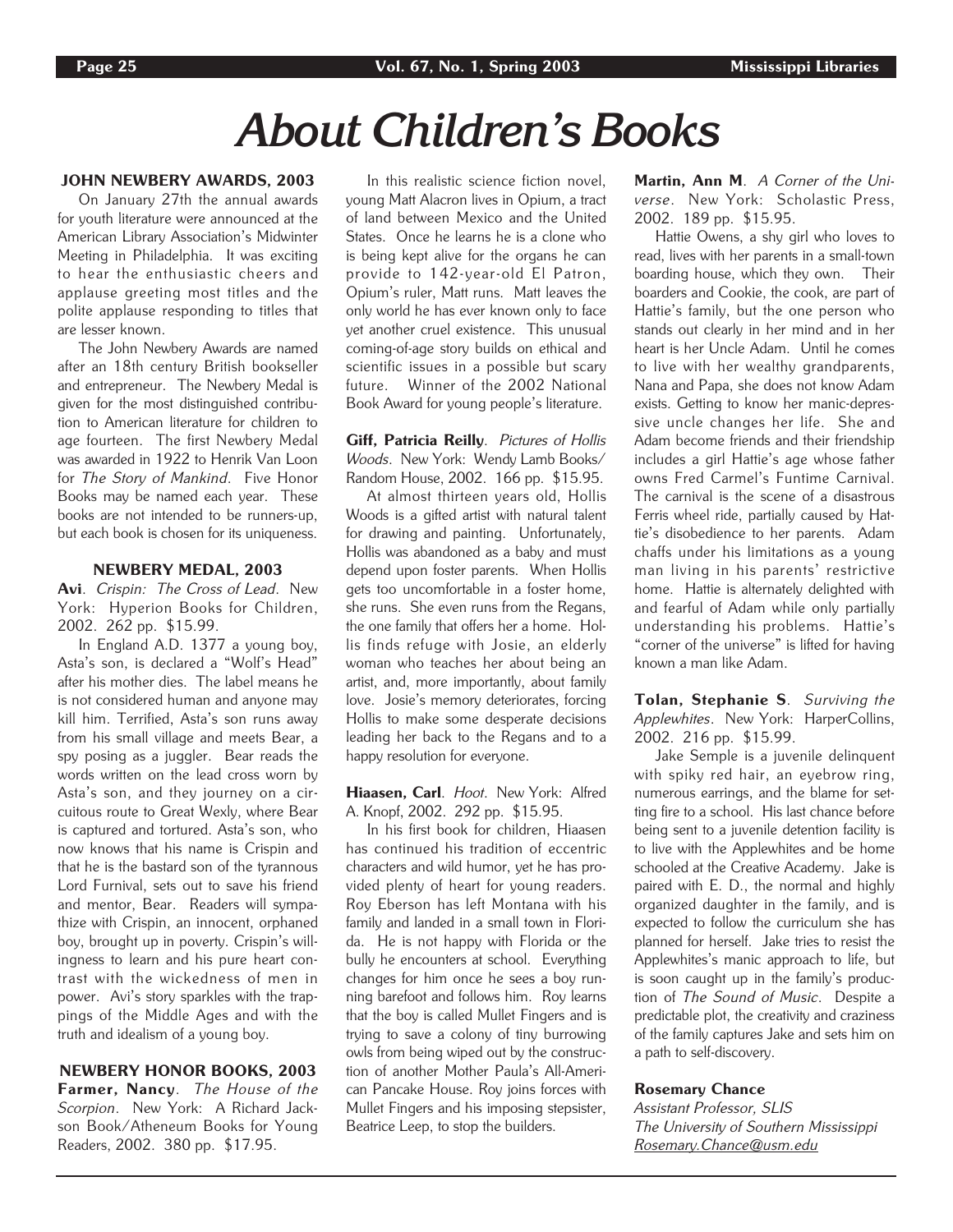## *About Children's Books*

## JOHN NEWBERY AWARDS, 2003

On January 27th the annual awards for youth literature were announced at the American Library Association's Midwinter Meeting in Philadelphia. It was exciting to hear the enthusiastic cheers and applause greeting most titles and the polite applause responding to titles that are lesser known.

The John Newbery Awards are named after an 18th century British bookseller and entrepreneur. The Newbery Medal is given for the most distinguished contribution to American literature for children to age fourteen. The first Newbery Medal was awarded in 1922 to Henrik Van Loon for The Story of Mankind. Five Honor Books may be named each year. These books are not intended to be runners-up, but each book is chosen for its uniqueness.

### NEWBERY MEDAL, 2003

Avi. Crispin: The Cross of Lead. New York: Hyperion Books for Children, 2002. 262 pp. \$15.99.

In England A.D. 1377 a young boy, Asta's son, is declared a "Wolf's Head" after his mother dies. The label means he is not considered human and anyone may kill him. Terrified, Asta's son runs away from his small village and meets Bear, a spy posing as a juggler. Bear reads the words written on the lead cross worn by Asta's son, and they journey on a circuitous route to Great Wexly, where Bear is captured and tortured. Asta's son, who now knows that his name is Crispin and that he is the bastard son of the tyrannous Lord Furnival, sets out to save his friend and mentor, Bear. Readers will sympathize with Crispin, an innocent, orphaned boy, brought up in poverty. Crispin's willingness to learn and his pure heart contrast with the wickedness of men in power. Avi's story sparkles with the trappings of the Middle Ages and with the truth and idealism of a young boy.

## NEWBERY HONOR BOOKS, 2003

Farmer, Nancy. The House of the Scorpion. New York: A Richard Jackson Book/Atheneum Books for Young Readers, 2002. 380 pp. \$17.95.

In this realistic science fiction novel, young Matt Alacron lives in Opium, a tract of land between Mexico and the United States. Once he learns he is a clone who is being kept alive for the organs he can provide to 142-year-old El Patron, Opium's ruler, Matt runs. Matt leaves the only world he has ever known only to face yet another cruel existence. This unusual coming-of-age story builds on ethical and scientific issues in a possible but scary future. Winner of the 2002 National Book Award for young people's literature.

Giff, Patricia Reilly. Pictures of Hollis Woods. New York: Wendy Lamb Books/ Random House, 2002. 166 pp. \$15.95.

At almost thirteen years old, Hollis Woods is a gifted artist with natural talent for drawing and painting. Unfortunately, Hollis was abandoned as a baby and must depend upon foster parents. When Hollis gets too uncomfortable in a foster home, she runs. She even runs from the Regans, the one family that offers her a home. Hollis finds refuge with Josie, an elderly woman who teaches her about being an artist, and, more importantly, about family love. Josie's memory deteriorates, forcing Hollis to make some desperate decisions leading her back to the Regans and to a happy resolution for everyone.

### Hiaasen, Carl. Hoot. New York: Alfred A. Knopf, 2002. 292 pp. \$15.95.

In his first book for children, Hiaasen has continued his tradition of eccentric characters and wild humor, yet he has provided plenty of heart for young readers. Roy Eberson has left Montana with his family and landed in a small town in Florida. He is not happy with Florida or the bully he encounters at school. Everything changes for him once he sees a boy running barefoot and follows him. Roy learns that the boy is called Mullet Fingers and is trying to save a colony of tiny burrowing owls from being wiped out by the construction of another Mother Paula's All-American Pancake House. Roy joins forces with Mullet Fingers and his imposing stepsister, Beatrice Leep, to stop the builders.

Martin, Ann M. A Corner of the Universe. New York: Scholastic Press, 2002. 189 pp. \$15.95.

Hattie Owens, a shy girl who loves to read, lives with her parents in a small-town boarding house, which they own. Their boarders and Cookie, the cook, are part of Hattie's family, but the one person who stands out clearly in her mind and in her heart is her Uncle Adam. Until he comes to live with her wealthy grandparents, Nana and Papa, she does not know Adam exists. Getting to know her manic-depressive uncle changes her life. She and Adam become friends and their friendship includes a girl Hattie's age whose father owns Fred Carmel's Funtime Carnival. The carnival is the scene of a disastrous Ferris wheel ride, partially caused by Hattie's disobedience to her parents. Adam chaffs under his limitations as a young man living in his parents' restrictive home. Hattie is alternately delighted with and fearful of Adam while only partially understanding his problems. Hattie's "corner of the universe" is lifted for having known a man like Adam.

Tolan, Stephanie S. Surviving the Applewhites. New York: HarperCollins, 2002. 216 pp. \$15.99.

Jake Semple is a juvenile delinquent with spiky red hair, an eyebrow ring, numerous earrings, and the blame for setting fire to a school. His last chance before being sent to a juvenile detention facility is to live with the Applewhites and be home schooled at the Creative Academy. Jake is paired with E. D., the normal and highly organized daughter in the family, and is expected to follow the curriculum she has planned for herself. Jake tries to resist the Applewhites's manic approach to life, but is soon caught up in the family's production of The Sound of Music. Despite a predictable plot, the creativity and craziness of the family captures Jake and sets him on a path to self-discovery.

## Rosemary Chance

Assistant Professor, SLIS The University of Southern Mississippi Rosemary.Chance@usm.edu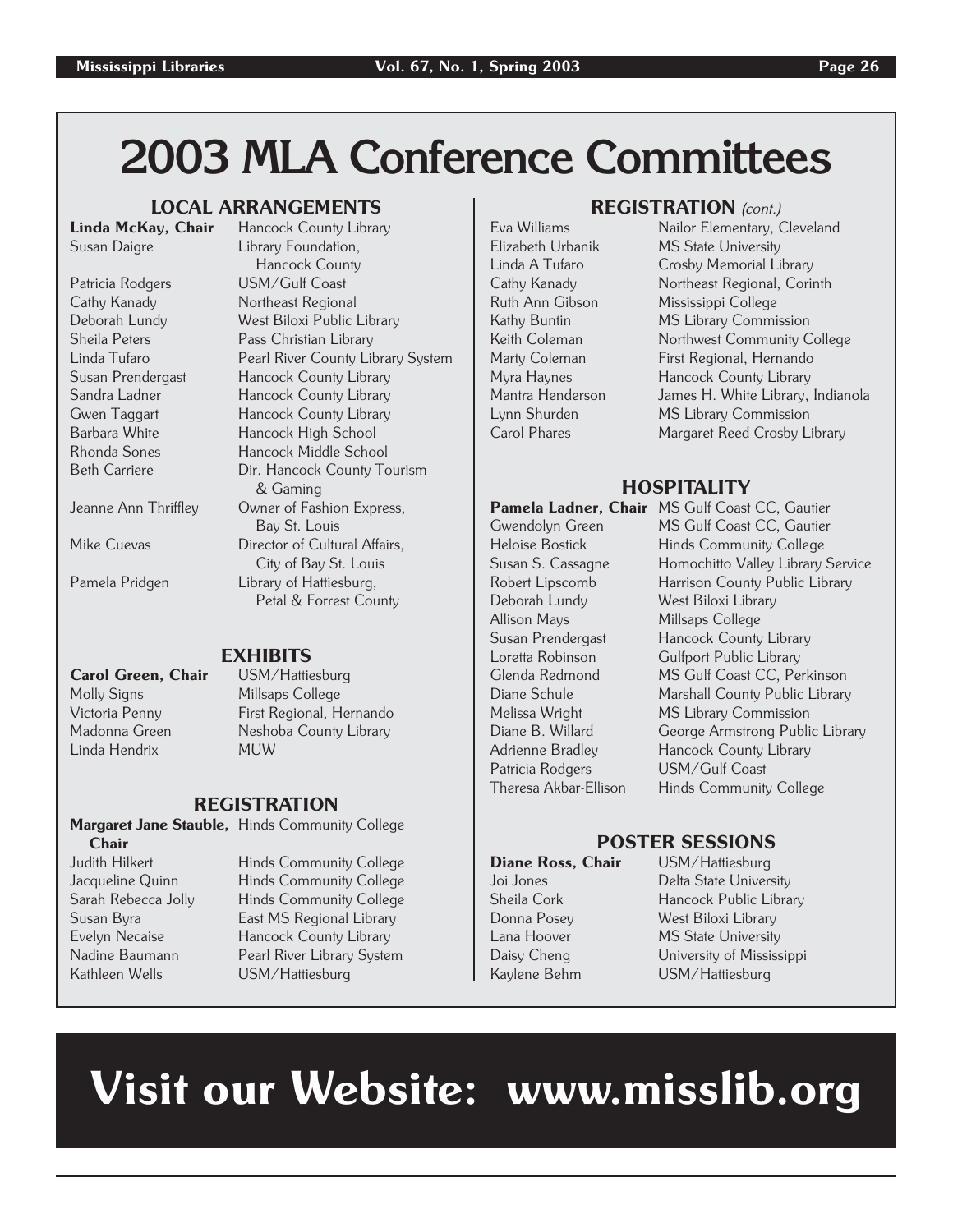## **2003 MLA Conference Committees**

## **LOCAL ARRANGEMENTS**<br>av. Chair Hancock County Library

## Linda McKay, Chair

Sandra Ladner Hancock County Library

## Susan Daigre **Library Foundation**, Hancock County Patricia Rodgers USM/Gulf Coast Cathy Kanady Northeast Regional Deborah Lundy West Biloxi Public Library Pass Christian Library Linda Tufaro Pearl River County Library System Hancock County Library

Gwen Taggart Hancock County Library Barbara White **Hancock High School**<br>Rhonda Sones Hancock Middle School Hancock Middle School Beth Carriere Dir. Hancock County Tourism & Gaming Jeanne Ann Thriffley Owner of Fashion Express, Bay St. Louis Mike Cuevas **Director of Cultural Affairs**, City of Bay St. Louis Pamela Pridgen Library of Hattiesburg, Petal & Forrest County

Carol Green, Chair Molly Signs Millsaps College Linda Hendrix MUW

**EXHIBITS**<br>USM/Hattiesburg Victoria Penny First Regional, Hernando Madonna Green Neshoba County Library

## REGISTRATION

Margaret Jane Stauble, Hinds Community College Chair Judith Hilkert Hinds Community College

Kathleen Wells **USM/Hattiesburg** 

Jacqueline Quinn Hinds Community College Sarah Rebecca Jolly Hinds Community College Susan Byra East MS Regional Library Hancock County Library Nadine Baumann Pearl River Library System

## REGISTRATION (cont.)

Eva Williams Nailor Elementary, Cleveland Elizabeth Urbanik MS State University Linda A Tufaro Crosby Memorial Library Cathy Kanady Northeast Regional, Corinth Mississippi College Kathy Buntin MS Library Commission Keith Coleman Northwest Community College Marty Coleman First Regional, Hernando<br>Myra Havnes Hancock County Library Hancock County Library Mantra Henderson James H. White Library, Indianola Lynn Shurden MS Library Commission Carol Phares Margaret Reed Crosby Library

## **HOSPITALITY**

Deborah Lundy West Biloxi Library Allison Mays Millsaps College Patricia Rodgers USM/Gulf Coast<br>Theresa Akbar-Fllison Hinds Community

Pamela Ladner, Chair MS Gulf Coast CC, Gautier Gwendolyn Green MS Gulf Coast CC, Gautier Heloise Bostick Hinds Community College Susan S. Cassagne Homochitto Valley Library Service Harrison County Public Library Susan Prendergast Hancock County Library Loretta Robinson Gulfport Public Library Glenda Redmond MS Gulf Coast CC, Perkinson<br>Diane Schule Marshall County Public Library Marshall County Public Library Melissa Wright MS Library Commission<br>Diane B. Willard George Armstrong Public George Armstrong Public Library Adrienne Bradley Hancock County Library Hinds Community College

## POSTER SESSIONS

Diane Ross, Chair USM/Hattiesburg Joi Jones Delta State University<br>Sheila Cork Hancock Public Libra Hancock Public Library Donna Posey West Biloxi Library Lana Hoover MS State University Daisy Cheng University of Mississippi Kaylene Behm USM/Hattiesburg

# Visit our Website: www.misslib.org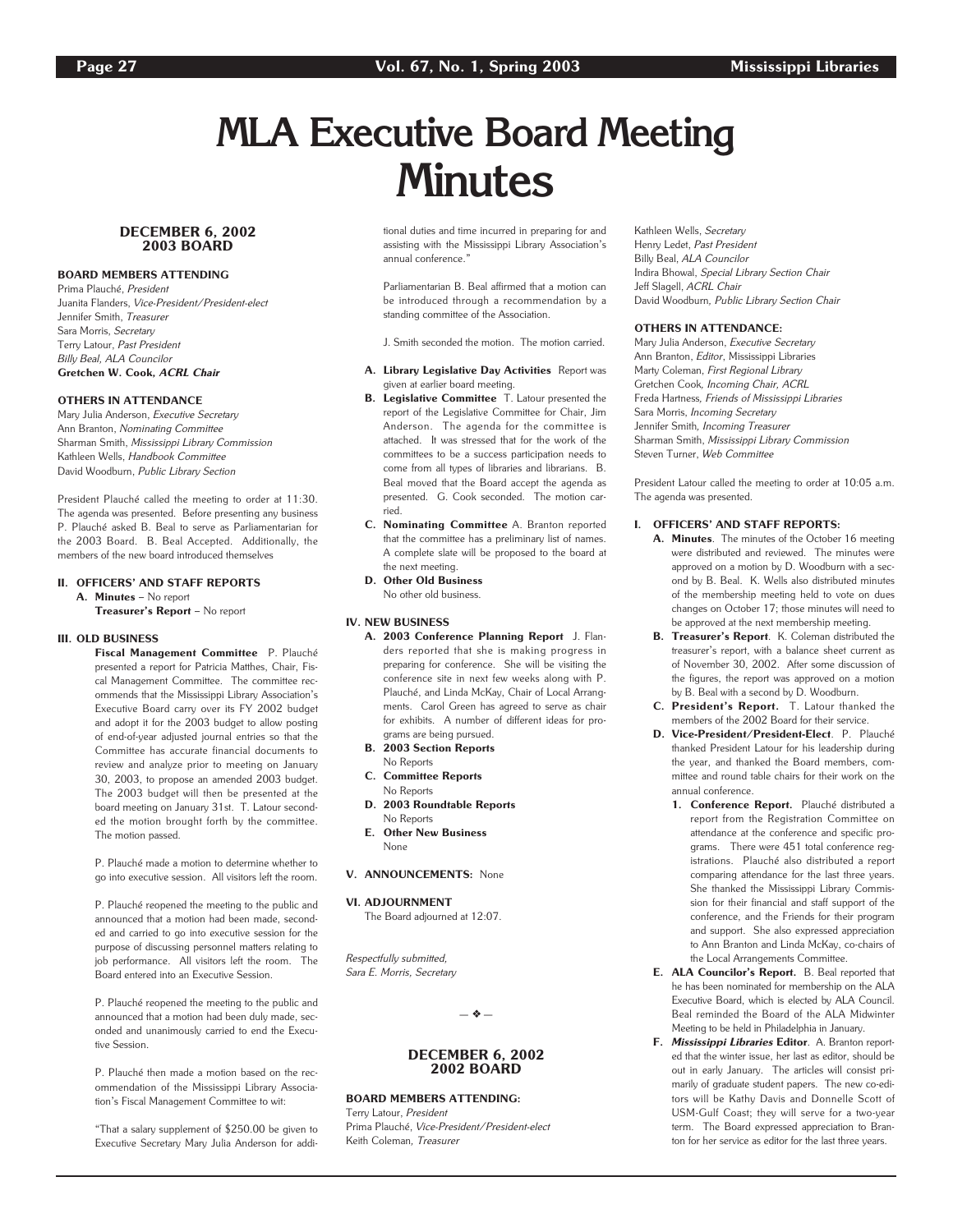## **MLA Executive Board Meeting Minutes**

### DECEMBER 6, 2002 2003 BOARD

### BOARD MEMBERS ATTENDING

Prima Plauché, President Juanita Flanders, Vice-President/President-elect Jennifer Smith, Treasurer Sara Morris, Secretary Terry Latour, Past President Billy Beal, ALA Councilor Gretchen W. Cook, ACRL Chair

### OTHERS IN ATTENDANCE

Mary Julia Anderson, Executive Secretary Ann Branton, Nominating Committee Sharman Smith, Mississippi Library Commission Kathleen Wells, Handbook Committee David Woodburn, Public Library Section

President Plauché called the meeting to order at 11:30. The agenda was presented. Before presenting any business P. Plauché asked B. Beal to serve as Parliamentarian for the 2003 Board. B. Beal Accepted. Additionally, the members of the new board introduced themselves

#### II. OFFICERS' AND STAFF REPORTS

A. Minutes – No report

Treasurer's Report – No report

#### III. OLD BUSINESS

Fiscal Management Committee P. Plauché presented a report for Patricia Matthes, Chair, Fiscal Management Committee. The committee recommends that the Mississippi Library Association's Executive Board carry over its FY 2002 budget and adopt it for the 2003 budget to allow posting of end-of-year adjusted journal entries so that the Committee has accurate financial documents to review and analyze prior to meeting on January 30, 2003, to propose an amended 2003 budget. The 2003 budget will then be presented at the board meeting on January 31st. T. Latour seconded the motion brought forth by the committee. The motion passed.

P. Plauché made a motion to determine whether to go into executive session. All visitors left the room.

P. Plauché reopened the meeting to the public and announced that a motion had been made, seconded and carried to go into executive session for the purpose of discussing personnel matters relating to job performance. All visitors left the room. The Board entered into an Executive Session.

P. Plauché reopened the meeting to the public and announced that a motion had been duly made, seconded and unanimously carried to end the Executive Session.

P. Plauché then made a motion based on the recommendation of the Mississippi Library Association's Fiscal Management Committee to wit:

"That a salary supplement of \$250.00 be given to Executive Secretary Mary Julia Anderson for additional duties and time incurred in preparing for and assisting with the Mississippi Library Association's annual conference."

Parliamentarian B. Beal affirmed that a motion can be introduced through a recommendation by a standing committee of the Association.

J. Smith seconded the motion. The motion carried.

- A. Library Legislative Day Activities Report was given at earlier board meeting.
- B. Legislative Committee T. Latour presented the report of the Legislative Committee for Chair, Jim Anderson. The agenda for the committee is attached. It was stressed that for the work of the committees to be a success participation needs to come from all types of libraries and librarians. B. Beal moved that the Board accept the agenda as presented. G. Cook seconded. The motion carried.
- C. Nominating Committee A. Branton reported that the committee has a preliminary list of names. A complete slate will be proposed to the board at the next meeting.
- D. Other Old Business No other old business.

#### IV. NEW BUSINESS

- A. 2003 Conference Planning Report J. Flanders reported that she is making progress in preparing for conference. She will be visiting the conference site in next few weeks along with P. Plauché, and Linda McKay, Chair of Local Arrangments. Carol Green has agreed to serve as chair for exhibits. A number of different ideas for programs are being pursued.
- B. 2003 Section Reports
- No Reports C. Committee Reports No Reports
- D. 2003 Roundtable Reports No Reports
- E. Other New Business None

#### V. ANNOUNCEMENTS: None

VI. ADJOURNMENT

The Board adjourned at 12:07.

Respectfully submitted, Sara E. Morris, Secretary

— ❖ —

#### DECEMBER 6, 2002 2002 BOARD

### BOARD MEMBERS ATTENDING:

Terry Latour, President Prima Plauché, Vice-President/President-elect Keith Coleman, Treasurer

Kathleen Wells, Secretary Henry Ledet, Past President Billy Beal, ALA Councilor Indira Bhowal, Special Library Section Chair Jeff Slagell, ACRL Chair David Woodburn, Public Library Section Chair

#### OTHERS IN ATTENDANCE:

Mary Julia Anderson, Executive Secretary Ann Branton, Editor, Mississippi Libraries Marty Coleman, First Regional Library Gretchen Cook, Incoming Chair, ACRL Freda Hartness, Friends of Mississippi Libraries Sara Morris, Incoming Secretary Jennifer Smith, Incoming Treasurer Sharman Smith, Mississippi Library Commission Steven Turner, Web Committee

President Latour called the meeting to order at 10:05 a.m. The agenda was presented.

#### I. OFFICERS' AND STAFF REPORTS:

- A. Minutes. The minutes of the October 16 meeting were distributed and reviewed. The minutes were approved on a motion by D. Woodburn with a second by B. Beal. K. Wells also distributed minutes of the membership meeting held to vote on dues changes on October 17; those minutes will need to be approved at the next membership meeting.
- B. Treasurer's Report. K. Coleman distributed the treasurer's report, with a balance sheet current as of November 30, 2002. After some discussion of the figures, the report was approved on a motion by B. Beal with a second by D. Woodburn.
- C. President's Report. T. Latour thanked the members of the 2002 Board for their service.
- D. Vice-President/President-Elect. P. Plauché thanked President Latour for his leadership during the year, and thanked the Board members, committee and round table chairs for their work on the annual conference.
	- 1. Conference Report. Plauché distributed a report from the Registration Committee on attendance at the conference and specific programs. There were 451 total conference registrations. Plauché also distributed a report comparing attendance for the last three years. She thanked the Mississippi Library Commission for their financial and staff support of the conference, and the Friends for their program and support. She also expressed appreciation to Ann Branton and Linda McKay, co-chairs of the Local Arrangements Committee.
- E. ALA Councilor's Report. B. Beal reported that he has been nominated for membership on the ALA Executive Board, which is elected by ALA Council. Beal reminded the Board of the ALA Midwinter Meeting to be held in Philadelphia in January.
- F. Mississippi Libraries Editor. A. Branton reported that the winter issue, her last as editor, should be out in early January. The articles will consist primarily of graduate student papers. The new co-editors will be Kathy Davis and Donnelle Scott of USM-Gulf Coast; they will serve for a two-year term. The Board expressed appreciation to Branton for her service as editor for the last three years.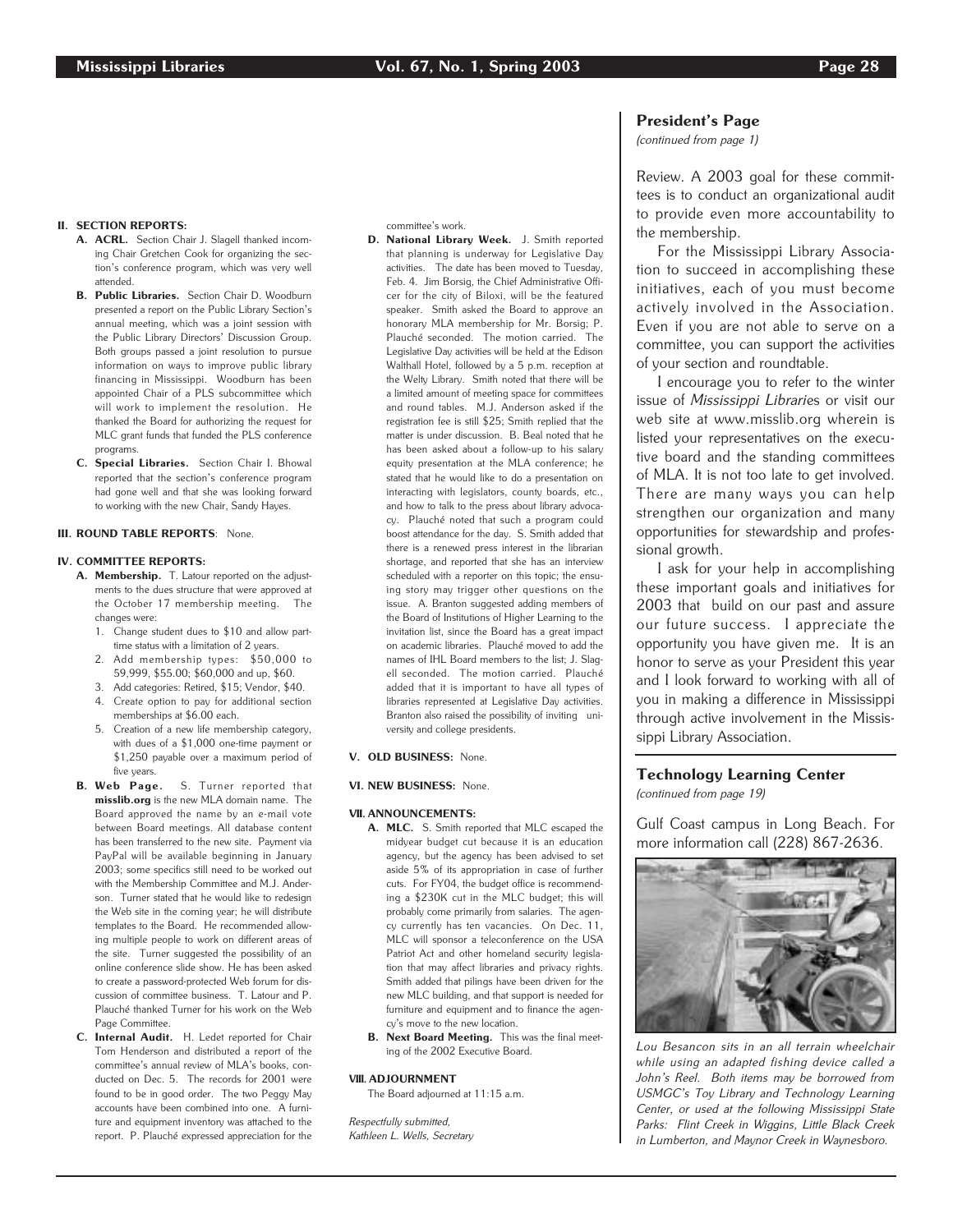#### II. SECTION REPORTS:

- A. ACRL. Section Chair J. Slagell thanked incoming Chair Gretchen Cook for organizing the section's conference program, which was very well attended.
- B. Public Libraries. Section Chair D. Woodburn presented a report on the Public Library Section's annual meeting, which was a joint session with the Public Library Directors' Discussion Group. Both groups passed a joint resolution to pursue information on ways to improve public library financing in Mississippi. Woodburn has been appointed Chair of a PLS subcommittee which will work to implement the resolution. He thanked the Board for authorizing the request for MLC grant funds that funded the PLS conference programs.
- C. Special Libraries. Section Chair I. Bhowal reported that the section's conference program had gone well and that she was looking forward to working with the new Chair, Sandy Hayes.
- **III. ROUND TABLE REPORTS: None.**

#### IV. COMMITTEE REPORTS:

- A. Membership. T. Latour reported on the adjustments to the dues structure that were approved at the October 17 membership meeting. The changes were:
	- 1. Change student dues to \$10 and allow parttime status with a limitation of 2 years.
	- 2. Add membership types: \$50,000 to 59,999, \$55.00; \$60,000 and up, \$60.
	- 3. Add categories: Retired, \$15; Vendor, \$40. 4. Create option to pay for additional section memberships at \$6.00 each.
- 5. Creation of a new life membership category, with dues of a \$1,000 one-time payment or \$1,250 payable over a maximum period of five years.<br> **B.** Web Page.
- S. Turner reported that misslib.org is the new MLA domain name. The Board approved the name by an e-mail vote between Board meetings. All database content has been transferred to the new site. Payment via PayPal will be available beginning in January 2003; some specifics still need to be worked out with the Membership Committee and M.J. Anderson. Turner stated that he would like to redesign the Web site in the coming year; he will distribute templates to the Board. He recommended allowing multiple people to work on different areas of the site. Turner suggested the possibility of an online conference slide show. He has been asked to create a password-protected Web forum for discussion of committee business. T. Latour and P. Plauché thanked Turner for his work on the Web Page Committee.
- C. Internal Audit. H. Ledet reported for Chair Tom Henderson and distributed a report of the committee's annual review of MLA's books, conducted on Dec. 5. The records for 2001 were found to be in good order. The two Peggy May accounts have been combined into one. A furniture and equipment inventory was attached to the report. P. Plauché expressed appreciation for the

committee's work.

D. National Library Week. J. Smith reported that planning is underway for Legislative Day activities. The date has been moved to Tuesday, Feb. 4. Jim Borsig, the Chief Administrative Officer for the city of Biloxi, will be the featured speaker. Smith asked the Board to approve an honorary MLA membership for Mr. Borsig; P. Plauché seconded. The motion carried. The Legislative Day activities will be held at the Edison Walthall Hotel, followed by a 5 p.m. reception at the Welty Library. Smith noted that there will be a limited amount of meeting space for committees and round tables. M.J. Anderson asked if the registration fee is still \$25; Smith replied that the matter is under discussion. B. Beal noted that he has been asked about a follow-up to his salary equity presentation at the MLA conference; he stated that he would like to do a presentation on interacting with legislators, county boards, etc., and how to talk to the press about library advocacy. Plauché noted that such a program could boost attendance for the day. S. Smith added that there is a renewed press interest in the librarian shortage, and reported that she has an interview scheduled with a reporter on this topic; the ensuing story may trigger other questions on the issue. A. Branton suggested adding members of the Board of Institutions of Higher Learning to the invitation list, since the Board has a great impact on academic libraries. Plauché moved to add the names of IHL Board members to the list; J. Slagell seconded. The motion carried. Plauché added that it is important to have all types of libraries represented at Legislative Day activities. Branton also raised the possibility of inviting university and college presidents.

### V. OLD BUSINESS: None.

VI. NEW BUSINESS: None.

#### VII. ANNOUNCEMENTS:

- A. MLC. S. Smith reported that MLC escaped the midyear budget cut because it is an education agency, but the agency has been advised to set aside 5% of its appropriation in case of further cuts. For FY04, the budget office is recommending a \$230K cut in the MLC budget; this will probably come primarily from salaries. The agency currently has ten vacancies. On Dec. 11, MLC will sponsor a teleconference on the USA Patriot Act and other homeland security legislation that may affect libraries and privacy rights. Smith added that pilings have been driven for the new MLC building, and that support is needed for furniture and equipment and to finance the agency's move to the new location.
- B. Next Board Meeting. This was the final meeting of the 2002 Executive Board.

#### VIII. ADJOURNMENT

The Board adjourned at 11:15 a.m.

Respectfully submitted, Kathleen L. Wells, Secretary

## President's Page

(continued from page 1)

Review. A 2003 goal for these committees is to conduct an organizational audit to provide even more accountability to the membership.

For the Mississippi Library Association to succeed in accomplishing these initiatives, each of you must become actively involved in the Association. Even if you are not able to serve on a committee, you can support the activities of your section and roundtable.

I encourage you to refer to the winter issue of Mississippi Libraries or visit our web site at www.misslib.org wherein is listed your representatives on the executive board and the standing committees of MLA. It is not too late to get involved. There are many ways you can help strengthen our organization and many opportunities for stewardship and professional growth.

I ask for your help in accomplishing these important goals and initiatives for 2003 that build on our past and assure our future success. I appreciate the opportunity you have given me. It is an honor to serve as your President this year and I look forward to working with all of you in making a difference in Mississippi through active involvement in the Mississippi Library Association.

## Technology Learning Center

(continued from page 19)

Gulf Coast campus in Long Beach. For more information call (228) 867-2636.



Lou Besancon sits in an all terrain wheelchair while using an adapted fishing device called a John's Reel. Both items may be borrowed from USMGC's Toy Library and Technology Learning Center, or used at the following Mississippi State Parks: Flint Creek in Wiggins, Little Black Creek in Lumberton, and Maynor Creek in Waynesboro.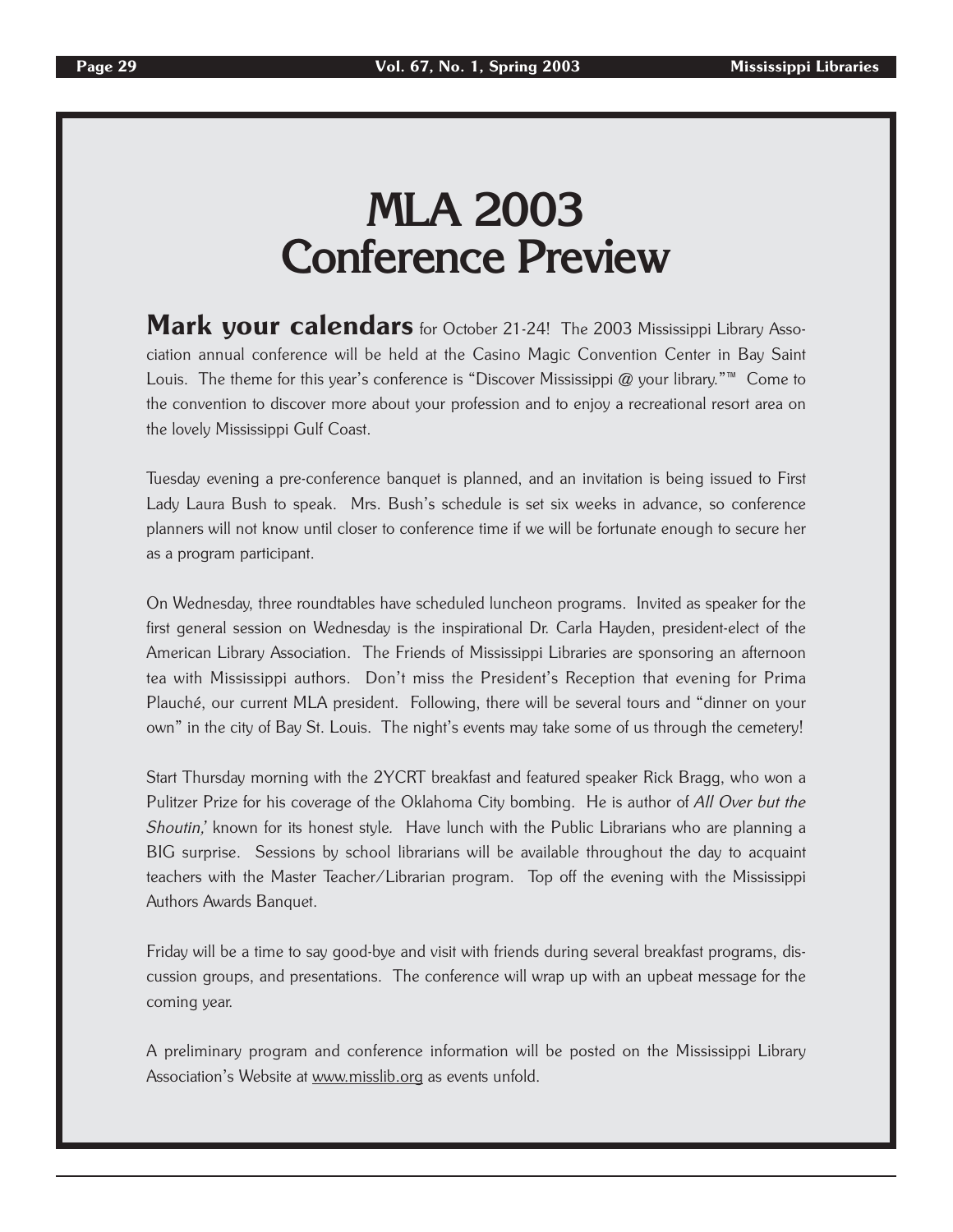## **MLA 2003 Conference Preview**

Mark your calendars for October 21-24! The 2003 Mississippi Library Association annual conference will be held at the Casino Magic Convention Center in Bay Saint Louis. The theme for this year's conference is "Discover Mississippi @ your library."™ Come to the convention to discover more about your profession and to enjoy a recreational resort area on the lovely Mississippi Gulf Coast.

Tuesday evening a pre-conference banquet is planned, and an invitation is being issued to First Lady Laura Bush to speak. Mrs. Bush's schedule is set six weeks in advance, so conference planners will not know until closer to conference time if we will be fortunate enough to secure her as a program participant.

On Wednesday, three roundtables have scheduled luncheon programs. Invited as speaker for the first general session on Wednesday is the inspirational Dr. Carla Hayden, president-elect of the American Library Association. The Friends of Mississippi Libraries are sponsoring an afternoon tea with Mississippi authors. Don't miss the President's Reception that evening for Prima Plauché, our current MLA president. Following, there will be several tours and "dinner on your own" in the city of Bay St. Louis. The night's events may take some of us through the cemetery!

Start Thursday morning with the 2YCRT breakfast and featured speaker Rick Bragg, who won a Pulitzer Prize for his coverage of the Oklahoma City bombing. He is author of All Over but the Shoutin,' known for its honest style. Have lunch with the Public Librarians who are planning a BIG surprise. Sessions by school librarians will be available throughout the day to acquaint teachers with the Master Teacher/Librarian program. Top off the evening with the Mississippi Authors Awards Banquet.

Friday will be a time to say good-bye and visit with friends during several breakfast programs, discussion groups, and presentations. The conference will wrap up with an upbeat message for the coming year.

A preliminary program and conference information will be posted on the Mississippi Library Association's Website at www.misslib.org as events unfold.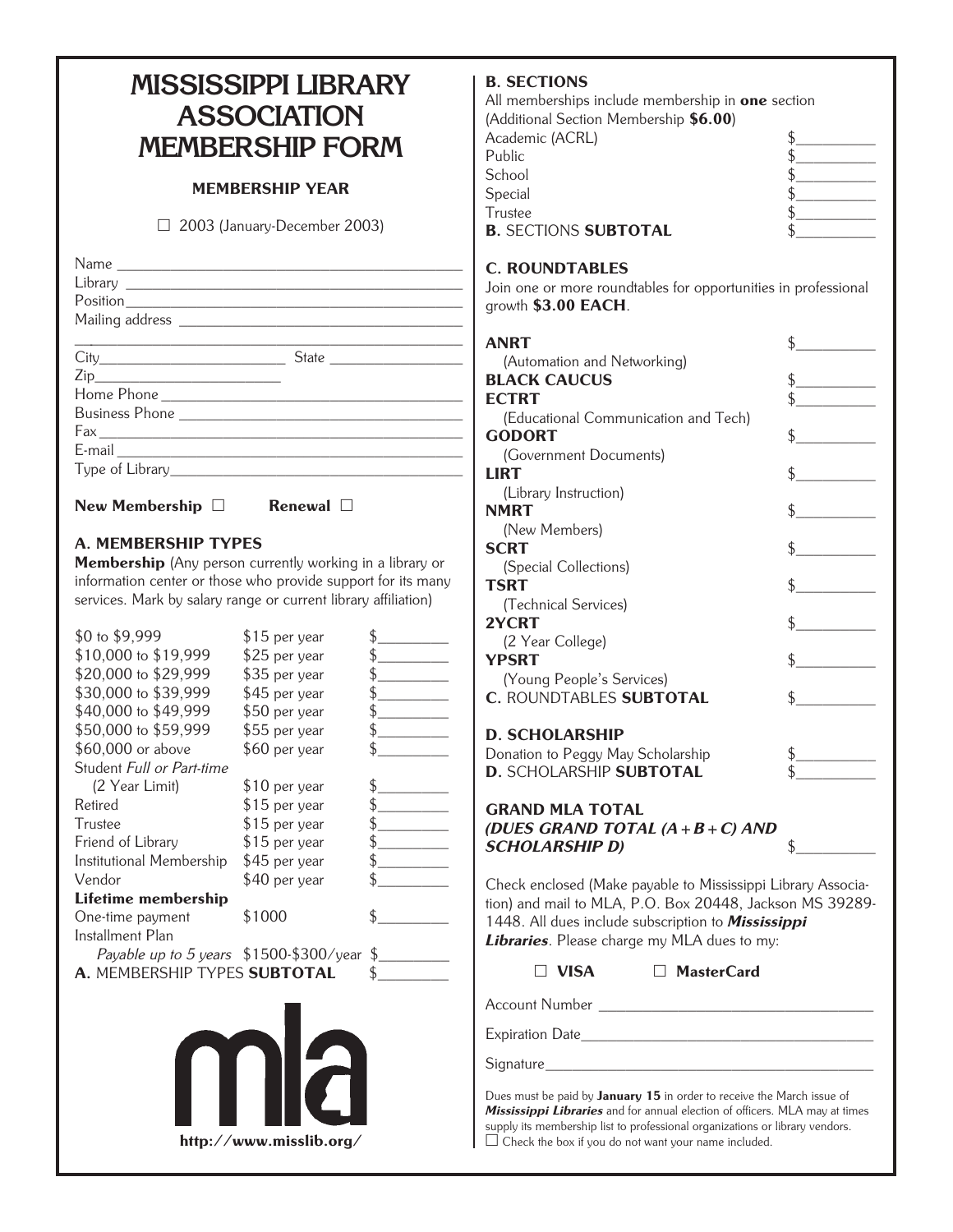## **MISSISSIPPI LIBRARY ASSOCIATION MEMBERSHIP FORM**

## MEMBERSHIP YEAR

□ 2003 (January-December 2003)

| Name |                                                                                                 |  |
|------|-------------------------------------------------------------------------------------------------|--|
|      |                                                                                                 |  |
|      |                                                                                                 |  |
|      |                                                                                                 |  |
|      | the contract of the contract of the contract of the contract of the contract of the contract of |  |
|      |                                                                                                 |  |
|      |                                                                                                 |  |
|      |                                                                                                 |  |
|      |                                                                                                 |  |
|      |                                                                                                 |  |
|      |                                                                                                 |  |
|      |                                                                                                 |  |
|      |                                                                                                 |  |

New Membership  $\Box$  Renewal  $\Box$ 

## A. MEMBERSHIP TYPES

Membership (Any person currently working in a library or information center or those who provide support for its many services. Mark by salary range or current library affiliation)

| \$0 to \$9,999                          | \$15 per year  |              |
|-----------------------------------------|----------------|--------------|
| \$10,000 to \$19,999                    | \$25 per year  |              |
| \$20,000 to \$29,999                    | \$35 per year  |              |
| \$30,000 to \$39,999                    | \$45 per year  |              |
| \$40,000 to \$49,999                    | \$50 per year  |              |
| \$50,000 to \$59,999                    | \$55 per year  |              |
| \$60,000 or above                       | \$60 per year  |              |
| Student Full or Part-time               |                |              |
| (2 Year Limit)                          | \$10 per year  |              |
| Retired                                 | $$15$ per year |              |
| Trustee                                 | \$15 per year  |              |
| Friend of Library                       | $$15$ per year |              |
| Institutional Membership                | \$45 per year  |              |
| Vendor                                  | \$40 per year  |              |
| Lifetime membership                     |                |              |
| One-time payment                        | \$1000         |              |
| Installment Plan                        |                |              |
| Payable up to 5 years \$1500-\$300/year |                | $\mathbb{S}$ |
| A. MEMBERSHIP TYPES SUBTOTAL            |                |              |
|                                         |                |              |
|                                         |                |              |



## B. SECTIONS

| All memberships include membership in <b>one</b> section |  |
|----------------------------------------------------------|--|
| (Additional Section Membership \$6.00)                   |  |
| Academic (ACRL)                                          |  |
| Public                                                   |  |
| School                                                   |  |
| Special                                                  |  |
| Trustee                                                  |  |
| <b>B. SECTIONS SUBTOTAL</b>                              |  |
|                                                          |  |

## C. ROUNDTABLES

Join one or more roundtables for opportunities in professional growth \$3.00 EACH.

| ANRT                                                                                                                                                                                                                                                                                                                                                                                                                                                 | $\mathcal{L}^{\text{max}}_{\text{max}}$ , and $\mathcal{L}^{\text{max}}_{\text{max}}$<br>\$.                                                                                                                                                                                                                                                                                                                                                                                                                                                                                                                                                                                                                                                                      |
|------------------------------------------------------------------------------------------------------------------------------------------------------------------------------------------------------------------------------------------------------------------------------------------------------------------------------------------------------------------------------------------------------------------------------------------------------|-------------------------------------------------------------------------------------------------------------------------------------------------------------------------------------------------------------------------------------------------------------------------------------------------------------------------------------------------------------------------------------------------------------------------------------------------------------------------------------------------------------------------------------------------------------------------------------------------------------------------------------------------------------------------------------------------------------------------------------------------------------------|
| (Automation and Networking)                                                                                                                                                                                                                                                                                                                                                                                                                          |                                                                                                                                                                                                                                                                                                                                                                                                                                                                                                                                                                                                                                                                                                                                                                   |
| <b>BLACK CAUCUS</b>                                                                                                                                                                                                                                                                                                                                                                                                                                  | $\frac{1}{2}$                                                                                                                                                                                                                                                                                                                                                                                                                                                                                                                                                                                                                                                                                                                                                     |
| <b>ECTRT</b>                                                                                                                                                                                                                                                                                                                                                                                                                                         |                                                                                                                                                                                                                                                                                                                                                                                                                                                                                                                                                                                                                                                                                                                                                                   |
| (Educational Communication and Tech)                                                                                                                                                                                                                                                                                                                                                                                                                 |                                                                                                                                                                                                                                                                                                                                                                                                                                                                                                                                                                                                                                                                                                                                                                   |
| <b>GODORT</b>                                                                                                                                                                                                                                                                                                                                                                                                                                        | $\frac{1}{2}$                                                                                                                                                                                                                                                                                                                                                                                                                                                                                                                                                                                                                                                                                                                                                     |
| (Government Documents)                                                                                                                                                                                                                                                                                                                                                                                                                               |                                                                                                                                                                                                                                                                                                                                                                                                                                                                                                                                                                                                                                                                                                                                                                   |
| LIRT                                                                                                                                                                                                                                                                                                                                                                                                                                                 | $\frac{1}{2}$                                                                                                                                                                                                                                                                                                                                                                                                                                                                                                                                                                                                                                                                                                                                                     |
| (Library Instruction)                                                                                                                                                                                                                                                                                                                                                                                                                                |                                                                                                                                                                                                                                                                                                                                                                                                                                                                                                                                                                                                                                                                                                                                                                   |
| <b>NMRT</b>                                                                                                                                                                                                                                                                                                                                                                                                                                          | $\frac{1}{2}$                                                                                                                                                                                                                                                                                                                                                                                                                                                                                                                                                                                                                                                                                                                                                     |
| (New Members)                                                                                                                                                                                                                                                                                                                                                                                                                                        |                                                                                                                                                                                                                                                                                                                                                                                                                                                                                                                                                                                                                                                                                                                                                                   |
| <b>SCRT</b>                                                                                                                                                                                                                                                                                                                                                                                                                                          | $\frac{1}{2}$                                                                                                                                                                                                                                                                                                                                                                                                                                                                                                                                                                                                                                                                                                                                                     |
| (Special Collections)                                                                                                                                                                                                                                                                                                                                                                                                                                |                                                                                                                                                                                                                                                                                                                                                                                                                                                                                                                                                                                                                                                                                                                                                                   |
| <b>TSRT</b>                                                                                                                                                                                                                                                                                                                                                                                                                                          | $\frac{1}{\sqrt{2}}$                                                                                                                                                                                                                                                                                                                                                                                                                                                                                                                                                                                                                                                                                                                                              |
| (Technical Services)                                                                                                                                                                                                                                                                                                                                                                                                                                 |                                                                                                                                                                                                                                                                                                                                                                                                                                                                                                                                                                                                                                                                                                                                                                   |
| 2YCRT                                                                                                                                                                                                                                                                                                                                                                                                                                                | $\frac{1}{2}$                                                                                                                                                                                                                                                                                                                                                                                                                                                                                                                                                                                                                                                                                                                                                     |
| (2 Year College)                                                                                                                                                                                                                                                                                                                                                                                                                                     |                                                                                                                                                                                                                                                                                                                                                                                                                                                                                                                                                                                                                                                                                                                                                                   |
| YPSRT                                                                                                                                                                                                                                                                                                                                                                                                                                                | $\sim$                                                                                                                                                                                                                                                                                                                                                                                                                                                                                                                                                                                                                                                                                                                                                            |
| (Young People's Services)                                                                                                                                                                                                                                                                                                                                                                                                                            |                                                                                                                                                                                                                                                                                                                                                                                                                                                                                                                                                                                                                                                                                                                                                                   |
| <b>C. ROUNDTABLES SUBTOTAL</b>                                                                                                                                                                                                                                                                                                                                                                                                                       | $\frac{1}{2}$                                                                                                                                                                                                                                                                                                                                                                                                                                                                                                                                                                                                                                                                                                                                                     |
| <b>D. SCHOLARSHIP</b>                                                                                                                                                                                                                                                                                                                                                                                                                                |                                                                                                                                                                                                                                                                                                                                                                                                                                                                                                                                                                                                                                                                                                                                                                   |
| Donation to Peggy May Scholarship                                                                                                                                                                                                                                                                                                                                                                                                                    |                                                                                                                                                                                                                                                                                                                                                                                                                                                                                                                                                                                                                                                                                                                                                                   |
| D. SCHOLARSHIP SUBTOTAL                                                                                                                                                                                                                                                                                                                                                                                                                              | $\begin{array}{c} \n \uparrow \quad \quad \quad \downarrow \quad \quad \quad \quad \uparrow \quad \quad \quad \quad \quad \downarrow \quad \quad \quad \downarrow \quad \quad \downarrow \quad \quad \downarrow \quad \quad \downarrow \quad \quad \downarrow \quad \quad \downarrow \quad \quad \downarrow \quad \quad \downarrow \quad \quad \downarrow \quad \quad \downarrow \quad \quad \downarrow \quad \quad \downarrow \quad \quad \downarrow \quad \quad \downarrow \quad \quad \downarrow \quad \quad \downarrow \quad \downarrow \quad \downarrow \quad \downarrow \quad \downarrow \quad \downarrow \quad \downarrow \quad \downarrow \quad \downarrow \quad \downarrow \quad \downarrow \quad \downarrow \quad \downarrow \$<br>$\frac{1}{\sqrt{2}}$ |
|                                                                                                                                                                                                                                                                                                                                                                                                                                                      |                                                                                                                                                                                                                                                                                                                                                                                                                                                                                                                                                                                                                                                                                                                                                                   |
| <b>GRAND MLA TOTAL</b><br>(DUES GRAND TOTAL $(A + B + C)$ AND                                                                                                                                                                                                                                                                                                                                                                                        |                                                                                                                                                                                                                                                                                                                                                                                                                                                                                                                                                                                                                                                                                                                                                                   |
| <b>SCHOLARSHIP D)</b>                                                                                                                                                                                                                                                                                                                                                                                                                                | \$                                                                                                                                                                                                                                                                                                                                                                                                                                                                                                                                                                                                                                                                                                                                                                |
|                                                                                                                                                                                                                                                                                                                                                                                                                                                      |                                                                                                                                                                                                                                                                                                                                                                                                                                                                                                                                                                                                                                                                                                                                                                   |
| Check enclosed (Make payable to Mississippi Library Associa-<br>$\overline{1}$ $\overline{1}$ $\overline{1}$ $\overline{1}$ $\overline{1}$ $\overline{1}$ $\overline{1}$ $\overline{1}$ $\overline{1}$ $\overline{1}$ $\overline{1}$ $\overline{1}$ $\overline{1}$ $\overline{1}$ $\overline{1}$ $\overline{1}$ $\overline{1}$ $\overline{1}$ $\overline{1}$ $\overline{1}$ $\overline{1}$ $\overline{1}$ $\overline{1}$ $\overline{1}$ $\overline{$ |                                                                                                                                                                                                                                                                                                                                                                                                                                                                                                                                                                                                                                                                                                                                                                   |

tion) and mail to MLA, P.O. Box 20448, Jackson MS 39289- 1448. All dues include subscription to Mississippi Libraries. Please charge my MLA dues to my:

VISA MasterCard

Account Number \_\_\_\_\_\_\_\_\_\_\_\_\_\_\_\_\_\_\_\_\_\_\_\_\_\_\_\_\_\_\_

Expiration Date\_\_\_\_\_\_\_\_\_\_\_\_\_\_\_\_\_\_\_\_\_\_\_\_\_\_\_\_\_\_\_\_\_

Signature

Dues must be paid by January 15 in order to receive the March issue of Mississippi Libraries and for annual election of officers. MLA may at times supply its membership list to professional organizations or library vendors.  $\Box$  Check the box if you do not want your name included.